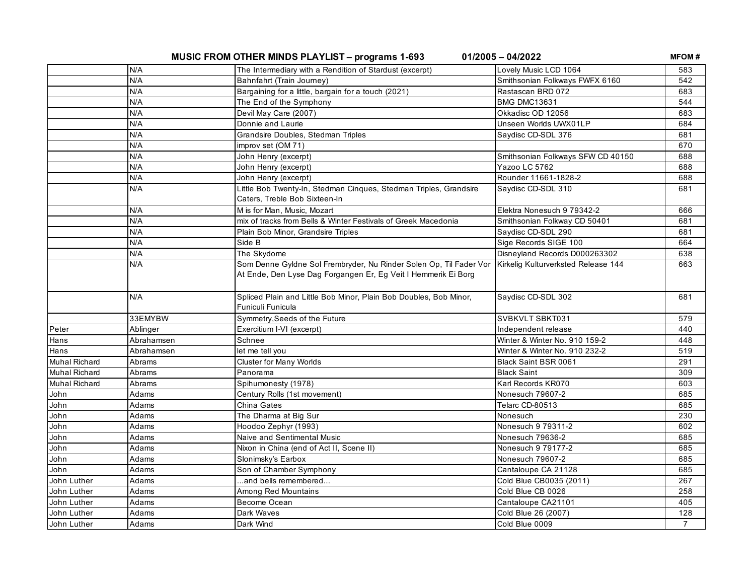**MUSIC FROM OTHER MINDS PLAYLIST – programs 1-693 01/2005 – 04/2022**

**MFOM #**

|                      | N/A        | The Intermediary with a Rendition of Stardust (excerpt)                                                                              | Lovely Music LCD 1064               | 583            |
|----------------------|------------|--------------------------------------------------------------------------------------------------------------------------------------|-------------------------------------|----------------|
|                      | N/A        | Bahnfahrt (Train Journey)                                                                                                            | Smithsonian Folkways FWFX 6160      | 542            |
|                      | N/A        | Bargaining for a little, bargain for a touch (2021)                                                                                  | Rastascan BRD 072                   | 683            |
|                      | N/A        | The End of the Symphony                                                                                                              | <b>BMG DMC13631</b>                 | 544            |
|                      | N/A        | Devil May Care (2007)                                                                                                                | Okkadisc OD 12056                   | 683            |
|                      | N/A        | Donnie and Laurie                                                                                                                    | Unseen Worlds UWX01LP               | 684            |
|                      | N/A        | Grandsire Doubles, Stedman Triples                                                                                                   | Saydisc CD-SDL 376                  | 681            |
|                      | N/A        | improv set (OM 71)                                                                                                                   |                                     | 670            |
|                      | N/A        | John Henry (excerpt)                                                                                                                 | Smithsonian Folkways SFW CD 40150   | 688            |
|                      | N/A        | John Henry (excerpt)                                                                                                                 | Yazoo LC 5762                       | 688            |
|                      | N/A        | John Henry (excerpt)                                                                                                                 | Rounder 11661-1828-2                | 688            |
|                      | N/A        | Little Bob Twenty-In, Stedman Cinques, Stedman Triples, Grandsire<br>Caters, Treble Bob Sixteen-In                                   | Saydisc CD-SDL 310                  | 681            |
|                      | N/A        | M is for Man, Music, Mozart                                                                                                          | Elektra Nonesuch 9 79342-2          | 666            |
|                      | N/A        | mix of tracks from Bells & Winter Festivals of Greek Macedonia                                                                       | Smithsonian Folkway CD 50401        | 681            |
|                      | N/A        | Plain Bob Minor, Grandsire Triples                                                                                                   | Saydisc CD-SDL 290                  | 681            |
|                      | N/A        | Side B                                                                                                                               | Sige Records SIGE 100               | 664            |
|                      | N/A        | The Skydome                                                                                                                          | Disneyland Records D000263302       | 638            |
|                      | N/A        | Som Denne Gyldne Sol Frembryder, Nu Rinder Solen Op, Til Fader Vor<br>At Ende, Den Lyse Dag Forgangen Er, Eg Veit I Hemmerik Ei Borg | Kirkelig Kulturverksted Release 144 | 663            |
|                      | N/A        | Spliced Plain and Little Bob Minor, Plain Bob Doubles, Bob Minor,<br>Funiculi Funicula                                               | Saydisc CD-SDL 302                  | 681            |
|                      | 33EMYBW    | Symmetry, Seeds of the Future                                                                                                        | SVBKVLT SBKT031                     | 579            |
| Peter                | Ablinger   | Exercitium I-VI (excerpt)                                                                                                            | Independent release                 | 440            |
| Hans                 | Abrahamsen | Schnee                                                                                                                               | Winter & Winter No. 910 159-2       | 448            |
| Hans                 | Abrahamsen | let me tell you                                                                                                                      | Winter & Winter No. 910 232-2       | 519            |
| <b>Muhal Richard</b> | Abrams     | <b>Cluster for Many Worlds</b>                                                                                                       | Black Saint BSR 0061                | 291            |
| <b>Muhal Richard</b> | Abrams     | Panorama                                                                                                                             | <b>Black Saint</b>                  | 309            |
| <b>Muhal Richard</b> | Abrams     | Spihumonesty (1978)                                                                                                                  | Karl Records KR070                  | 603            |
| John                 | Adams      | Century Rolls (1st movement)                                                                                                         | Nonesuch 79607-2                    | 685            |
| John                 | Adams      | China Gates                                                                                                                          | Telarc CD-80513                     | 685            |
| John                 | Adams      | The Dharma at Big Sur                                                                                                                | Nonesuch                            | 230            |
| John                 | Adams      | Hoodoo Zephyr (1993)                                                                                                                 | Nonesuch 9 79311-2                  | 602            |
| John                 | Adams      | Naive and Sentimental Music                                                                                                          | Nonesuch 79636-2                    | 685            |
| John                 | Adams      | Nixon in China (end of Act II, Scene II)                                                                                             | Nonesuch 9 79177-2                  | 685            |
| John                 | Adams      | Slonimsky's Earbox                                                                                                                   | Nonesuch 79607-2                    | 685            |
| John                 | Adams      | Son of Chamber Symphony                                                                                                              | Cantaloupe CA 21128                 | 685            |
| John Luther          | Adams      | and bells remembered                                                                                                                 | Cold Blue CB0035 (2011)             | 267            |
| John Luther          | Adams      | Among Red Mountains                                                                                                                  | Cold Blue CB 0026                   | 258            |
| John Luther          | Adams      | Become Ocean                                                                                                                         | Cantaloupe CA21101                  | 405            |
| John Luther          | Adams      | Dark Waves                                                                                                                           | Cold Blue 26 (2007)                 | 128            |
| John Luther          | Adams      | Dark Wind                                                                                                                            | Cold Blue 0009                      | $\overline{7}$ |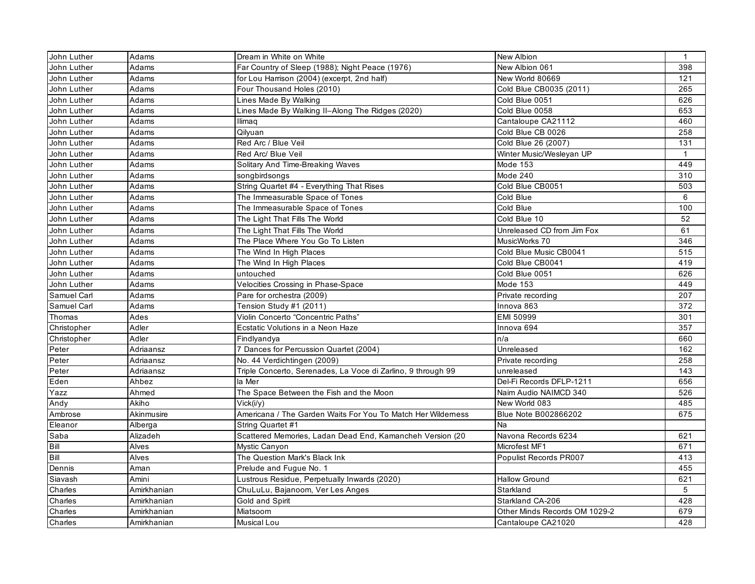| John Luther | Adams       | Dream in White on White                                      | <b>New Albion</b>             | $\mathbf{1}$ |
|-------------|-------------|--------------------------------------------------------------|-------------------------------|--------------|
| John Luther | Adams       | Far Country of Sleep (1988); Night Peace (1976)              | New Albion 061                | 398          |
| John Luther | Adams       | for Lou Harrison (2004) (excerpt, 2nd half)                  | New World 80669               | 121          |
| John Luther | Adams       | Four Thousand Holes (2010)                                   | Cold Blue CB0035 (2011)       | 265          |
| John Luther | Adams       | Lines Made By Walking                                        | Cold Blue 0051                | 626          |
| John Luther | Adams       | Lines Made By Walking II-Along The Ridges (2020)             | Cold Blue 0058                | 653          |
| John Luther | Adams       | Ilimaq                                                       | Cantaloupe CA21112            | 460          |
| John Luther | Adams       | Qilyuan                                                      | Cold Blue CB 0026             | 258          |
| John Luther | Adams       | Red Arc / Blue Veil                                          | Cold Blue 26 (2007)           | 131          |
| John Luther | Adams       | Red Arc/ Blue Veil                                           | Winter Music/Wesleyan UP      | $\mathbf{1}$ |
| John Luther | Adams       | Solitary And Time-Breaking Waves                             | Mode 153                      | 449          |
| John Luther | Adams       | songbirdsongs                                                | Mode 240                      | 310          |
| John Luther | Adams       | String Quartet #4 - Everything That Rises                    | Cold Blue CB0051              | 503          |
| John Luther | Adams       | The Immeasurable Space of Tones                              | Cold Blue                     | 6            |
| John Luther | Adams       | The Immeasurable Space of Tones                              | Cold Blue                     | 100          |
| John Luther | Adams       | The Light That Fills The World                               | Cold Blue 10                  | 52           |
| John Luther | Adams       | The Light That Fills The World                               | Unreleased CD from Jim Fox    | 61           |
| John Luther | Adams       | The Place Where You Go To Listen                             | MusicWorks 70                 | 346          |
| John Luther | Adams       | The Wind In High Places                                      | Cold Blue Music CB0041        | 515          |
| John Luther | Adams       | The Wind In High Places                                      | Cold Blue CB0041              | 419          |
| John Luther | Adams       | untouched                                                    | Cold Blue 0051                | 626          |
| John Luther | Adams       | Velocities Crossing in Phase-Space                           | Mode 153                      | 449          |
| Samuel Carl | Adams       | Pare for orchestra (2009)                                    | Private recording             | 207          |
| Samuel Carl | Adams       | Tension Study #1 (2011)                                      | Innova 863                    | 372          |
| Thomas      | Ades        | Violin Concerto "Concentric Paths"                           | EMI 50999                     | 301          |
| Christopher | Adler       | Ecstatic Volutions in a Neon Haze                            | Innova 694                    | 357          |
| Christopher | Adler       | Findlyandya                                                  | n/a                           | 660          |
| Peter       | Adriaansz   | 7 Dances for Percussion Quartet (2004)                       | Unreleased                    | 162          |
| Peter       | Adriaansz   | No. 44 Verdichtingen (2009)                                  | Private recording             | 258          |
| Peter       | Adriaansz   | Triple Concerto, Serenades, La Voce di Zarlino, 9 through 99 | unreleased                    | 143          |
| Eden        | Ahbez       | la Mer                                                       | Del-Fi Records DFLP-1211      | 656          |
| Yazz        | Ahmed       | The Space Between the Fish and the Moon                      | Naim Audio NAIMCD 340         | 526          |
| Andy        | Akiho       | Vick(i/v)                                                    | New World 083                 | 485          |
| Ambrose     | Akinmusire  | Americana / The Garden Waits For You To Match Her Wilderness | Blue Note B002866202          | 675          |
| Eleanor     | Alberga     | String Quartet #1                                            | Na                            |              |
| Saba        | Alizadeh    | Scattered Memories, Ladan Dead End, Kamancheh Version (20    | Navona Records 6234           | 621          |
| Bill        | Alves       | Mystic Canyon                                                | Microfest MF1                 | 671          |
| Bill        | Alves       | The Question Mark's Black Ink                                | Populist Records PR007        | 413          |
| Dennis      | Aman        | Prelude and Fugue No. 1                                      |                               | 455          |
| Siavash     | Amini       | Lustrous Residue, Perpetually Inwards (2020)                 | <b>Hallow Ground</b>          | 621          |
| Charles     | Amirkhanian | ChuLuLu, Bajanoom, Ver Les Anges                             | Starkland                     | 5            |
| Charles     | Amirkhanian | Gold and Spirit                                              | Starkland CA-206              | 428          |
| Charles     | Amirkhanian | Miatsoom                                                     | Other Minds Records OM 1029-2 | 679          |
| Charles     | Amirkhanian | Musical Lou                                                  | Cantaloupe CA21020            | 428          |
|             |             |                                                              |                               |              |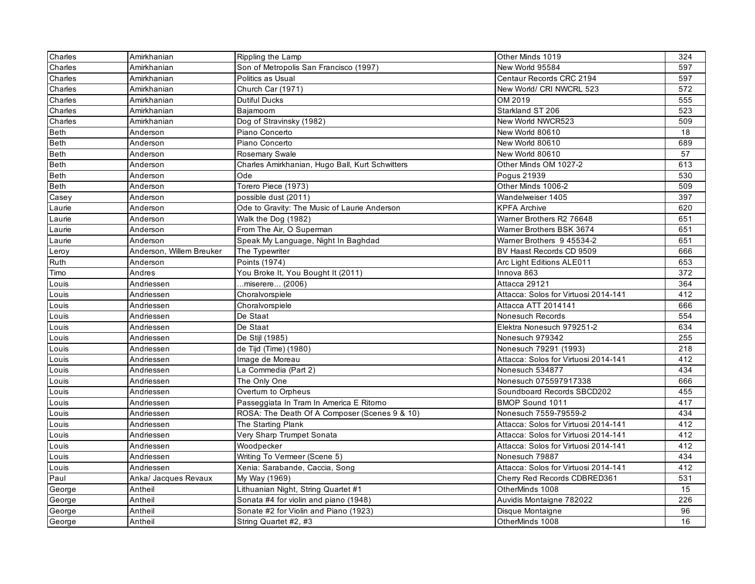| Charles     | Amirkhanian              | Rippling the Lamp                               | Other Minds 1019                     | 324 |
|-------------|--------------------------|-------------------------------------------------|--------------------------------------|-----|
| Charles     | Amirkhanian              | Son of Metropolis San Francisco (1997)          | New World 95584                      | 597 |
| Charles     | Amirkhanian              | Politics as Usual                               | Centaur Records CRC 2194             | 597 |
| Charles     | Amirkhanian              | Church Car (1971)                               | New World/ CRI NWCRL 523             | 572 |
| Charles     | Amirkhanian              | <b>Dutiful Ducks</b>                            | OM 2019                              | 555 |
| Charles     | Amirkhanian              | Bajamoom                                        | Starkland ST 206                     | 523 |
| Charles     | Amirkhanian              | Dog of Stravinsky (1982)                        | New World NWCR523                    | 509 |
| Beth        | Anderson                 | Piano Concerto                                  | New World 80610                      | 18  |
| Beth        | Anderson                 | Piano Concerto                                  | New World 80610                      | 689 |
| Beth        | Anderson                 | Rosemary Swale                                  | New World 80610                      | 57  |
| <b>Beth</b> | Anderson                 | Charles Amirkhanian, Hugo Ball, Kurt Schwitters | Other Minds OM 1027-2                | 613 |
| Beth        | Anderson                 | Ode                                             | Pogus 21939                          | 530 |
| Beth        | Anderson                 | Torero Piece (1973)                             | Other Minds 1006-2                   | 509 |
| Casey       | Anderson                 | possible dust (2011)                            | Wandelweiser 1405                    | 397 |
| Laurie      | Anderson                 | Ode to Gravity: The Music of Laurie Anderson    | <b>KPFA Archive</b>                  | 620 |
| Laurie      | Anderson                 | Walk the Dog (1982)                             | Warner Brothers R2 76648             | 651 |
| Laurie      | Anderson                 | From The Air, O Superman                        | Warner Brothers BSK 3674             | 651 |
| Laurie      | Anderson                 | Speak My Language, Night In Baghdad             | Warner Brothers 9 45534-2            | 651 |
| Leroy       | Anderson, Willem Breuker | The Typewriter                                  | BV Haast Records CD 9509             | 666 |
| Ruth        | Anderson                 | Points (1974)                                   | Arc Light Editions ALE011            | 653 |
| Timo        | Andres                   | You Broke It, You Bought It (2011)              | Innova 863                           | 372 |
| Louis       | Andriessen               | miserere (2006)                                 | Attacca 29121                        | 364 |
| Louis       | Andriessen               | Choralvorspiele                                 | Attacca: Solos for Virtuosi 2014-141 | 412 |
| Louis       | Andriessen               | Choralvorspiele                                 | Attacca ATT 2014141                  | 666 |
| Louis       | Andriessen               | De Staat                                        | Nonesuch Records                     | 554 |
| Louis       | Andriessen               | De Staat                                        | Elektra Nonesuch 979251-2            | 634 |
| Louis       | Andriessen               | De Stijl (1985)                                 | Nonesuch 979342                      | 255 |
| Louis       | Andriessen               | de Tijd (Time) (1980)                           | Nonesuch 79291 (1993)                | 218 |
| Louis       | Andriessen               | Image de Moreau                                 | Attacca: Solos for Virtuosi 2014-141 | 412 |
| Louis       | Andriessen               | La Commedia (Part 2)                            | Nonesuch 534877                      | 434 |
| Louis       | Andriessen               | The Only One                                    | Nonesuch 075597917338                | 666 |
| Louis       | Andriessen               | Overturn to Orpheus                             | Soundboard Records SBCD202           | 455 |
| Louis       | Andriessen               | Passeggiata In Tram In America E Ritorno        | BMOP Sound 1011                      | 417 |
| Louis       | Andriessen               | ROSA: The Death Of A Composer (Scenes 9 & 10)   | Nonesuch 7559-79559-2                | 434 |
| Louis       | Andriessen               | The Starting Plank                              | Attacca: Solos for Virtuosi 2014-141 | 412 |
| Louis       | Andriessen               | Very Sharp Trumpet Sonata                       | Attacca: Solos for Virtuosi 2014-141 | 412 |
| Louis       | Andriessen               | Woodpecker                                      | Attacca: Solos for Virtuosi 2014-141 | 412 |
| Louis       | Andriessen               | Writing To Vermeer (Scene 5)                    | Nonesuch 79887                       | 434 |
| Louis       | Andriessen               | Xenia: Sarabande, Caccia, Song                  | Attacca: Solos for Virtuosi 2014-141 | 412 |
| Paul        | Anka/ Jacques Revaux     | My Way (1969)                                   | Cherry Red Records CDBRED361         | 531 |
| George      | Antheil                  | Lithuanian Night, String Quartet #1             | OtherMinds 1008                      | 15  |
| George      | Antheil                  | Sonata #4 for violin and piano (1948)           | Auvidis Montaigne 782022             | 226 |
| George      | Antheil                  | Sonate #2 for Violin and Piano (1923)           | Disque Montaigne                     | 96  |
| George      | Antheil                  | String Quartet #2, #3                           | OtherMinds 1008                      | 16  |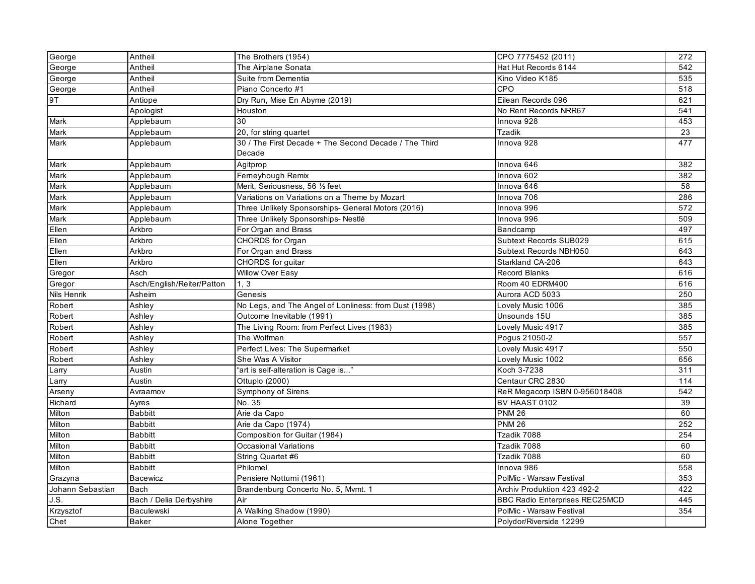| George           | Antheil                    | The Brothers (1954)                                   | CPO 7775452 (2011)                    | 272 |
|------------------|----------------------------|-------------------------------------------------------|---------------------------------------|-----|
| George           | Antheil                    | The Airplane Sonata                                   | Hat Hut Records 6144                  | 542 |
| George           | Antheil                    | Suite from Dementia                                   | Kino Video K185                       | 535 |
| George           | Antheil                    | Piano Concerto #1                                     | CPO                                   | 518 |
| 9T               | Antiope                    | Dry Run, Mise En Abyme (2019)                         | Eilean Records 096                    | 621 |
|                  | Apologist                  | Houston                                               | No Rent Records NRR67                 | 541 |
| Mark             | Applebaum                  | 30                                                    | Innova 928                            | 453 |
| Mark             | Applebaum                  | 20, for string quartet                                | <b>Tzadik</b>                         | 23  |
| Mark             | Applebaum                  | 30 / The First Decade + The Second Decade / The Third | Innova 928                            | 477 |
|                  |                            | Decade                                                |                                       |     |
| Mark             | Applebaum                  | Agitprop                                              | Innova 646                            | 382 |
| Mark             | Applebaum                  | Ferneyhough Remix                                     | Innova 602                            | 382 |
| Mark             | Applebaum                  | Merit, Seriousness, 56 1/2 feet                       | Innova 646                            | 58  |
| Mark             | Applebaum                  | Variations on Variations on a Theme by Mozart         | Innova 706                            | 286 |
| Mark             | Applebaum                  | Three Unlikely Sponsorships- General Motors (2016)    | Innova 996                            | 572 |
| Mark             | Applebaum                  | Three Unlikely Sponsorships- Nestlé                   | Innova 996                            | 509 |
| Ellen            | Arkbro                     | For Organ and Brass                                   | Bandcamp                              | 497 |
| Ellen            | Arkbro                     | CHORDS for Organ                                      | Subtext Records SUB029                | 615 |
| Ellen            | Arkbro                     | For Organ and Brass                                   | Subtext Records NBH050                | 643 |
| Ellen            | Arkbro                     | CHORDS for guitar                                     | Starkland CA-206                      | 643 |
| Gregor           | Asch                       | <b>Willow Over Easy</b>                               | <b>Record Blanks</b>                  | 616 |
| Gregor           | Asch/English/Reiter/Patton | 1, 3                                                  | Room 40 EDRM400                       | 616 |
| Nils Henrik      | Asheim                     | Genesis                                               | Aurora ACD 5033                       | 250 |
| Robert           | Ashley                     | No Legs, and The Angel of Lonliness: from Dust (1998) | Lovely Music 1006                     | 385 |
| Robert           | Ashley                     | Outcome Inevitable (1991)                             | Unsounds 15U                          | 385 |
| Robert           | Ashley                     | The Living Room: from Perfect Lives (1983)            | Lovely Music 4917                     | 385 |
| Robert           | Ashley                     | The Wolfman                                           | Pogus 21050-2                         | 557 |
| Robert           | Ashley                     | Perfect Lives: The Supermarket                        | Lovely Music 4917                     | 550 |
| Robert           | Ashley                     | She Was A Visitor                                     | Lovely Music 1002                     | 656 |
| Larry            | Austin                     | "art is self-alteration is Cage is"                   | Koch 3-7238                           | 311 |
| Larry            | Austin                     | Ottuplo (2000)                                        | Centaur CRC 2830                      | 114 |
| Arseny           | Avraamov                   | Symphony of Sirens                                    | ReR Megacorp ISBN 0-956018408         | 542 |
| Richard          | Ayres                      | No. 35                                                | BV HAAST 0102                         | 39  |
| Milton           | <b>Babbitt</b>             | Arie da Capo                                          | <b>PNM 26</b>                         | 60  |
| Milton           | <b>Babbitt</b>             | Arie da Capo (1974)                                   | <b>PNM 26</b>                         | 252 |
| Milton           | <b>Babbitt</b>             | Composition for Guitar (1984)                         | Tzadik 7088                           | 254 |
| Milton           | <b>Babbitt</b>             | Occasional Variations                                 | Tzadik 7088                           | 60  |
| Milton           | <b>Babbitt</b>             | String Quartet #6                                     | Tzadik 7088                           | 60  |
| Milton           | <b>Babbitt</b>             | Philomel                                              | Innova 986                            | 558 |
| Grazyna          | Bacewicz                   | Pensiere Notturni (1961)                              | PolMic - Warsaw Festival              | 353 |
| Johann Sebastian | <b>Bach</b>                | Brandenburg Concerto No. 5, Mvmt. 1                   | Archiv Produktion 423 492-2           | 422 |
| J.S.             | Bach / Delia Derbyshire    | Air                                                   | <b>BBC Radio Enterprises REC25MCD</b> | 445 |
| Krzysztof        | Baculewski                 | A Walking Shadow (1990)                               | PolMic - Warsaw Festival              | 354 |
| Chet             | <b>Baker</b>               | Alone Together                                        | Polydor/Riverside 12299               |     |
|                  |                            |                                                       |                                       |     |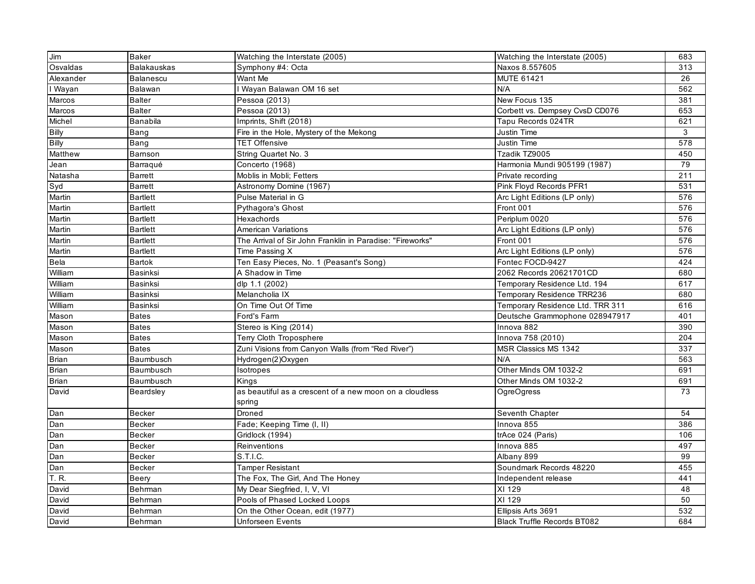| Jim          | Baker            | Watching the Interstate (2005)                                    | Watching the Interstate (2005)     | 683 |
|--------------|------------------|-------------------------------------------------------------------|------------------------------------|-----|
| Osvaldas     | Balakauskas      | Symphony #4: Octa                                                 | Naxos 8.557605                     | 313 |
| Alexander    | Balanescu        | Want Me                                                           | MUTE 61421                         | 26  |
| I Wayan      | Balawan          | Wayan Balawan OM 16 set                                           | N/A                                | 562 |
| Marcos       | <b>Balter</b>    | Pessoa (2013)                                                     | New Focus 135                      | 381 |
| Marcos       | <b>Balter</b>    | Pessoa (2013)                                                     | Corbett vs. Dempsey CvsD CD076     | 653 |
| Michel       | Banabila         | Imprints, Shift (2018)                                            | Tapu Records 024TR                 | 621 |
| <b>Billy</b> | Bang             | Fire in the Hole, Mystery of the Mekong                           | Justin Time                        | 3   |
| <b>Billy</b> | Bang             | <b>TET Offensive</b>                                              | <b>Justin Time</b>                 | 578 |
| Matthew      | Barnson          | String Quartet No. 3                                              | Tzadik TZ9005                      | 450 |
| Jean         | Barragué         | Concerto (1968)                                                   | Harmonia Mundi 905199 (1987)       | 79  |
| Natasha      | Barrett          | Moblis in Mobli; Fetters                                          | Private recording                  | 211 |
| Syd          | Barrett          | Astronomy Domine (1967)                                           | Pink Floyd Records PFR1            | 531 |
| Martin       | <b>Bartlett</b>  | Pulse Material in G                                               | Arc Light Editions (LP only)       | 576 |
| Martin       | <b>Bartlett</b>  | Pythagora's Ghost                                                 | Front 001                          | 576 |
| Martin       | <b>Bartlett</b>  | Hexachords                                                        | Periplum 0020                      | 576 |
| Martin       | Bartlett         | <b>American Variations</b>                                        | Arc Light Editions (LP only)       | 576 |
| Martin       | <b>Bartlett</b>  | The Arrival of Sir John Franklin in Paradise: "Fireworks"         | Front 001                          | 576 |
| Martin       | <b>Bartlett</b>  | Time Passing X                                                    | Arc Light Editions (LP only)       | 576 |
| Bela         | Bartok           | Ten Easy Pieces, No. 1 (Peasant's Song)                           | Fontec FOCD-9427                   | 424 |
| William      | Basinksi         | A Shadow in Time                                                  | 2062 Records 20621701CD            | 680 |
| William      | Basinksi         | dlp 1.1 (2002)                                                    | Temporary Residence Ltd. 194       | 617 |
| William      | Basinksi         | Melancholia IX                                                    | Temporary Residence TRR236         | 680 |
| William      | Basinksi         | On Time Out Of Time                                               | Temporary Residence Ltd. TRR 311   | 616 |
| Mason        | <b>Bates</b>     | Ford's Farm                                                       | Deutsche Grammophone 028947917     | 401 |
| Mason        | <b>Bates</b>     | Stereo is King (2014)                                             | Innova 882                         | 390 |
| Mason        | <b>Bates</b>     | Terry Cloth Troposphere                                           | Innova 758 (2010)                  | 204 |
| Mason        | <b>Bates</b>     | Zuni Visions from Canyon Walls (from "Red River")                 | MSR Classics MS 1342               | 337 |
| <b>Brian</b> | Baumbusch        | Hydrogen(2)Oxygen                                                 | N/A                                | 563 |
| <b>Brian</b> | <b>Baumbusch</b> | Isotropes                                                         | Other Minds OM 1032-2              | 691 |
| <b>Brian</b> | <b>Baumbusch</b> | Kings                                                             | Other Minds OM 1032-2              | 691 |
| David        | Beardsley        | as beautiful as a crescent of a new moon on a cloudless<br>spring | OgreOgress                         | 73  |
| Dan          | Becker           | Droned                                                            | Seventh Chapter                    | 54  |
| Dan          | <b>Becker</b>    | Fade; Keeping Time (I, II)                                        | Innova 855                         | 386 |
| Dan          | <b>Becker</b>    | Gridlock (1994)                                                   | trAce 024 (Paris)                  | 106 |
| Dan          | Becker           | Reinventions                                                      | Innova 885                         | 497 |
| Dan          | Becker           | S.T.I.C.                                                          | Albany 899                         | 99  |
| Dan          | <b>Becker</b>    | Tamper Resistant                                                  | Soundmark Records 48220            | 455 |
| T. R.        | Beery            | The Fox, The Girl, And The Honey                                  | Independent release                | 441 |
| David        | Behrman          | My Dear Siegfried, I, V, VI                                       | XI 129                             | 48  |
| David        | Behrman          | Pools of Phased Locked Loops                                      | XI 129                             | 50  |
| David        | Behrman          | On the Other Ocean, edit (1977)                                   | Ellipsis Arts 3691                 | 532 |
| David        | Behrman          | Unforseen Events                                                  | <b>Black Truffle Records BT082</b> | 684 |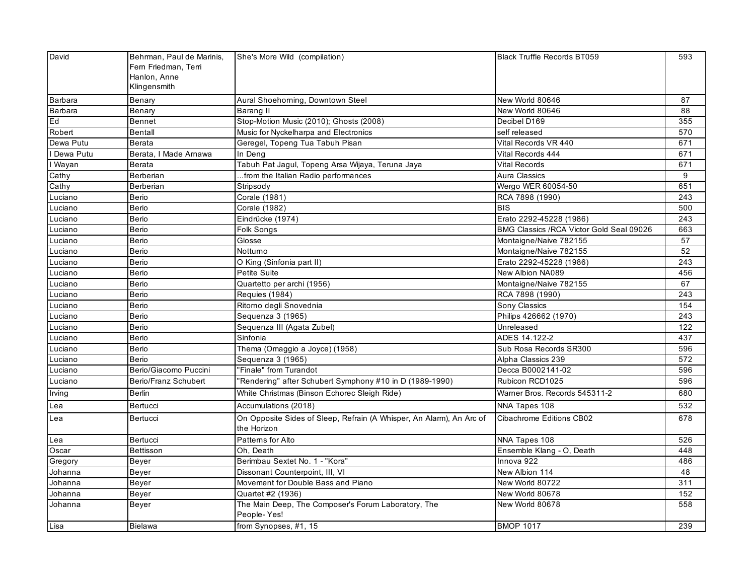| David       | Behrman, Paul de Marinis, | She's More Wild (compilation)                                                       | <b>Black Truffle Records BT059</b>        | 593 |
|-------------|---------------------------|-------------------------------------------------------------------------------------|-------------------------------------------|-----|
|             | Fern Friedman, Terri      |                                                                                     |                                           |     |
|             | Hanlon, Anne              |                                                                                     |                                           |     |
|             | Klingensmith              |                                                                                     |                                           |     |
| Barbara     | Benary                    | Aural Shoehorning, Downtown Steel                                                   | New World 80646                           | 87  |
| Barbara     | Benary                    | Barang II                                                                           | New World 80646                           | 88  |
| Ed          | Bennet                    | Stop-Motion Music (2010); Ghosts (2008)                                             | Decibel D169                              | 355 |
| Robert      | <b>Bentall</b>            | Music for Nyckelharpa and Electronics                                               | self released                             | 570 |
| Dewa Putu   | Berata                    | Geregel, Topeng Tua Tabuh Pisan                                                     | Vital Records VR 440                      | 671 |
| I Dewa Putu | Berata, I Made Arnawa     | In Deng                                                                             | Vital Records 444                         | 671 |
| I Wayan     | Berata                    | Tabuh Pat Jagul, Topeng Arsa Wijaya, Teruna Jaya                                    | <b>Vital Records</b>                      | 671 |
| Cathy       | Berberian                 | from the Italian Radio performances                                                 | Aura Classics                             | 9   |
| Cathy       | Berberian                 | Stripsody                                                                           | Wergo WER 60054-50                        | 651 |
| Luciano     | <b>Berio</b>              | Corale (1981)                                                                       | RCA 7898 (1990)                           | 243 |
| Luciano     | Berio                     | Corale (1982)                                                                       | <b>BIS</b>                                | 500 |
| Luciano     | Berio                     | Eindrücke (1974)                                                                    | Erato 2292-45228 (1986)                   | 243 |
| Luciano     | Berio                     | Folk Songs                                                                          | BMG Classics / RCA Victor Gold Seal 09026 | 663 |
| Luciano     | Berio                     | Glosse                                                                              | Montaigne/Naive 782155                    | 57  |
| Luciano     | Berio                     | Notturno                                                                            | Montaigne/Naive 782155                    | 52  |
| Luciano     | Berio                     | O King (Sinfonia part II)                                                           | Erato 2292-45228 (1986)                   | 243 |
| Luciano     | Berio                     | <b>Petite Suite</b>                                                                 | New Albion NA089                          | 456 |
| Luciano     | Berio                     | Quartetto per archi (1956)                                                          | Montaigne/Naive 782155                    | 67  |
| Luciano     | <b>Berio</b>              | Requies (1984)                                                                      | RCA 7898 (1990)                           | 243 |
| Luciano     | Berio                     | Ritorno degli Snovednia                                                             | Sony Classics                             | 154 |
| Luciano     | Berio                     | Sequenza 3 (1965)                                                                   | Philips 426662 (1970)                     | 243 |
| Luciano     | Berio                     | Sequenza III (Agata Zubel)                                                          | Unreleased                                | 122 |
| Luciano     | Berio                     | Sinfonia                                                                            | ADES 14.122-2                             | 437 |
| Luciano     | Berio                     | Thema (Omaggio a Joyce) (1958)                                                      | Sub Rosa Records SR300                    | 596 |
| Luciano     | Berio                     | Sequenza 3 (1965)                                                                   | Alpha Classics 239                        | 572 |
| Luciano     | Berio/Giacomo Puccini     | "Finale" from Turandot                                                              | Decca B0002141-02                         | 596 |
| Luciano     | Berio/Franz Schubert      | 'Rendering" after Schubert Symphony #10 in D (1989-1990)                            | Rubicon RCD1025                           | 596 |
| Irving      | Berlin                    | White Christmas (Binson Echorec Sleigh Ride)                                        | Warner Bros. Records 545311-2             | 680 |
| Lea         | Bertucci                  | Accumulations (2018)                                                                | NNA Tapes 108                             | 532 |
| Lea         | Bertucci                  | On Opposite Sides of Sleep, Refrain (A Whisper, An Alarm), An Arc of<br>the Horizon | Cibachrome Editions CB02                  | 678 |
| Lea         | Bertucci                  | Patterns for Alto                                                                   | NNA Tapes 108                             | 526 |
| Oscar       | Bettisson                 | Oh. Death                                                                           | Ensemble Klang - O, Death                 | 448 |
| Gregory     | Beyer                     | Berimbau Sextet No. 1 - "Kora"                                                      | Innova 922                                | 486 |
| Johanna     | Beyer                     | Dissonant Counterpoint, III, VI                                                     | New Albion 114                            | 48  |
| Johanna     | Beyer                     | Movement for Double Bass and Piano                                                  | New World 80722                           | 311 |
| Johanna     | Beyer                     | Quartet #2 (1936)                                                                   | New World 80678                           | 152 |
| Johanna     | Beyer                     | The Main Deep, The Composer's Forum Laboratory, The<br>People-Yes!                  | New World 80678                           | 558 |
| Lisa        | Bielawa                   | from Synopses, #1, 15                                                               | <b>BMOP 1017</b>                          | 239 |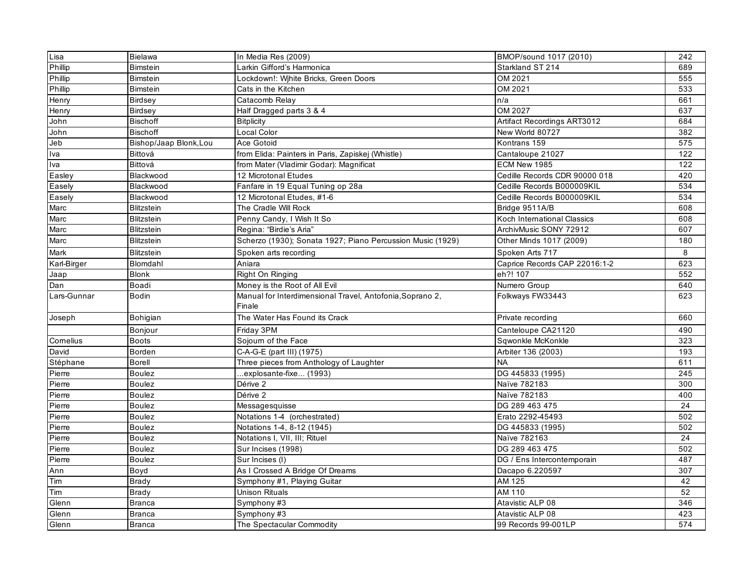| Lisa        | Bielawa                | In Media Res (2009)                                                 | BMOP/sound 1017 (2010)        | 242             |
|-------------|------------------------|---------------------------------------------------------------------|-------------------------------|-----------------|
| Phillip     | <b>Bimstein</b>        | Larkin Gifford's Harmonica                                          | Starkland ST 214              | 689             |
| Phillip     | <b>Bimstein</b>        | Lockdown!: Wihite Bricks, Green Doors                               | OM 2021                       | 555             |
| Phillip     | <b>Bimstein</b>        | Cats in the Kitchen                                                 | OM 2021                       | 533             |
| Henry       | <b>Birdsey</b>         | Catacomb Relay                                                      | n/a                           | 661             |
| Henry       | Birdsey                | Half Dragged parts 3 & 4                                            | OM 2027                       | 637             |
| John        | <b>Bischoff</b>        | Bitplicity                                                          | Artifact Recordings ART3012   | 684             |
| John        | <b>Bischoff</b>        | Local Color                                                         | New World 80727               | 382             |
| Jeb         | Bishop/Jaap Blonk, Lou | Ace Gotoid                                                          | Kontrans 159                  | 575             |
| Iva         | Bittová                | from Elida: Painters in Paris, Zapiskej (Whistle)                   | Cantaloupe 21027              | 122             |
| Iva         | Bittová                | from Mater (Vladimir Godar): Magnificat                             | ECM New 1985                  | 122             |
| Easley      | Blackwood              | 12 Microtonal Etudes                                                | Cedille Records CDR 90000 018 | 420             |
| Easely      | Blackwood              | Fanfare in 19 Equal Tuning op 28a                                   | Cedille Records B000009KIL    | 534             |
| Easely      | Blackwood              | 12 Microtonal Etudes, #1-6                                          | Cedille Records B000009KIL    | 534             |
| Marc        | Blitzstein             | The Cradle Will Rock                                                | Bridge 9511A/B                | 608             |
| Marc        | <b>Blitzstein</b>      | Penny Candy, I Wish It So                                           | Koch International Classics   | 608             |
| Marc        | Blitzstein             | Regina: "Birdie's Aria"                                             | ArchivMusic SONY 72912        | 607             |
| Marc        | <b>Blitzstein</b>      | Scherzo (1930); Sonata 1927; Piano Percussion Music (1929)          | Other Minds 1017 (2009)       | 180             |
| Mark        | Blitzstein             | Spoken arts recording                                               | Spoken Arts 717               | 8               |
| Karl-Birger | Blomdahl               | Aniara                                                              | Caprice Records CAP 22016:1-2 | 623             |
| Jaap        | <b>Blonk</b>           | Right On Ringing                                                    | eh?! 107                      | 552             |
| Dan         | Boadi                  | Money is the Root of All Evil                                       | Numero Group                  | 640             |
| Lars-Gunnar | <b>Bodin</b>           | Manual for Interdimensional Travel, Antofonia, Soprano 2,<br>Finale | Folkways FW33443              | 623             |
| Joseph      | Bohigian               | The Water Has Found its Crack                                       | Private recording             | 660             |
|             | Bonjour                | Friday 3PM                                                          | Canteloupe CA21120            | 490             |
| Cornelius   | <b>Boots</b>           | Sojourn of the Face                                                 | Sqwonkle McKonkle             | 323             |
| David       | Borden                 | C-A-G-E (part III) (1975)                                           | Arbiter 136 (2003)            | 193             |
| Stéphane    | <b>Borell</b>          | Three pieces from Anthology of Laughter                             | <b>NA</b>                     | 611             |
| Pierre      | <b>Boulez</b>          | .explosante-fixe (1993)                                             | DG 445833 (1995)              | 245             |
| Pierre      | <b>Boulez</b>          | Dérive 2                                                            | Naïve 782183                  | 300             |
| Pierre      | <b>Boulez</b>          | Dérive 2                                                            | Naïve 782183                  | 400             |
| Pierre      | <b>Boulez</b>          | Messagesquisse                                                      | DG 289 463 475                | 24              |
| Pierre      | <b>Boulez</b>          | Notations 1-4 (orchestrated)                                        | Erato 2292-45493              | 502             |
| Pierre      | <b>Boulez</b>          | Notations 1-4, 8-12 (1945)                                          | DG 445833 (1995)              | 502             |
| Pierre      | <b>Boulez</b>          | Notations I, VII, III; Rituel                                       | Naïve 782163                  | $\overline{24}$ |
| Pierre      | Boulez                 | Sur Incises (1998)                                                  | DG 289 463 475                | 502             |
| Pierre      | <b>Boulez</b>          | Sur Incises (I)                                                     | DG / Ens Intercontemporain    | 487             |
| Ann         | Boyd                   | As I Crossed A Bridge Of Dreams                                     | Dacapo 6.220597               | 307             |
| Tim         | Brady                  | Symphony #1, Playing Guitar                                         | AM 125                        | 42              |
| Tim         | <b>Brady</b>           | Unison Rituals                                                      | AM 110                        | 52              |
| Glenn       | <b>Branca</b>          | Symphony #3                                                         | Atavistic ALP 08              | 346             |
| Glenn       | <b>Branca</b>          | Symphony #3                                                         | Atavistic ALP 08              | 423             |
| Glenn       | <b>Branca</b>          | The Spectacular Commodity                                           | 99 Records 99-001LP           | 574             |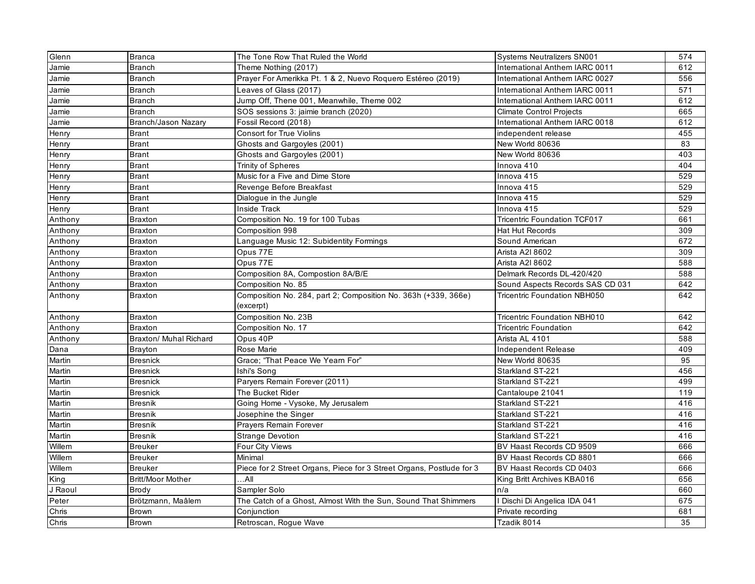| Glenn   | <b>Branca</b>            | The Tone Row That Ruled the World                                    | <b>Systems Neutralizers SN001</b>   | 574 |
|---------|--------------------------|----------------------------------------------------------------------|-------------------------------------|-----|
| Jamie   | <b>Branch</b>            | Theme Nothing (2017)                                                 | International Anthem IARC 0011      | 612 |
| Jamie   | <b>Branch</b>            | Prayer For Amerikka Pt. 1 & 2, Nuevo Roquero Estéreo (2019)          | International Anthem IARC 0027      | 556 |
| Jamie   | Branch                   | Leaves of Glass (2017)                                               | International Anthem IARC 0011      | 571 |
| Jamie   | <b>Branch</b>            | Jump Off, Thene 001, Meanwhile, Theme 002                            | International Anthem IARC 0011      | 612 |
| Jamie   | <b>Branch</b>            | SOS sessions 3: jaimie branch (2020)                                 | <b>Climate Control Projects</b>     | 665 |
| Jamie   | Branch/Jason Nazary      | Fossil Record (2018)                                                 | International Anthem IARC 0018      | 612 |
| Henry   | <b>Brant</b>             | <b>Consort for True Violins</b>                                      | independent release                 | 455 |
| Henry   | <b>Brant</b>             | Ghosts and Gargoyles (2001)                                          | New World 80636                     | 83  |
| Henry   | <b>Brant</b>             | Ghosts and Gargoyles (2001)                                          | New World 80636                     | 403 |
| Henry   | <b>Brant</b>             | <b>Trinity of Spheres</b>                                            | Innova 410                          | 404 |
| Henry   | <b>Brant</b>             | Music for a Five and Dime Store                                      | Innova 415                          | 529 |
| Henry   | <b>Brant</b>             | Revenge Before Breakfast                                             | Innova 415                          | 529 |
| Henry   | <b>Brant</b>             | Dialogue in the Jungle                                               | Innova 415                          | 529 |
| Henry   | <b>Brant</b>             | <b>Inside Track</b>                                                  | Innova 415                          | 529 |
| Anthony | <b>Braxton</b>           | Composition No. 19 for 100 Tubas                                     | <b>Tricentric Foundation TCF017</b> | 661 |
| Anthony | Braxton                  | Composition 998                                                      | Hat Hut Records                     | 309 |
| Anthony | <b>Braxton</b>           | Language Music 12: Subidentity Formings                              | Sound American                      | 672 |
| Anthony | Braxton                  | Opus 77E                                                             | Arista A2I 8602                     | 309 |
| Anthony | Braxton                  | Opus 77E                                                             | Arista A2I 8602                     | 588 |
| Anthony | <b>Braxton</b>           | Composition 8A, Compostion 8A/B/E                                    | Delmark Records DL-420/420          | 588 |
| Anthony | <b>Braxton</b>           | Composition No. 85                                                   | Sound Aspects Records SAS CD 031    | 642 |
| Anthony | Braxton                  | Composition No. 284, part 2; Composition No. 363h (+339, 366e)       | <b>Tricentric Foundation NBH050</b> | 642 |
|         |                          | (excerpt)                                                            |                                     |     |
| Anthony | <b>Braxton</b>           | Composition No. 23B                                                  | <b>Tricentric Foundation NBH010</b> | 642 |
| Anthony | <b>Braxton</b>           | Composition No. 17                                                   | <b>Tricentric Foundation</b>        | 642 |
| Anthony | Braxton/ Muhal Richard   | Opus 40P                                                             | Arista AL 4101                      | 588 |
| Dana    | Brayton                  | Rose Marie                                                           | Independent Release                 | 409 |
| Martin  | <b>Bresnick</b>          | Grace; "That Peace We Yearn For"                                     | New World 80635                     | 95  |
| Martin  | <b>Bresnick</b>          | Ishi's Song                                                          | Starkland ST-221                    | 456 |
| Martin  | <b>Bresnick</b>          | Paryers Remain Forever (2011)                                        | Starkland ST-221                    | 499 |
| Martin  | <b>Bresnick</b>          | The Bucket Rider                                                     | Cantaloupe 21041                    | 119 |
| Martin  | <b>Bresnik</b>           | Going Home - Vysoke, My Jerusalem                                    | Starkland ST-221                    | 416 |
| Martin  | Bresnik                  | Josephine the Singer                                                 | Starkland ST-221                    | 416 |
| Martin  | <b>Bresnik</b>           | Prayers Remain Forever                                               | Starkland ST-221                    | 416 |
| Martin  | <b>Bresnik</b>           | <b>Strange Devotion</b>                                              | Starkland ST-221                    | 416 |
| Willem  | Breuker                  | Four City Views                                                      | BV Haast Records CD 9509            | 666 |
| Willem  | Breuker                  | Minimal                                                              | BV Haast Records CD 8801            | 666 |
| Willem  | <b>Breuker</b>           | Piece for 2 Street Organs, Piece for 3 Street Organs, Postlude for 3 | BV Haast Records CD 0403            | 666 |
| King    | <b>Britt/Moor Mother</b> | …All                                                                 | King Britt Archives KBA016          | 656 |
| J Raoul | <b>Brody</b>             | Sampler Solo                                                         | n/a                                 | 660 |
| Peter   | Brötzmann, Maâlem        | The Catch of a Ghost, Almost With the Sun, Sound That Shimmers       | I Dischi Di Angelica IDA 041        | 675 |
| Chris   | <b>Brown</b>             | Conjunction                                                          | Private recording                   | 681 |
| Chris   | Brown                    | Retroscan, Rogue Wave                                                | Tzadik 8014                         | 35  |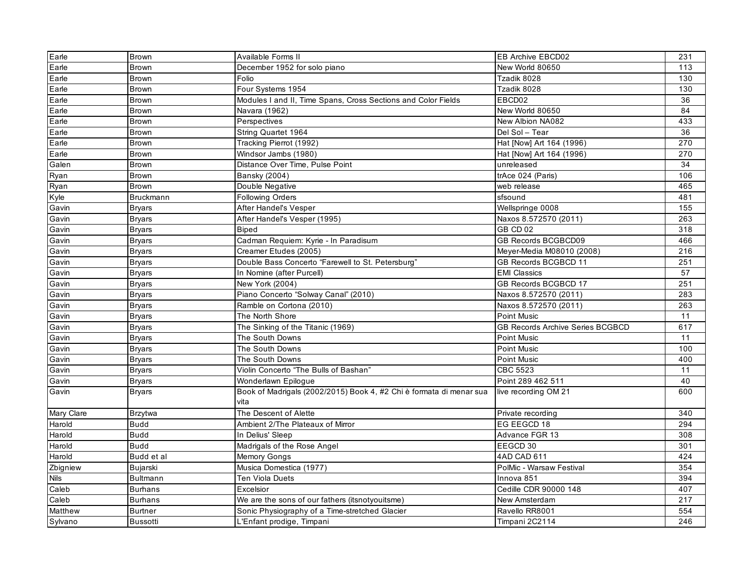| Earle                        | <b>Brown</b>     | Available Forms II                                                          | EB Archive EBCD02                       | 231 |
|------------------------------|------------------|-----------------------------------------------------------------------------|-----------------------------------------|-----|
| Earle                        | <b>Brown</b>     | December 1952 for solo piano                                                | New World 80650                         | 113 |
| Earle                        | Brown            | Folio                                                                       | Tzadik 8028                             | 130 |
| Earle                        | Brown            | Four Systems 1954                                                           | Tzadik 8028                             | 130 |
| $E$ arle                     | <b>Brown</b>     | Modules I and II, Time Spans, Cross Sections and Color Fields               | EBCD02                                  | 36  |
| Earle                        | <b>Brown</b>     | Navara (1962)                                                               | New World 80650                         | 84  |
| Earle                        | <b>Brown</b>     | Perspectives                                                                | New Albion NA082                        | 433 |
| Earle                        | <b>Brown</b>     | String Quartet 1964                                                         | Del Sol - Tear                          | 36  |
| Earle                        | <b>Brown</b>     | Tracking Pierrot (1992)                                                     | Hat [Now] Art 164 (1996)                | 270 |
| Earle                        | <b>Brown</b>     | Windsor Jambs (1980)                                                        | Hat [Now] Art 164 (1996)                | 270 |
| Galen                        | <b>Brown</b>     | Distance Over Time, Pulse Point                                             | unreleased                              | 34  |
| Ryan                         | <b>Brown</b>     | Bansky (2004)                                                               | trAce 024 (Paris)                       | 106 |
| Ryan                         | <b>Brown</b>     | Double Negative                                                             | web release                             | 465 |
| Kyle                         | <b>Bruckmann</b> | <b>Following Orders</b>                                                     | sfsound                                 | 481 |
| Gavin                        | <b>Bryars</b>    | After Handel's Vesper                                                       | Wellspringe 0008                        | 155 |
| Gavin                        | <b>Bryars</b>    | After Handel's Vesper (1995)                                                | Naxos 8.572570 (2011)                   | 263 |
| Gavin                        | <b>Bryars</b>    | <b>Biped</b>                                                                | GB CD 02                                | 318 |
| Gavin                        | <b>Bryars</b>    | Cadman Requiem: Kyrie - In Paradisum                                        | GB Records BCGBCD09                     | 466 |
| Gavin                        | <b>Bryars</b>    | Creamer Etudes (2005)                                                       | Meyer-Media M08010 (2008)               | 216 |
| Gavin                        | <b>Bryars</b>    | Double Bass Concerto "Farewell to St. Petersburg'                           | GB Records BCGBCD 11                    | 251 |
| Gavin                        | <b>Bryars</b>    | In Nomine (after Purcell)                                                   | <b>EMI Classics</b>                     | 57  |
| Gavin                        | <b>Bryars</b>    | New York (2004)                                                             | GB Records BCGBCD 17                    | 251 |
| Gavin                        | <b>Bryars</b>    | Piano Concerto "Solway Canal" (2010)                                        | Naxos 8.572570 (2011)                   | 283 |
| Gavin                        | <b>Bryars</b>    | Ramble on Cortona (2010)                                                    | Naxos 8.572570 (2011)                   | 263 |
| Gavin                        | <b>Bryars</b>    | The North Shore                                                             | Point Music                             | 11  |
| Gavin                        | <b>Bryars</b>    | The Sinking of the Titanic (1969)                                           | <b>GB Records Archive Series BCGBCD</b> | 617 |
| Gavin                        | <b>Bryars</b>    | The South Downs                                                             | Point Music                             | 11  |
| Gavin                        | <b>Bryars</b>    | The South Downs                                                             | Point Music                             | 100 |
| Gavin                        | <b>Bryars</b>    | The South Downs                                                             | Point Music                             | 400 |
| Gavin                        | <b>Bryars</b>    | Violin Concerto "The Bulls of Bashan"                                       | CBC 5523                                | 11  |
| Gavin                        | <b>Bryars</b>    | Wonderlawn Epilogue                                                         | Point 289 462 511                       | 40  |
| Gavin                        | <b>Bryars</b>    | Book of Madrigals (2002/2015) Book 4, #2 Chi è formata di menar sua<br>vita | live recording OM 21                    | 600 |
| Mary Clare                   | <b>Brzytwa</b>   | The Descent of Alette                                                       | Private recording                       | 340 |
| Harold                       | <b>Budd</b>      | Ambient 2/The Plateaux of Mirror                                            | EG EEGCD 18                             | 294 |
| Harold                       | <b>Budd</b>      | In Delius' Sleep                                                            | Advance FGR 13                          | 308 |
| Harold                       | Budd             | Madrigals of the Rose Angel                                                 | EEGCD 30                                | 301 |
| Harold                       | Budd et al       | <b>Memory Gongs</b>                                                         | 4AD CAD 611                             | 424 |
| Zbigniew                     | Bujarski         | Musica Domestica (1977)                                                     | PolMic - Warsaw Festival                | 354 |
| Nils                         | <b>Bultmann</b>  | <b>Ten Viola Duets</b>                                                      | Innova 851                              | 394 |
| $\overline{\mathsf{C}}$ aleb | <b>Burhans</b>   | Excelsior                                                                   | Cedille CDR 90000 148                   | 407 |
| Caleb                        | <b>Burhans</b>   | We are the sons of our fathers (itsnotyouitsme)                             | New Amsterdam                           | 217 |
| Matthew                      | <b>Burtner</b>   | Sonic Physiography of a Time-stretched Glacier                              | Ravello RR8001                          | 554 |
| Sylvano                      | <b>Bussotti</b>  | L'Enfant prodige, Timpani                                                   | Timpani 2C2114                          | 246 |
|                              |                  |                                                                             |                                         |     |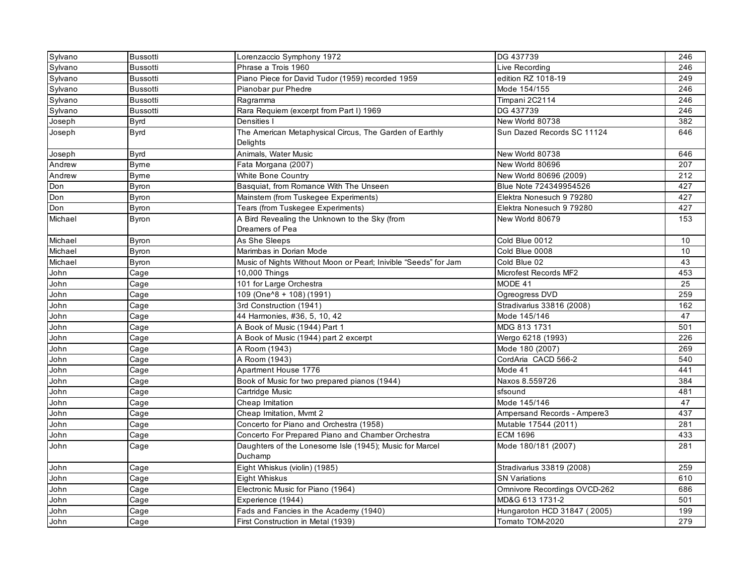| Sylvano | <b>Bussotti</b> | Lorenzaccio Symphony 1972                                       | DG 437739                    | 246 |
|---------|-----------------|-----------------------------------------------------------------|------------------------------|-----|
| Sylvano | <b>Bussotti</b> | Phrase a Trois 1960                                             | Live Recording               | 246 |
| Sylvano | <b>Bussotti</b> | Piano Piece for David Tudor (1959) recorded 1959                | edition RZ 1018-19           | 249 |
| Sylvano | <b>Bussotti</b> | Pianobar pur Phedre                                             | Mode 154/155                 | 246 |
| Sylvano | <b>Bussotti</b> | Ragramma                                                        | Timpani 2C2114               | 246 |
| Sylvano | <b>Bussotti</b> | Rara Requiem (excerpt from Part I) 1969                         | DG 437739                    | 246 |
| Joseph  | Byrd            | Densities I                                                     | New World 80738              | 382 |
| Joseph  | <b>Byrd</b>     | The American Metaphysical Circus, The Garden of Earthly         | Sun Dazed Records SC 11124   | 646 |
|         |                 | Delights                                                        |                              |     |
| Joseph  | <b>Byrd</b>     | Animals, Water Music                                            | New World 80738              | 646 |
| Andrew  | <b>Byme</b>     | Fata Morgana (2007)                                             | New World 80696              | 207 |
| Andrew  | Byme            | White Bone Country                                              | New World 80696 (2009)       | 212 |
| Don     | Byron           | Basquiat, from Romance With The Unseen                          | Blue Note 724349954526       | 427 |
| Don     | Byron           | Mainstem (from Tuskegee Experiments)                            | Elektra Nonesuch 9 79280     | 427 |
| Don     | Byron           | Tears (from Tuskegee Experiments)                               | Elektra Nonesuch 9 79280     | 427 |
| Michael | Byron           | A Bird Revealing the Unknown to the Sky (from                   | New World 80679              | 153 |
|         |                 | Dreamers of Pea                                                 |                              |     |
| Michael | Byron           | As She Sleeps                                                   | Cold Blue 0012               | 10  |
| Michael | <b>Byron</b>    | Marimbas in Dorian Mode                                         | Cold Blue 0008               | 10  |
| Michael | Byron           | Music of Nights Without Moon or Pearl; Inivible "Seeds" for Jam | Cold Blue 02                 | 43  |
| John    | Cage            | 10,000 Things                                                   | Microfest Records MF2        | 453 |
| John    | Cage            | 101 for Large Orchestra                                         | MODE 41                      | 25  |
| John    | Cage            | 109 (One <sup>1</sup> 8 + 108) (1991)                           | Ogreogress DVD               | 259 |
| John    | Cage            | 3rd Construction (1941)                                         | Stradivarius 33816 (2008)    | 162 |
| John    | Cage            | 44 Harmonies, #36, 5, 10, 42                                    | Mode 145/146                 | 47  |
| John    | Cage            | A Book of Music (1944) Part 1                                   | MDG 813 1731                 | 501 |
| John    | Cage            | A Book of Music (1944) part 2 excerpt                           | Wergo 6218 (1993)            | 226 |
| John    | Cage            | A Room (1943)                                                   | Mode 180 (2007)              | 269 |
| John    | Cage            | A Room (1943)                                                   | CordAria CACD 566-2          | 540 |
| John    | Cage            | Apartment House 1776                                            | Mode 41                      | 441 |
| John    | Cage            | Book of Music for two prepared pianos (1944)                    | Naxos 8.559726               | 384 |
| John    | Cage            | Cartridge Music                                                 | sfsound                      | 481 |
| John    | Cage            | Cheap Imitation                                                 | Mode 145/146                 | 47  |
| John    | Cage            | Cheap Imitation, Mvmt 2                                         | Ampersand Records - Ampere3  | 437 |
| John    | Cage            | Concerto for Piano and Orchestra (1958)                         | Mutable 17544 (2011)         | 281 |
| John    | Cage            | Concerto For Prepared Piano and Chamber Orchestra               | <b>ECM 1696</b>              | 433 |
| John    | Cage            | Daughters of the Lonesome Isle (1945); Music for Marcel         | Mode 180/181 (2007)          | 281 |
|         |                 | Duchamp                                                         |                              |     |
| John    | Cage            | Eight Whiskus (violin) (1985)                                   | Stradivarius 33819 (2008)    | 259 |
| John    | Cage            | Eight Whiskus                                                   | <b>SN Variations</b>         | 610 |
| John    | Cage            | Electronic Music for Piano (1964)                               | Omnivore Recordings OVCD-262 | 686 |
| John    | Cage            | Experience (1944)                                               | MD&G 613 1731-2              | 501 |
| John    | Cage            | Fads and Fancies in the Academy (1940)                          | Hungaroton HCD 31847 (2005)  | 199 |
| John    | Cage            | First Construction in Metal (1939)                              | Tomato TOM-2020              | 279 |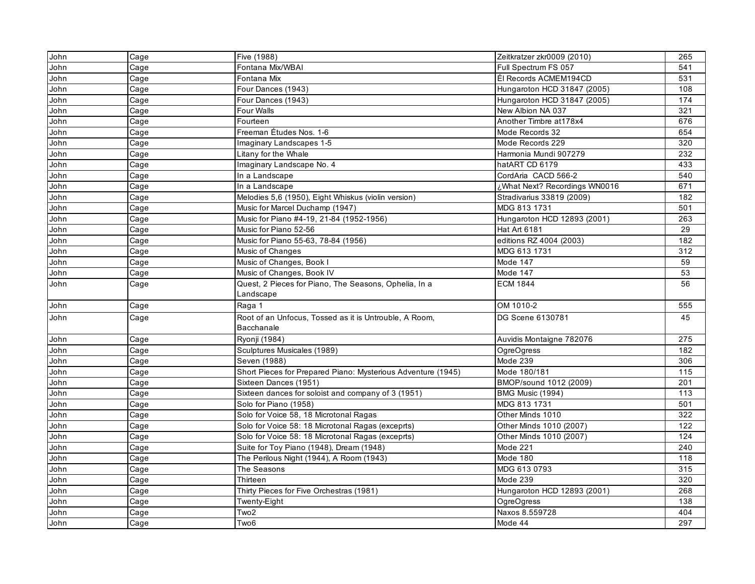| John | Cage | Five (1988)                                                  | Zeitkratzer zkr0009 (2010)    | 265            |
|------|------|--------------------------------------------------------------|-------------------------------|----------------|
| John | Cage | Fontana Mix/WBAI                                             | Full Spectrum FS 057          | 541            |
| John | Cage | Fontana Mix                                                  | Él Records ACMEM194CD         | 531            |
| John | Cage | Four Dances (1943)                                           | Hungaroton HCD 31847 (2005)   | 108            |
| John | Cage | Four Dances (1943)                                           | Hungaroton HCD 31847 (2005)   | 174            |
| John | Cage | Four Walls                                                   | New Albion NA 037             | 321            |
| John | Cage | Fourteen                                                     | Another Timbre at178x4        | 676            |
| John | Cage | Freeman Études Nos. 1-6                                      | Mode Records 32               | 654            |
| John | Cage | Imaginary Landscapes 1-5                                     | Mode Records 229              | 320            |
| John | Cage | Litany for the Whale                                         | Harmonia Mundi 907279         | 232            |
| John | Cage | Imaginary Landscape No. 4                                    | hatART CD 6179                | 433            |
| John | Cage | In a Landscape                                               | CordAria CACD 566-2           | 540            |
| John | Cage | In a Landscape                                               | ¿What Next? Recordings WN0016 | 671            |
| John | Cage | Melodies 5,6 (1950), Eight Whiskus (violin version)          | Stradivarius 33819 (2009)     | 182            |
| John | Cage | Music for Marcel Duchamp (1947)                              | MDG 813 1731                  | 501            |
| John | Cage | Music for Piano #4-19, 21-84 (1952-1956)                     | Hungaroton HCD 12893 (2001)   | 263            |
| John | Cage | Music for Piano 52-56                                        | Hat Art 6181                  | 29             |
| John | Cage | Music for Piano 55-63, 78-84 (1956)                          | editions RZ 4004 (2003)       | 182            |
| John | Cage | Music of Changes                                             | MDG 613 1731                  | 312            |
| John | Cage | Music of Changes, Book I                                     | Mode 147                      | 59             |
| John | Cage | Music of Changes, Book IV                                    | Mode 147                      | 53             |
| John | Cage | Quest, 2 Pieces for Piano, The Seasons, Ophelia, In a        | <b>ECM 1844</b>               | 56             |
|      |      | Landscape                                                    |                               |                |
| John | Cage | Raga 1                                                       | OM 1010-2                     | 555            |
| John | Cage | Root of an Unfocus, Tossed as it is Untrouble, A Room,       | DG Scene 6130781              | 45             |
|      |      | Bacchanale                                                   |                               |                |
| John | Cage | Ryonji (1984)                                                | Auvidis Montaigne 782076      | 275            |
| John | Cage | Sculptures Musicales (1989)                                  | <b>OgreOgress</b>             | 182            |
| John | Cage | Seven (1988)                                                 | Mode 239                      | 306            |
| John | Cage | Short Pieces for Prepared Piano: Mysterious Adventure (1945) | Mode 180/181                  | 115            |
| John | Cage | Sixteen Dances (1951)                                        | BMOP/sound 1012 (2009)        | 201            |
| John | Cage | Sixteen dances for soloist and company of 3 (1951)           | BMG Music (1994)              | $\frac{1}{13}$ |
| John | Cage | Solo for Piano (1958)                                        | MDG 813 1731                  | 501            |
| John | Cage | Solo for Voice 58, 18 Microtonal Ragas                       | Other Minds 1010              | 322            |
| John | Cage | Solo for Voice 58: 18 Microtonal Ragas (exceprts)            | Other Minds 1010 (2007)       | 122            |
| John | Cage | Solo for Voice 58: 18 Microtonal Ragas (exceprts)            | Other Minds 1010 (2007)       | 124            |
| John | Cage | Suite for Toy Piano (1948), Dream (1948)                     | Mode 221                      | 240            |
| John | Cage | The Perilous Night (1944), A Room (1943)                     | Mode 180                      | 118            |
| John | Cage | The Seasons                                                  | MDG 613 0793                  | 315            |
| John | Cage | Thirteen                                                     | Mode 239                      | 320            |
| John | Cage | Thirty Pieces for Five Orchestras (1981)                     | Hungaroton HCD 12893 (2001)   | 268            |
| John | Cage | Twenty-Eight                                                 | <b>OgreOgress</b>             | 138            |
| John | Cage | Two <sub>2</sub>                                             | Naxos 8.559728                | 404            |
| John | Cage | Two6                                                         | Mode 44                       | 297            |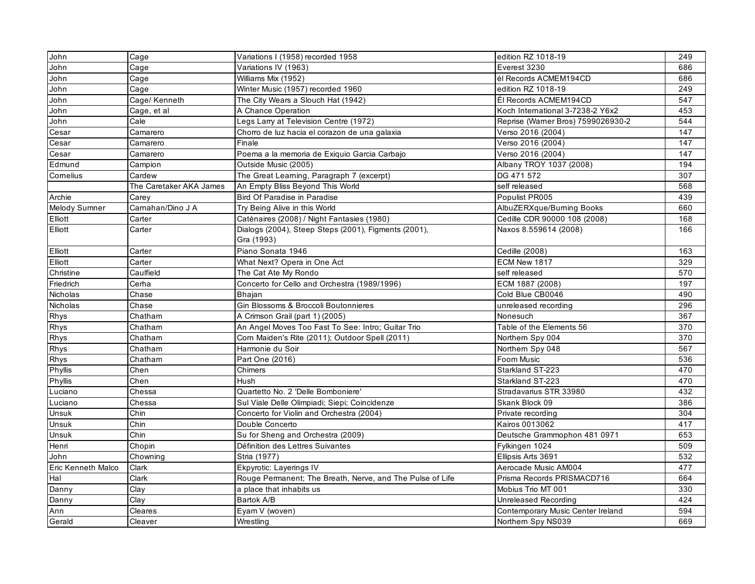| John               | Cage                    | Variations I (1958) recorded 1958                                  | edition RZ 1018-19                 | 249 |
|--------------------|-------------------------|--------------------------------------------------------------------|------------------------------------|-----|
| John               | Cage                    | Variations IV (1963)                                               | Everest 3230                       | 686 |
| John               | Cage                    | Williams Mix (1952)                                                | él Records ACMEM194CD              | 686 |
| John               | Cage                    | Winter Music (1957) recorded 1960                                  | edition RZ 1018-19                 | 249 |
| John               | Cage/ Kenneth           | The City Wears a Slouch Hat (1942)                                 | Él Records ACMEM194CD              | 547 |
| John               | Cage, et al             | A Chance Operation                                                 | Koch International 3-7238-2 Y6x2   | 453 |
| John               | Cale                    | Legs Larry at Television Centre (1972)                             | Reprise (Warner Bros) 7599026930-2 | 544 |
| Cesar              | Camarero                | Chorro de luz hacia el corazon de una galaxia                      | Verso 2016 (2004)                  | 147 |
| Cesar              | Camarero                | Finale                                                             | Verso 2016 (2004)                  | 147 |
| Cesar              | Camarero                | Poema a la memoria de Exiquio Garcia Carbajo                       | Verso 2016 (2004)                  | 147 |
| Edmund             | Campion                 | Outside Music (2005)                                               | Albany TROY 1037 (2008)            | 194 |
| Cornelius          | Cardew                  | The Great Learning, Paragraph 7 (excerpt)                          | DG 471 572                         | 307 |
|                    | The Caretaker AKA James | An Empty Bliss Beyond This World                                   | self released                      | 568 |
| Archie             | Carey                   | Bird Of Paradise in Paradise                                       | Populist PR005                     | 439 |
| Melody Sumner      | Carnahan/Dino J A       | Try Being Alive in this World                                      | AlbuZERXque/Burning Books          | 660 |
| Elliott            | Carter                  | Caténaires (2008) / Night Fantasies (1980)                         | Cedille CDR 90000 108 (2008)       | 168 |
| Elliott            | Carter                  | Dialogs (2004), Steep Steps (2001), Figments (2001),<br>Gra (1993) | Naxos 8.559614 (2008)              | 166 |
| Elliott            | Carter                  | Piano Sonata 1946                                                  | Cedille (2008)                     | 163 |
| Elliott            | Carter                  | What Next? Opera in One Act                                        | ECM New 1817                       | 329 |
| Christine          | Caulfield               | The Cat Ate My Rondo                                               | self released                      | 570 |
| Friedrich          | Cerha                   | Concerto for Cello and Orchestra (1989/1996)                       | ECM 1887 (2008)                    | 197 |
| Nicholas           | Chase                   | Bhajan                                                             | Cold Blue CB0046                   | 490 |
| Nicholas           | Chase                   | Gin Blossoms & Broccoli Boutonnieres                               | unreleased recording               | 296 |
| Rhys               | Chatham                 | A Crimson Grail (part 1) (2005)                                    | Nonesuch                           | 367 |
| Rhys               | Chatham                 | An Angel Moves Too Fast To See: Intro; Guitar Trio                 | Table of the Elements 56           | 370 |
| Rhys               | Chatham                 | Corn Maiden's Rite (2011); Outdoor Spell (2011)                    | Northern Spy 004                   | 370 |
| Rhys               | Chatham                 | Harmonie du Soir                                                   | Northern Spy 048                   | 567 |
| Rhys               | Chatham                 | Part One (2016)                                                    | Foom Music                         | 536 |
| Phyllis            | Chen                    | Chimers                                                            | Starkland ST-223                   | 470 |
| Phyllis            | Chen                    | <b>Hush</b>                                                        | Starkland ST-223                   | 470 |
| Luciano            | Chessa                  | Quartetto No. 2 'Delle Bomboniere'                                 | Stradavarius STR 33980             | 432 |
| Luciano            | Chessa                  | Sul Viale Delle Olimpiadi; Siepi; Coincidenze                      | Skank Block 09                     | 386 |
| Unsuk              | Chin                    | Concerto for Violin and Orchestra (2004)                           | Private recording                  | 304 |
| Unsuk              | Chin                    | Double Concerto                                                    | Kairos 0013062                     | 417 |
| Unsuk              | Chin                    | Su for Sheng and Orchestra (2009)                                  | Deutsche Grammophon 481 0971       | 653 |
| Henri              | Chopin                  | Définition des Lettres Suivantes                                   | Fylkingen 1024                     | 509 |
| John               | Chowning                | Stria (1977)                                                       | Ellipsis Arts 3691                 | 532 |
| Eric Kenneth Malco | Clark                   | Ekpyrotic: Layerings IV                                            | Aerocade Music AM004               | 477 |
| Hal                | Clark                   | Rouge Permanent; The Breath, Nerve, and The Pulse of Life          | Prisma Records PRISMACD716         | 664 |
| Danny              | Clay                    | a place that inhabits us                                           | Mobius Trio MT 001                 | 330 |
| Danny              | Clay                    | Bartok A/B                                                         | Unreleased Recording               | 424 |
| Ann                | Cleares                 | Eyam V (woven)                                                     | Contemporary Music Center Ireland  | 594 |
| Gerald             | Cleaver                 | Wrestling                                                          | Northern Spy NS039                 | 669 |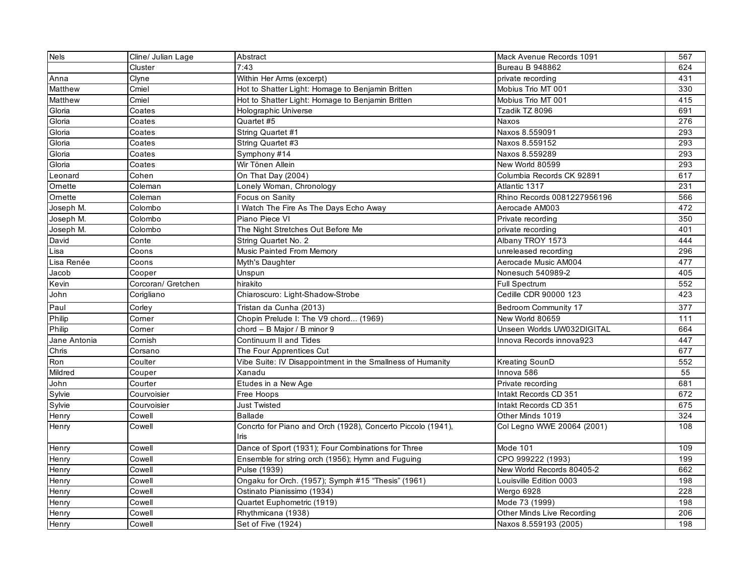| <b>Nels</b>  | Cline/ Julian Lage | Abstract                                                            | Mack Avenue Records 1091    | 567 |
|--------------|--------------------|---------------------------------------------------------------------|-----------------------------|-----|
|              | Cluster            | 7:43                                                                | <b>Bureau B 948862</b>      | 624 |
| Anna         | Clyne              | Within Her Arms (excerpt)                                           | private recording           | 431 |
| Matthew      | Cmiel              | Hot to Shatter Light: Homage to Benjamin Britten                    | Mobius Trio MT 001          | 330 |
| Matthew      | Cmiel              | Hot to Shatter Light: Homage to Benjamin Britten                    | Mobius Trio MT 001          | 415 |
| Gloria       | Coates             | Holographic Universe                                                | Tzadik TZ 8096              | 691 |
| Gloria       | Coates             | Quartet #5                                                          | Naxos                       | 276 |
| Gloria       | Coates             | String Quartet #1                                                   | Naxos 8.559091              | 293 |
| Gloria       | Coates             | String Quartet #3                                                   | Naxos 8.559152              | 293 |
| Gloria       | Coates             | Symphony #14                                                        | Naxos 8.559289              | 293 |
| Gloria       | Coates             | Wir Tönen Allein                                                    | New World 80599             | 293 |
| Leonard      | Cohen              | On That Day (2004)                                                  | Columbia Records CK 92891   | 617 |
| Ornette      | Coleman            | Lonely Woman, Chronology                                            | Atlantic 1317               | 231 |
| Ornette      | Coleman            | Focus on Sanity                                                     | Rhino Records 0081227956196 | 566 |
| Joseph M.    | Colombo            | I Watch The Fire As The Days Echo Away                              | Aerocade AM003              | 472 |
| Joseph M.    | Colombo            | Piano Piece VI                                                      | Private recording           | 350 |
| Joseph M.    | Colombo            | The Night Stretches Out Before Me                                   | private recording           | 401 |
| David        | Conte              | String Quartet No. 2                                                | Albany TROY 1573            | 444 |
| Lisa         | Coons              | <b>Music Painted From Memory</b>                                    | unreleased recording        | 296 |
| Lisa Renée   | Coons              | Myth's Daughter                                                     | Aerocade Music AM004        | 477 |
| Jacob        | Cooper             | Unspun                                                              | Nonesuch 540989-2           | 405 |
| Kevin        | Corcoran/ Gretchen | hirakito                                                            | <b>Full Spectrum</b>        | 552 |
| John         | Corigliano         | Chiaroscuro: Light-Shadow-Strobe                                    | Cedille CDR 90000 123       | 423 |
| Paul         | Corley             | Tristan da Cunha (2013)                                             | Bedroom Community 17        | 377 |
| Philip       | Corner             | Chopin Prelude I: The V9 chord (1969)                               | New World 80659             | 111 |
| Philip       | Corner             | chord - B Major / B minor 9                                         | Unseen Worlds UW032DIGITAL  | 664 |
| Jane Antonia | Cornish            | Continuum II and Tides                                              | Innova Records innova923    | 447 |
| Chris        | Corsano            | The Four Apprentices Cut                                            |                             | 677 |
| Ron          | Coulter            | Vibe Suite: IV Disappointment in the Smallness of Humanity          | Kreating SounD              | 552 |
| Mildred      | Couper             | Xanadu                                                              | Innova 586                  | 55  |
| John         | Courter            | Etudes in a New Age                                                 | Private recording           | 681 |
| Sylvie       | Courvoisier        | Free Hoops                                                          | Intakt Records CD 351       | 672 |
| Sylvie       | Courvoisier        | <b>Just Twisted</b>                                                 | Intakt Records CD 351       | 675 |
| Henry        | Cowell             | <b>Ballade</b>                                                      | Other Minds 1019            | 324 |
| Henry        | Cowell             | Concrto for Piano and Orch (1928), Concerto Piccolo (1941),<br>Iris | Col Legno WWE 20064 (2001)  | 108 |
| Henry        | Cowell             | Dance of Sport (1931); Four Combinations for Three                  | Mode 101                    | 109 |
| Henry        | Cowell             | Ensemble for string orch (1956); Hymn and Fuguing                   | CPO 999222 (1993)           | 199 |
| Henry        | Cowell             | Pulse (1939)                                                        | New World Records 80405-2   | 662 |
| Henry        | Cowell             | Ongaku for Orch. (1957); Symph #15 "Thesis" (1961)                  | Louisville Edition 0003     | 198 |
| Henry        | Cowell             | Ostinato Pianissimo (1934)                                          | Wergo 6928                  | 228 |
| Henry        | Cowell             | Quartet Euphometric (1919)                                          | Mode 73 (1999)              | 198 |
| Henry        | Cowell             | Rhythmicana (1938)                                                  | Other Minds Live Recording  | 206 |
| Henry        | Cowell             | Set of Five (1924)                                                  | Naxos 8.559193 (2005)       | 198 |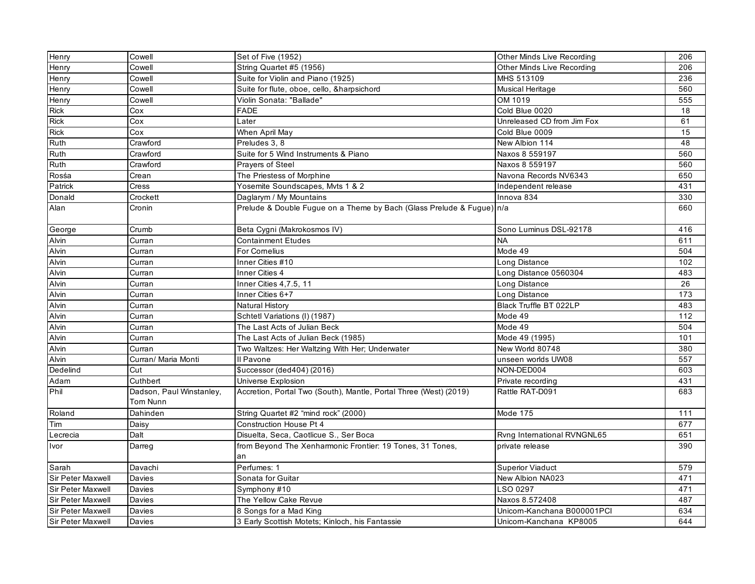| Henry                    | Cowell                               | Set of Five (1952)                                                    | <b>Other Minds Live Recording</b> | 206 |
|--------------------------|--------------------------------------|-----------------------------------------------------------------------|-----------------------------------|-----|
| Henry                    | Cowell                               | String Quartet #5 (1956)                                              | Other Minds Live Recording        | 206 |
| Henry                    | Cowell                               | Suite for Violin and Piano (1925)                                     | MHS 513109                        | 236 |
| Henry                    | Cowell                               | Suite for flute, oboe, cello, &harpsichord                            | Musical Heritage                  | 560 |
| Henry                    | Cowell                               | Violin Sonata: "Ballade"                                              | OM 1019                           | 555 |
| Rick                     | Cox                                  | <b>FADE</b>                                                           | Cold Blue 0020                    | 18  |
| <b>Rick</b>              | Cox                                  | Later                                                                 | Unreleased CD from Jim Fox        | 61  |
| <b>Rick</b>              | Cox                                  | When April May                                                        | Cold Blue 0009                    | 15  |
| Ruth                     | Crawford                             | Preludes 3, 8                                                         | New Albion 114                    | 48  |
| Ruth                     | Crawford                             | Suite for 5 Wind Instruments & Piano                                  | Naxos 8 559197                    | 560 |
| Ruth                     | Crawford                             | Prayers of Steel                                                      | Naxos 8 559197                    | 560 |
| Rosśa                    | Crean                                | The Priestess of Morphine                                             | Navona Records NV6343             | 650 |
| Patrick                  | <b>Cress</b>                         | Yosemite Soundscapes, Myts 1 & 2                                      | Independent release               | 431 |
| Donald                   | Crockett                             | Daglarym / My Mountains                                               | Innova 834                        | 330 |
| Alan                     | Cronin                               | Prelude & Double Fugue on a Theme by Bach (Glass Prelude & Fugue) n/a |                                   | 660 |
| George                   | Crumb                                | Beta Cygni (Makrokosmos IV)                                           | Sono Luminus DSL-92178            | 416 |
| Alvin                    | Curran                               | <b>Containment Etudes</b>                                             | <b>NA</b>                         | 611 |
| Alvin                    | Curran                               | <b>For Cornelius</b>                                                  | Mode 49                           | 504 |
| Alvin                    | Curran                               | Inner Cities #10                                                      | Long Distance                     | 102 |
| Alvin                    | Curran                               | Inner Cities 4                                                        | Long Distance 0560304             | 483 |
| Alvin                    | Curran                               | Inner Cities 4,7.5, 11                                                | Long Distance                     | 26  |
| Alvin                    | Curran                               | Inner Cities 6+7                                                      | Long Distance                     | 173 |
| Alvin                    | Curran                               | Natural History                                                       | Black Truffle BT 022LP            | 483 |
| Alvin                    | Curran                               | Schtetl Variations (I) (1987)                                         | Mode 49                           | 112 |
| Alvin                    | Curran                               | The Last Acts of Julian Beck                                          | Mode 49                           | 504 |
| Alvin                    | Curran                               | The Last Acts of Julian Beck (1985)                                   | Mode 49 (1995)                    | 101 |
| Alvin                    | Curran                               | Two Waltzes: Her Waltzing With Her; Underwater                        | New World 80748                   | 380 |
| Alvin                    | Curran/ Maria Monti                  | Il Pavone                                                             | unseen worlds UW08                | 557 |
| Dedelind                 | Cut                                  | \$uccessor (ded404) (2016)                                            | NON-DED004                        | 603 |
| Adam                     | Cuthbert                             | Universe Explosion                                                    | Private recording                 | 431 |
| Phil                     | Dadson, Paul Winstanley,<br>Tom Nunn | Accretion, Portal Two (South), Mantle, Portal Three (West) (2019)     | Rattle RAT-D091                   | 683 |
| Roland                   | Dahinden                             | String Quartet #2 "mind rock" (2000)                                  | Mode 175                          | 111 |
| Tim                      | Daisy                                | Construction House Pt 4                                               |                                   | 677 |
| Lecrecia                 | Dalt                                 | Disuelta, Seca, Caotlicue S., Ser Boca                                | Rvng International RVNGNL65       | 651 |
| Ivor                     | Darreg                               | from Beyond The Xenharmonic Frontier: 19 Tones, 31 Tones,             | private release                   | 390 |
|                          |                                      | an                                                                    |                                   |     |
| Sarah                    | Davachi                              | Perfumes: 1                                                           | <b>Superior Viaduct</b>           | 579 |
| <b>Sir Peter Maxwell</b> | Davies                               | Sonata for Guitar                                                     | New Albion NA023                  | 471 |
| Sir Peter Maxwell        | Davies                               | Symphony #10                                                          | LSO 0297                          | 471 |
| Sir Peter Maxwell        | <b>Davies</b>                        | The Yellow Cake Revue                                                 | Naxos 8.572408                    | 487 |
| Sir Peter Maxwell        | Davies                               | 8 Songs for a Mad King                                                | Unicorn-Kanchana B000001PCI       | 634 |
| Sir Peter Maxwell        | Davies                               | 3 Early Scottish Motets; Kinloch, his Fantassie                       | Unicorn-Kanchana KP8005           | 644 |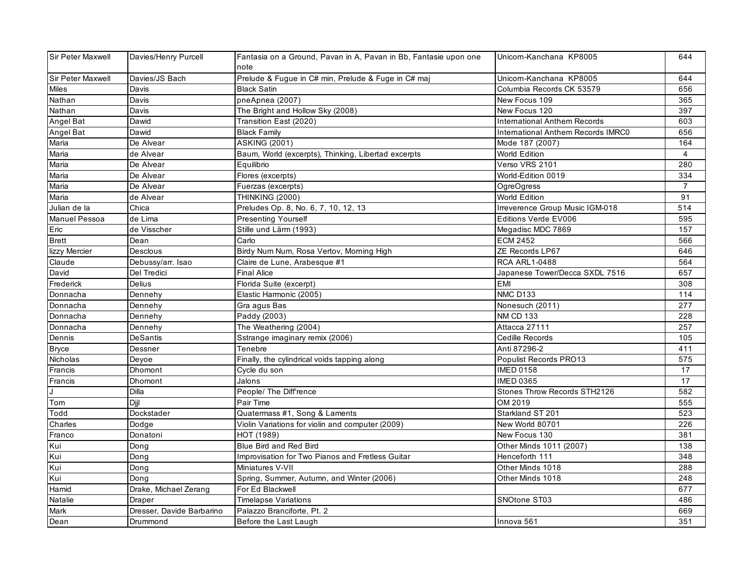| <b>Sir Peter Maxwell</b> | Davies/Henry Purcell      | Fantasia on a Ground, Pavan in A, Pavan in Bb, Fantasie upon one | Unicorn-Kanchana KP8005                   | 644            |
|--------------------------|---------------------------|------------------------------------------------------------------|-------------------------------------------|----------------|
|                          |                           | note                                                             |                                           |                |
| <b>Sir Peter Maxwell</b> | Davies/JS Bach            | Prelude & Fugue in C# min, Prelude & Fuge in C# maj              | Unicorn-Kanchana KP8005                   | 644            |
| Miles                    | Davis                     | <b>Black Satin</b>                                               | Columbia Records CK 53579                 | 656            |
| Nathan                   | Davis                     | pneApnea (2007)                                                  | New Focus 109                             | 365            |
| Nathan                   | Davis                     | The Bright and Hollow Sky (2008)                                 | New Focus 120                             | 397            |
| Angel Bat                | Dawid                     | Transition East (2020)                                           | <b>International Anthem Records</b>       | 603            |
| Angel Bat                | Dawid                     | <b>Black Family</b>                                              | <b>International Anthem Records IMRC0</b> | 656            |
| Maria                    | De Alvear                 | <b>ASKING (2001)</b>                                             | Mode 187 (2007)                           | 164            |
| Maria                    | de Alvear                 | Baum, World (excerpts), Thinking, Libertad excerpts              | World Edition                             | $\overline{4}$ |
| Maria                    | De Alvear                 | Equilibrio                                                       | Verso VRS 2101                            | 280            |
| Maria                    | De Alvear                 | Flores (excerpts)                                                | World-Edition 0019                        | 334            |
| Maria                    | De Alvear                 | Fuerzas (excerpts)                                               | <b>OgreOgress</b>                         | $\overline{7}$ |
| Maria                    | de Alvear                 | <b>THINKING (2000)</b>                                           | World Edition                             | 91             |
| Julian de la             | Chica                     | Preludes Op. 8, No. 6, 7, 10, 12, 13                             | Irreverence Group Music IGM-018           | 514            |
| <b>Manuel Pessoa</b>     | de Lima                   | Presenting Yourself                                              | Editions Verde EV006                      | 595            |
| Eric                     | de Visscher               | Stille und Lärm (1993)                                           | Megadisc MDC 7869                         | 157            |
| <b>Brett</b>             | Dean                      | Carlo                                                            | <b>ECM 2452</b>                           | 566            |
| lizzy Mercier            | Desclous                  | Birdy Num Num, Rosa Vertov, Morning High                         | ZE Records LP67                           | 646            |
| Claude                   | Debussy/arr. Isao         | Claire de Lune, Arabesque #1                                     | <b>RCA ARL1-0488</b>                      | 564            |
| David                    | Del Tredici               | <b>Final Alice</b>                                               | Japanese Tower/Decca SXDL 7516            | 657            |
| Frederick                | Delius                    | Florida Suite (excerpt)                                          | <b>EMI</b>                                | 308            |
| Donnacha                 | Dennehy                   | Elastic Harmonic (2005)                                          | <b>NMC D133</b>                           | 114            |
| Donnacha                 | Dennehy                   | Gra agus Bas                                                     | Nonesuch (2011)                           | 277            |
| Donnacha                 | Dennehy                   | Paddy (2003)                                                     | <b>NM CD 133</b>                          | 228            |
| Donnacha                 | Dennehy                   | The Weathering (2004)                                            | Attacca 27111                             | 257            |
| Dennis                   | <b>DeSantis</b>           | Sstrange imaginary remix (2006)                                  | Cedille Records                           | 105            |
| Bryce                    | Dessner                   | Tenebre                                                          | Anti 87296-2                              | 411            |
| Nicholas                 | Deyoe                     | Finally, the cylindrical voids tapping along                     | Populist Records PRO13                    | 575            |
| Francis                  | <b>Dhomont</b>            | Cycle du son                                                     | <b>IMED 0158</b>                          | 17             |
| Francis                  | Dhomont                   | Jalons                                                           | <b>IMED 0365</b>                          | 17             |
|                          | Dilla                     | People/ The Diff'rence                                           | Stones Throw Records STH2126              | 582            |
| Tom                      | Diil                      | Pair Time                                                        | OM 2019                                   | 555            |
| Todd                     | Dockstader                | Quatermass #1, Song & Laments                                    | Starkland ST 201                          | 523            |
| Charles                  | Dodge                     | Violin Variations for violin and computer (2009)                 | New World 80701                           | 226            |
| Franco                   | Donatoni                  | HOT (1989)                                                       | New Focus 130                             | 381            |
| Kui                      | Dong                      | Blue Bird and Red Bird                                           | Other Minds 1011 (2007)                   | 138            |
| Kui                      | Dong                      | Improvisation for Two Pianos and Fretless Guitar                 | Henceforth 111                            | 348            |
| Kui                      | Dong                      | Miniatures V-VII                                                 | Other Minds 1018                          | 288            |
| Kui                      | Dong                      | Spring, Summer, Autumn, and Winter (2006)                        | Other Minds 1018                          | 248            |
| Hamid                    | Drake, Michael Zerang     | For Ed Blackwell                                                 |                                           | 677            |
| Natalie                  | Draper                    | <b>Timelapse Variations</b>                                      | SNOtone ST03                              | 486            |
| Mark                     | Dresser, Davide Barbarino | Palazzo Branciforte, Pt. 2                                       |                                           | 669            |
| Dean                     | Drummond                  | Before the Last Laugh                                            | Innova 561                                | 351            |
|                          |                           |                                                                  |                                           |                |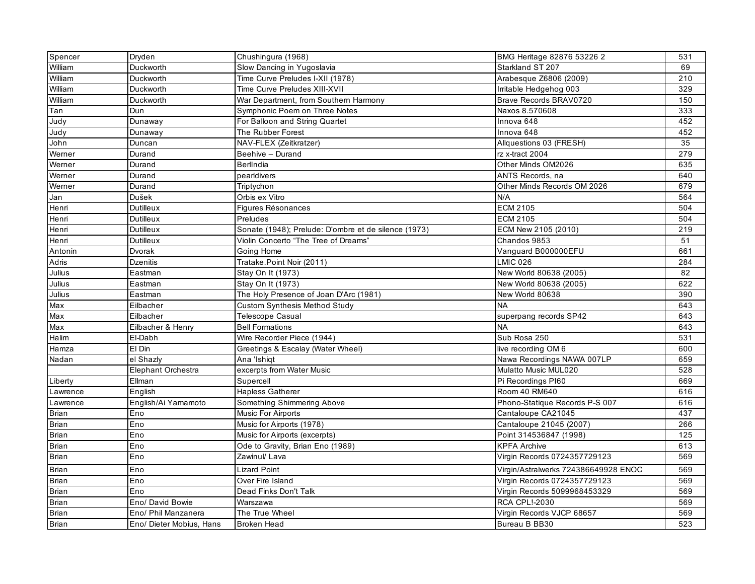| Spencer          | Dryden                   | Chushingura (1968)                                   | BMG Heritage 82876 53226 2           | 531 |
|------------------|--------------------------|------------------------------------------------------|--------------------------------------|-----|
| William          | Duckworth                | Slow Dancing in Yugoslavia                           | Starkland ST 207                     | 69  |
| William          | Duckworth                | Time Curve Preludes I-XII (1978)                     | Arabesque Z6806 (2009)               | 210 |
| William          | Duckworth                | Time Curve Preludes XIII-XVII                        | Irritable Hedgehog 003               | 329 |
| William          | Duckworth                | War Department, from Southern Harmony                | Brave Records BRAV0720               | 150 |
| Tan              | Dun                      | Symphonic Poem on Three Notes                        | Naxos 8.570608                       | 333 |
| Judy             | Dunaway                  | For Balloon and String Quartet                       | Innova 648                           | 452 |
| Judy             | Dunaway                  | The Rubber Forest                                    | Innova 648                           | 452 |
| John             | Duncan                   | NAV-FLEX (Zeitkratzer)                               | Allquestions 03 (FRESH)              | 35  |
| Werner           | Durand                   | Beehive - Durand                                     | rz x-tract 2004                      | 279 |
| Werner           | Durand                   | BerlIndia                                            | Other Minds OM2026                   | 635 |
| Werner           | Durand                   | pearldivers                                          | ANTS Records, na                     | 640 |
| Werner           | Durand                   | Triptychon                                           | Other Minds Records OM 2026          | 679 |
| Jan              | Dušek                    | Orbis ex Vitro                                       | N/A                                  | 564 |
| Henri            | <b>Dutilleux</b>         | Figures Résonances                                   | <b>ECM 2105</b>                      | 504 |
| Henri            | Dutilleux                | Preludes                                             | <b>ECM 2105</b>                      | 504 |
| Henri            | Dutilleux                | Sonate (1948); Prelude: D'ombre et de silence (1973) | ECM New 2105 (2010)                  | 219 |
| Henri            | <b>Dutilleux</b>         | Violin Concerto "The Tree of Dreams"                 | Chandos 9853                         | 51  |
| Antonin          | <b>Dvorak</b>            | Going Home                                           | Vanguard B000000EFU                  | 661 |
| Adris            | Dzenitis                 | Tratake.Point Noir (2011)                            | <b>LMIC 026</b>                      | 284 |
| Julius           | Eastman                  | Stay On It (1973)                                    | New World 80638 (2005)               | 82  |
| Julius           | Eastman                  | Stay On It (1973)                                    | New World 80638 (2005)               | 622 |
| Julius           | Eastman                  | The Holy Presence of Joan D'Arc (1981)               | New World 80638                      | 390 |
| Max              | Eilbacher                | <b>Custom Synthesis Method Study</b>                 | <b>NA</b>                            | 643 |
| Max              | Eilbacher                | <b>Telescope Casual</b>                              | superpang records SP42               | 643 |
| $\overline{Max}$ | Eilbacher & Henry        | <b>Bell Formations</b>                               | <b>NA</b>                            | 643 |
| Halim            | El-Dabh                  | Wire Recorder Piece (1944)                           | Sub Rosa 250                         | 531 |
| Hamza            | El Din                   | Greetings & Escalay (Water Wheel)                    | live recording OM 6                  | 600 |
| Nadan            | el Shazly                | Ana 'Ishiqt                                          | Nawa Recordings NAWA 007LP           | 659 |
|                  | Elephant Orchestra       | excerpts from Water Music                            | Mulatto Music MUL020                 | 528 |
| Liberty          | Ellman                   | Supercell                                            | Pi Recordings PI60                   | 669 |
| Lawrence         | English                  | <b>Hapless Gatherer</b>                              | Room 40 RM640                        | 616 |
| Lawrence         | English/Ai Yamamoto      | Something Shimmering Above                           | Phono-Statique Records P-S 007       | 616 |
| <b>Brian</b>     | Eno                      | <b>Music For Airports</b>                            | Cantaloupe CA21045                   | 437 |
| <b>Brian</b>     | Eno                      | Music for Airports (1978)                            | Cantaloupe 21045 (2007)              | 266 |
| Brian            | Eno                      | Music for Airports (excerpts)                        | Point 314536847 (1998)               | 125 |
| <b>Brian</b>     | Eno                      | Ode to Gravity, Brian Eno (1989)                     | <b>KPFA Archive</b>                  | 613 |
| Brian            | Eno                      | Zawinul/ Lava                                        | Virgin Records 0724357729123         | 569 |
| <b>Brian</b>     | Eno                      | Lizard Point                                         | Virgin/Astralwerks 724386649928 ENOC | 569 |
| Brian            | Eno                      | Over Fire Island                                     | Virgin Records 0724357729123         | 569 |
| <b>Brian</b>     | Eno                      | Dead Finks Don't Talk                                | Virgin Records 5099968453329         | 569 |
| <b>Brian</b>     | Eno/ David Bowie         | Warszawa                                             | <b>RCA CPL!-2030</b>                 | 569 |
| <b>Brian</b>     | Eno/ Phil Manzanera      | The True Wheel                                       | Virgin Records VJCP 68657            | 569 |
| <b>Brian</b>     | Eno/ Dieter Mobius, Hans | <b>Broken Head</b>                                   | Bureau B BB30                        | 523 |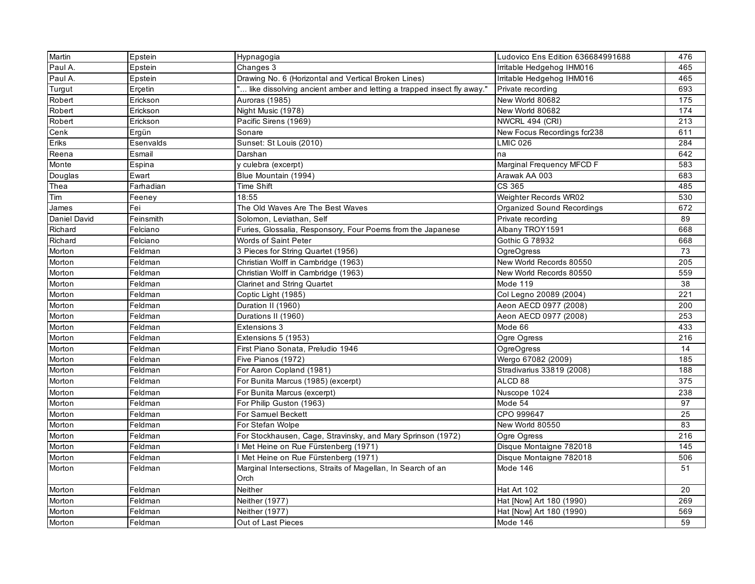| Martin       | Epstein   | Hypnagogia                                                              | Ludovico Ens Edition 636684991688 | 476 |
|--------------|-----------|-------------------------------------------------------------------------|-----------------------------------|-----|
| Paul A.      | Epstein   | Changes 3                                                               | Irritable Hedgehog IHM016         | 465 |
| Paul A.      | Epstein   | Drawing No. 6 (Horizontal and Vertical Broken Lines)                    | Irritable Hedgehog IHM016         | 465 |
| Turgut       | Erçetin   | " like dissolving ancient amber and letting a trapped insect fly away." | Private recording                 | 693 |
| Robert       | Erickson  | Auroras (1985)                                                          | New World 80682                   | 175 |
| Robert       | Erickson  | Night Music (1978)                                                      | New World 80682                   | 174 |
| Robert       | Erickson  | Pacific Sirens (1969)                                                   | NWCRL 494 (CRI)                   | 213 |
| Cenk         | Ergün     | Sonare                                                                  | New Focus Recordings fcr238       | 611 |
| Eriks        | Esenvalds | Sunset: St Louis (2010)                                                 | <b>LMIC 026</b>                   | 284 |
| Reena        | Esmail    | Darshan                                                                 | na                                | 642 |
| Monte        | Espina    | y culebra (excerpt)                                                     | Marginal Frequency MFCD F         | 583 |
| Douglas      | Ewart     | Blue Mountain (1994)                                                    | Arawak AA 003                     | 683 |
| Thea         | Farhadian | Time Shift                                                              | CS 365                            | 485 |
| Tim          | Feenev    | 18:55                                                                   | Weighter Records WR02             | 530 |
| James        | Fei       | The Old Waves Are The Best Waves                                        | Organized Sound Recordings        | 672 |
| Daniel David | Feinsmith | Solomon, Leviathan, Self                                                | Private recording                 | 89  |
| Richard      | Felciano  | Furies, Glossalia, Responsory, Four Poems from the Japanese             | Albany TROY1591                   | 668 |
| Richard      | Felciano  | <b>Words of Saint Peter</b>                                             | <b>Gothic G 78932</b>             | 668 |
| Morton       | Feldman   | 3 Pieces for String Quartet (1956)                                      | <b>OgreOgress</b>                 | 73  |
| Morton       | Feldman   | Christian Wolff in Cambridge (1963)                                     | New World Records 80550           | 205 |
| Morton       | Feldman   | Christian Wolff in Cambridge (1963)                                     | New World Records 80550           | 559 |
| Morton       | Feldman   | <b>Clarinet and String Quartet</b>                                      | Mode 119                          | 38  |
| Morton       | Feldman   | Coptic Light (1985)                                                     | Col Legno 20089 (2004)            | 221 |
| Morton       | Feldman   | Duration II (1960)                                                      | Aeon AECD 0977 (2008)             | 200 |
| Morton       | Feldman   | Durations II (1960)                                                     | Aeon AECD 0977 (2008)             | 253 |
| Morton       | Feldman   | Extensions 3                                                            | Mode 66                           | 433 |
| Morton       | Feldman   | Extensions 5 (1953)                                                     | Ogre Ogress                       | 216 |
| Morton       | Feldman   | First Piano Sonata, Preludio 1946                                       | <b>OgreOgress</b>                 | 14  |
| Morton       | Feldman   | Five Pianos (1972)                                                      | Wergo 67082 (2009)                | 185 |
| Morton       | Feldman   | For Aaron Copland (1981)                                                | Stradivarius 33819 (2008)         | 188 |
| Morton       | Feldman   | For Bunita Marcus (1985) (excerpt)                                      | ALCD <sub>88</sub>                | 375 |
| Morton       | Feldman   | For Bunita Marcus (excerpt)                                             | Nuscope 1024                      | 238 |
| Morton       | Feldman   | For Philip Guston (1963)                                                | Mode 54                           | 97  |
| Morton       | Feldman   | For Samuel Beckett                                                      | CPO 999647                        | 25  |
| Morton       | Feldman   | For Stefan Wolpe                                                        | New World 80550                   | 83  |
| Morton       | Feldman   | For Stockhausen, Cage, Stravinsky, and Mary Sprinson (1972)             | Ogre Ogress                       | 216 |
| Morton       | Feldman   | I Met Heine on Rue Fürstenberg (1971)                                   | Disque Montaigne 782018           | 145 |
| Morton       | Feldman   | I Met Heine on Rue Fürstenberg (1971)                                   | Disque Montaigne 782018           | 506 |
| Morton       | Feldman   | Marginal Intersections, Straits of Magellan, In Search of an            | Mode 146                          | 51  |
|              |           | Orch                                                                    |                                   |     |
| Morton       | Feldman   | Neither                                                                 | Hat Art 102                       | 20  |
| Morton       | Feldman   | Neither (1977)                                                          | Hat [Now] Art 180 (1990)          | 269 |
| Morton       | Feldman   | Neither (1977)                                                          | Hat [Now] Art 180 (1990)          | 569 |
| Morton       | Feldman   | Out of Last Pieces                                                      | Mode 146                          | 59  |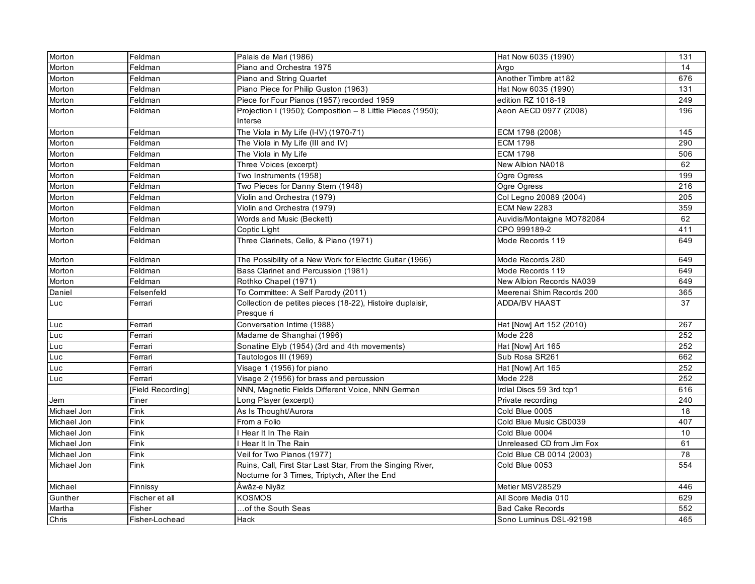| Morton      | Feldman           | Palais de Mari (1986)                                                   | Hat Now 6035 (1990)        | 131 |
|-------------|-------------------|-------------------------------------------------------------------------|----------------------------|-----|
| Morton      | Feldman           | Piano and Orchestra 1975                                                | Argo                       | 14  |
| Morton      | Feldman           | Piano and String Quartet                                                | Another Timbre at 182      | 676 |
| Morton      | Feldman           | Piano Piece for Philip Guston (1963)                                    | Hat Now 6035 (1990)        | 131 |
| Morton      | Feldman           | Piece for Four Pianos (1957) recorded 1959                              | edition RZ 1018-19         | 249 |
| Morton      | Feldman           | Projection I (1950); Composition - 8 Little Pieces (1950);<br>Interse   | Aeon AECD 0977 (2008)      | 196 |
| Morton      | Feldman           | The Viola in My Life (I-IV) (1970-71)                                   | ECM 1798 (2008)            | 145 |
| Morton      | Feldman           | The Viola in My Life (III and IV)                                       | <b>ECM 1798</b>            | 290 |
| Morton      | Feldman           | The Viola in My Life                                                    | <b>ECM 1798</b>            | 506 |
| Morton      | Feldman           | Three Voices (excerpt)                                                  | New Albion NA018           | 62  |
| Morton      | Feldman           | Two Instruments (1958)                                                  | Ogre Ogress                | 199 |
| Morton      | Feldman           | Two Pieces for Danny Stern (1948)                                       | Ogre Ogress                | 216 |
| Morton      | Feldman           | Violin and Orchestra (1979)                                             | Col Legno 20089 (2004)     | 205 |
| Morton      | Feldman           | Violin and Orchestra (1979)                                             | ECM New 2283               | 359 |
| Morton      | Feldman           | Words and Music (Beckett)                                               | Auvidis/Montaigne MO782084 | 62  |
| Morton      | Feldman           | Coptic Light                                                            | CPO 999189-2               | 411 |
| Morton      | Feldman           | Three Clarinets, Cello, & Piano (1971)                                  | Mode Records 119           | 649 |
| Morton      | Feldman           | The Possibility of a New Work for Electric Guitar (1966)                | Mode Records 280           | 649 |
| Morton      | Feldman           | Bass Clarinet and Percussion (1981)                                     | Mode Records 119           | 649 |
| Morton      | Feldman           | Rothko Chapel (1971)                                                    | New Albion Records NA039   | 649 |
| Daniel      | Felsenfeld        | To Committee: A Self Parody (2011)                                      | Meerenai Shim Records 200  | 365 |
| Luc         | Ferrari           | Collection de petites pieces (18-22), Histoire duplaisir,<br>Presque ri | <b>ADDA/BV HAAST</b>       | 37  |
| Luc         | Ferrari           | Conversation Intime (1988)                                              | Hat [Now] Art 152 (2010)   | 267 |
| Luc         | Ferrari           | Madame de Shanghai (1996)                                               | Mode 228                   | 252 |
| Luc         | Ferrari           | Sonatine Elyb (1954) (3rd and 4th movements)                            | Hat [Now] Art 165          | 252 |
| Luc         | Ferrari           | Tautologos III (1969)                                                   | Sub Rosa SR261             | 662 |
| Luc         | Ferrari           | Visage 1 (1956) for piano                                               | Hat [Now] Art 165          | 252 |
| Luc         | Ferrari           | Visage 2 (1956) for brass and percussion                                | Mode 228                   | 252 |
|             | [Field Recording] | NNN, Magnetic Fields Different Voice, NNN German                        | Irdial Discs 59 3rd tcp1   | 616 |
| Jem         | Finer             | Long Player (excerpt)                                                   | Private recording          | 240 |
| Michael Jon | Fink              | As Is Thought/Aurora                                                    | Cold Blue 0005             | 18  |
| Michael Jon | Fink              | From a Folio                                                            | Cold Blue Music CB0039     | 407 |
| Michael Jon | Fink              | Hear It In The Rain                                                     | Cold Blue 0004             | 10  |
| Michael Jon | Fink              | Hear It In The Rain                                                     | Unreleased CD from Jim Fox | 61  |
| Michael Jon | Fink              | Veil for Two Pianos (1977)                                              | Cold Blue CB 0014 (2003)   | 78  |
| Michael Jon | Fink              | Ruins, Call, First Star Last Star, From the Singing River,              | Cold Blue 0053             | 554 |
|             |                   | Nocturne for 3 Times, Triptych, After the End                           |                            |     |
| Michael     | Finnissy          | Âwâz-e Niyâz                                                            | Metier MSV28529            | 446 |
| Gunther     | Fischer et all    | KOSMOS                                                                  | All Score Media 010        | 629 |
| Martha      | Fisher            | of the South Seas                                                       | <b>Bad Cake Records</b>    | 552 |
| Chris       | Fisher-Lochead    | Hack                                                                    | Sono Luminus DSL-92198     | 465 |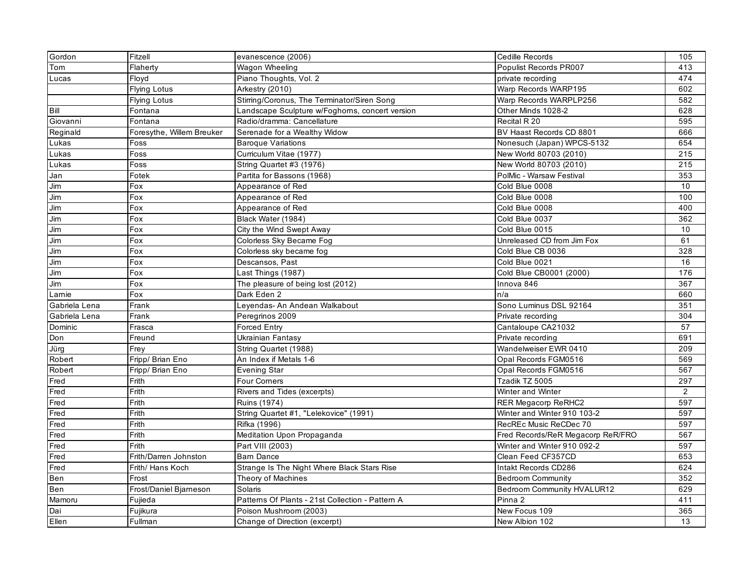| Gordon        | Fitzell                   | evanescence (2006)                               | Cedille Records                   | 105              |
|---------------|---------------------------|--------------------------------------------------|-----------------------------------|------------------|
| Tom           | Flaherty                  | Wagon Wheeling                                   | Populist Records PR007            | 413              |
| Lucas         | Floyd                     | Piano Thoughts, Vol. 2                           | private recording                 | 474              |
|               | <b>Flying Lotus</b>       | Arkestry (2010)                                  | Warp Records WARP195              | 602              |
|               | <b>Flying Lotus</b>       | Stirring/Coronus, The Terminator/Siren Song      | Warp Records WARPLP256            | 582              |
| Bill          | Fontana                   | Landscape Sculpture w/Foghorns, concert version  | Other Minds 1028-2                | 628              |
| Giovanni      | Fontana                   | Radio/dramma: Cancellature                       | Recital R 20                      | 595              |
| Reginald      | Foresythe, Willem Breuker | Serenade for a Wealthy Widow                     | BV Haast Records CD 8801          | 666              |
| Lukas         | Foss                      | <b>Baroque Variations</b>                        | Nonesuch (Japan) WPCS-5132        | 654              |
| Lukas         | Foss                      | Curriculum Vitae (1977)                          | New World 80703 (2010)            | 215              |
| Lukas         | Foss                      | String Quartet #3 (1976)                         | New World 80703 (2010)            | $\overline{215}$ |
| Jan           | Fotek                     | Partita for Bassons (1968)                       | PolMic - Warsaw Festival          | 353              |
| Jim           | Fox                       | Appearance of Red                                | Cold Blue 0008                    | 10               |
| Jim           | Fox                       | Appearance of Red                                | Cold Blue 0008                    | 100              |
| Jim           | Fox                       | Appearance of Red                                | Cold Blue 0008                    | 400              |
| Jim           | Fox                       | Black Water (1984)                               | Cold Blue 0037                    | 362              |
| Jim           | Fox                       | City the Wind Swept Away                         | Cold Blue 0015                    | 10               |
| Jim           | Fox                       | Colorless Sky Became Fog                         | Unreleased CD from Jim Fox        | 61               |
| Jim           | Fox                       | Colorless sky became fog                         | Cold Blue CB 0036                 | 328              |
| Jim           | Fox                       | Descansos, Past                                  | Cold Blue 0021                    | 16               |
| Jim           | Fox                       | Last Things (1987)                               | Cold Blue CB0001 (2000)           | 176              |
| Jim           | Fox                       | The pleasure of being lost (2012)                | Innova 846                        | 367              |
| Larnie        | Fox                       | Dark Eden 2                                      | n/a                               | 660              |
| Gabriela Lena | Frank                     | Leyendas- An Andean Walkabout                    | Sono Luminus DSL 92164            | 351              |
| Gabriela Lena | Frank                     | Peregrinos 2009                                  | Private recording                 | 304              |
| Dominic       | Frasca                    | Forced Entry                                     | Cantaloupe CA21032                | 57               |
| Don           | Freund                    | Ukrainian Fantasy                                | Private recording                 | 691              |
| Jürg          | Frey                      | String Quartet (1988)                            | Wandelweiser EWR 0410             | 209              |
| Robert        | Fripp/ Brian Eno          | An Index if Metals 1-6                           | Opal Records FGM0516              | 569              |
| Robert        | Fripp/ Brian Eno          | Evening Star                                     | Opal Records FGM0516              | 567              |
| Fred          | Frith                     | Four Corners                                     | Tzadik TZ 5005                    | 297              |
| Fred          | Frith                     | Rivers and Tides (excerpts)                      | Winter and Winter                 | $\overline{2}$   |
| Fred          | Frith                     | Ruins (1974)                                     | <b>RER Megacorp ReRHC2</b>        | 597              |
| Fred          | Frith                     | String Quartet #1, "Lelekovice" (1991)           | Winter and Winter 910 103-2       | 597              |
| Fred          | Frith                     | Rifka (1996)                                     | RecREc Music ReCDec 70            | 597              |
| Fred          | Frith                     | Meditation Upon Propaganda                       | Fred Records/ReR Megacorp ReR/FRO | 567              |
| Fred          | Frith                     | Part VIII (2003)                                 | Winter and Winter 910 092-2       | 597              |
| Fred          | Frith/Darren Johnston     | <b>Barn Dance</b>                                | Clean Feed CF357CD                | 653              |
| Fred          | Frith/ Hans Koch          | Strange Is The Night Where Black Stars Rise      | Intakt Records CD286              | 624              |
| Ben           | Frost                     | Theory of Machines                               | <b>Bedroom Community</b>          | 352              |
| <b>Ben</b>    | Frost/Daniel Bjarneson    | Solaris                                          | Bedroom Community HVALUR12        | 629              |
| Mamoru        | Fujieda                   | Patterns Of Plants - 21st Collection - Pattern A | Pinna 2                           | 411              |
| Dai           | Fujikura                  | Poison Mushroom (2003)                           | New Focus 109                     | 365              |
| Ellen         | Fullman                   | Change of Direction (excerpt)                    | New Albion 102                    | 13               |
|               |                           |                                                  |                                   |                  |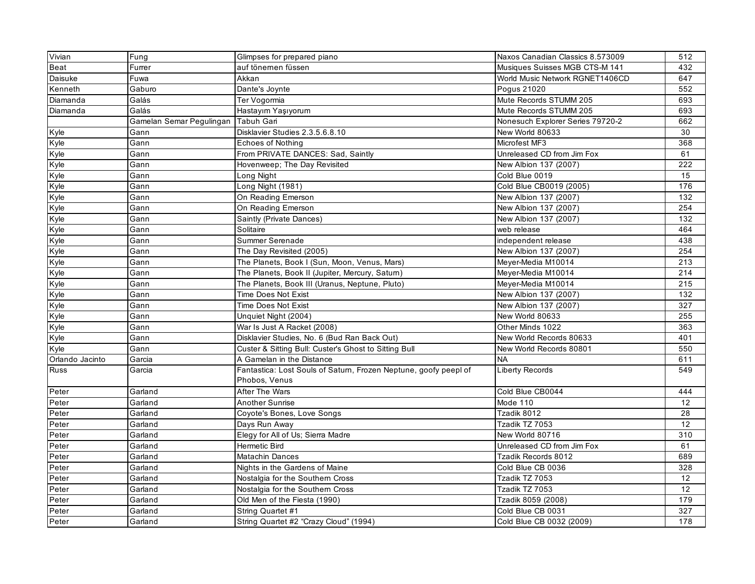| Vivian          | Fung                     | Glimpses for prepared piano                                      | Naxos Canadian Classics 8.573009 | 512              |
|-----------------|--------------------------|------------------------------------------------------------------|----------------------------------|------------------|
| Beat            | Furrer                   | auf tönemen füssen                                               | Musiques Suisses MGB CTS-M 141   | 432              |
| Daisuke         | Fuwa                     | Akkan                                                            | World Music Network RGNET1406CD  | 647              |
| Kenneth         | Gaburo                   | Dante's Joynte                                                   | Pogus 21020                      | 552              |
| Diamanda        | Galás                    | Ter Vogormia                                                     | Mute Records STUMM 205           | 693              |
| Diamanda        | Galás                    | Hastayım Yaşıyorum                                               | Mute Records STUMM 205           | 693              |
|                 | Gamelan Semar Pegulingan | <b>Tabuh Gari</b>                                                | Nonesuch Explorer Series 79720-2 | 662              |
| Kyle            | Gann                     | Disklavier Studies 2.3.5.6.8.10                                  | New World 80633                  | 30               |
| Kyle            | Gann                     | <b>Echoes of Nothing</b>                                         | Microfest MF3                    | 368              |
| Kyle            | Gann                     | From PRIVATE DANCES: Sad, Saintly                                | Unreleased CD from Jim Fox       | 61               |
| Kyle            | Gann                     | Hovenweep; The Day Revisited                                     | New Albion 137 (2007)            | 222              |
| Kyle            | Gann                     | Long Night                                                       | Cold Blue 0019                   | 15               |
| Kyle            | Gann                     | Long Night (1981)                                                | Cold Blue CB0019 (2005)          | 176              |
| Kyle            | Gann                     | On Reading Emerson                                               | New Albion 137 (2007)            | 132              |
| Kyle            | Gann                     | On Reading Emerson                                               | New Albion 137 (2007)            | 254              |
| Kyle            | Gann                     | Saintly (Private Dances)                                         | New Albion 137 (2007)            | 132              |
| Kyle            | Gann                     | Solitaire                                                        | web release                      | 464              |
| Kyle            | Gann                     | Summer Serenade                                                  | independent release              | 438              |
| Kyle            | Gann                     | The Day Revisited (2005)                                         | New Albion 137 (2007)            | 254              |
| Kyle            | Gann                     | The Planets, Book I (Sun, Moon, Venus, Mars)                     | Meyer-Media M10014               | 213              |
| Kyle            | Gann                     | The Planets, Book II (Jupiter, Mercury, Saturn)                  | Meyer-Media M10014               | 214              |
| Kyle            | Gann                     | The Planets, Book III (Uranus, Neptune, Pluto)                   | Meyer-Media M10014               | $\overline{215}$ |
| Kyle            | Gann                     | <b>Time Does Not Exist</b>                                       | New Albion 137 (2007)            | 132              |
| Kyle            | Gann                     | <b>Time Does Not Exist</b>                                       | New Albion 137 (2007)            | 327              |
| Kyle            | Gann                     | Unquiet Night (2004)                                             | New World 80633                  | 255              |
| Kyle            | Gann                     | War Is Just A Racket (2008)                                      | Other Minds 1022                 | 363              |
| Kyle            | Gann                     | Disklavier Studies, No. 6 (Bud Ran Back Out)                     | New World Records 80633          | 401              |
| Kyle            | Gann                     | Custer & Sitting Bull: Custer's Ghost to Sitting Bull            | New World Records 80801          | 550              |
| Orlando Jacinto | Garcia                   | A Gamelan in the Distance                                        | <b>NA</b>                        | 611              |
| <b>Russ</b>     | Garcia                   | Fantastica: Lost Souls of Saturn, Frozen Neptune, goofy peepl of | Liberty Records                  | 549              |
|                 |                          | Phobos, Venus                                                    |                                  |                  |
| Peter           | Garland                  | After The Wars                                                   | Cold Blue CB0044                 | 444              |
| Peter           | Garland                  | <b>Another Sunrise</b>                                           | Mode 110                         | 12               |
| Peter           | Garland                  | Coyote's Bones, Love Songs                                       | Tzadik 8012                      | 28               |
| Peter           | Garland                  | Days Run Away                                                    | Tzadik TZ 7053                   | 12               |
| Peter           | Garland                  | Elegy for All of Us; Sierra Madre                                | New World 80716                  | 310              |
| Peter           | Garland                  | Hermetic Bird                                                    | Unreleased CD from Jim Fox       | 61               |
| Peter           | Garland                  | Matachin Dances                                                  | Tzadik Records 8012              | 689              |
| Peter           | Garland                  | Nights in the Gardens of Maine                                   | Cold Blue CB 0036                | 328              |
| Peter           | Garland                  | Nostalgia for the Southern Cross                                 | Tzadik TZ 7053                   | 12               |
| Peter           | Garland                  | Nostalgia for the Southern Cross                                 | Tzadik TZ 7053                   | 12               |
| Peter           | Garland                  | Old Men of the Fiesta (1990)                                     | Tzadik 8059 (2008)               | 179              |
| Peter           | Garland                  | String Quartet #1                                                | Cold Blue CB 0031                | 327              |
| Peter           | Garland                  | String Quartet #2 "Crazy Cloud" (1994)                           | Cold Blue CB 0032 (2009)         | 178              |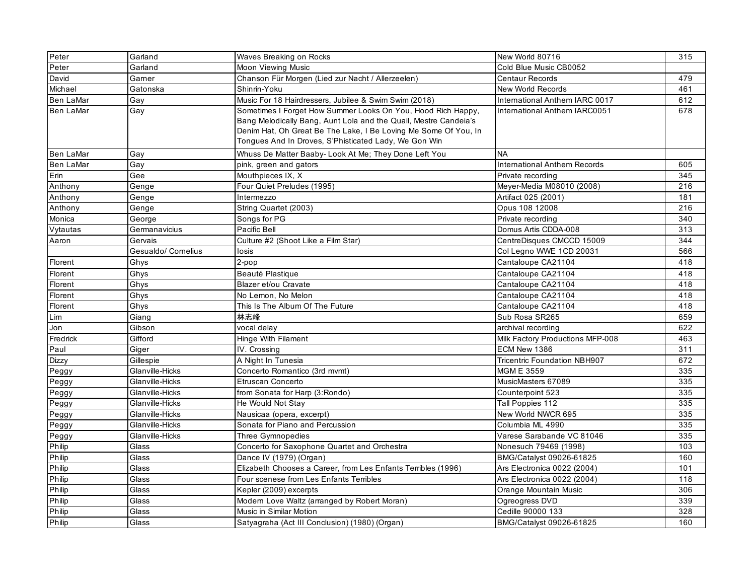| Peter            | Garland             | Waves Breaking on Rocks                                                                                                                                                                                                                                      | New World 80716                     | 315 |
|------------------|---------------------|--------------------------------------------------------------------------------------------------------------------------------------------------------------------------------------------------------------------------------------------------------------|-------------------------------------|-----|
| Peter            | Garland             | Moon Viewing Music                                                                                                                                                                                                                                           | Cold Blue Music CB0052              |     |
| David            | Gamer               | Chanson Für Morgen (Lied zur Nacht / Allerzeelen)                                                                                                                                                                                                            | <b>Centaur Records</b>              | 479 |
| Michael          | Gatonska            | Shinrin-Yoku                                                                                                                                                                                                                                                 | New World Records                   | 461 |
| <b>Ben LaMar</b> | Gay                 | Music For 18 Hairdressers, Jubilee & Swim Swim (2018)                                                                                                                                                                                                        | International Anthem IARC 0017      | 612 |
| <b>Ben LaMar</b> | Gay                 | Sometimes I Forget How Summer Looks On You, Hood Rich Happy,<br>Bang Melodically Bang, Aunt Lola and the Quail, Mestre Candeia's<br>Denim Hat, Oh Great Be The Lake, I Be Loving Me Some Of You, In<br>Tongues And In Droves, S'Phisticated Lady, We Gon Win | International Anthem IARC0051       | 678 |
| <b>Ben LaMar</b> | Gay                 | Whuss De Matter Baaby- Look At Me; They Done Left You                                                                                                                                                                                                        | <b>NA</b>                           |     |
| <b>Ben LaMar</b> | Gay                 | pink, green and gators                                                                                                                                                                                                                                       | <b>International Anthem Records</b> | 605 |
| Erin             | Gee                 | Mouthpieces IX, X                                                                                                                                                                                                                                            | Private recording                   | 345 |
| Anthony          | Genge               | Four Quiet Preludes (1995)                                                                                                                                                                                                                                   | Meyer-Media M08010 (2008)           | 216 |
| Anthony          | Genge               | Intermezzo                                                                                                                                                                                                                                                   | Artifact 025 (2001)                 | 181 |
| Anthony          | Genge               | String Quartet (2003)                                                                                                                                                                                                                                        | Opus 108 12008                      | 216 |
| Monica           | George              | Songs for PG                                                                                                                                                                                                                                                 | Private recording                   | 340 |
| Vytautas         | Germanavicius       | Pacific Bell                                                                                                                                                                                                                                                 | Domus Artis CDDA-008                | 313 |
| Aaron            | Gervais             | Culture #2 (Shoot Like a Film Star)                                                                                                                                                                                                                          | CentreDisques CMCCD 15009           | 344 |
|                  | Gesualdo/ Cornelius | losis                                                                                                                                                                                                                                                        | Col Legno WWE 1CD 20031             | 566 |
| Florent          | Ghys                | 2-pop                                                                                                                                                                                                                                                        | Cantaloupe CA21104                  | 418 |
| Florent          | Ghys                | Beauté Plastique                                                                                                                                                                                                                                             | Cantaloupe CA21104                  | 418 |
| Florent          | Ghys                | Blazer et/ou Cravate                                                                                                                                                                                                                                         | Cantaloupe CA21104                  | 418 |
| Florent          | Ghys                | No Lemon, No Melon                                                                                                                                                                                                                                           | Cantaloupe CA21104                  | 418 |
| Florent          | Ghys                | This Is The Album Of The Future                                                                                                                                                                                                                              | Cantaloupe CA21104                  | 418 |
| Lim              | Giang               | 林志峰                                                                                                                                                                                                                                                          | Sub Rosa SR265                      | 659 |
| Jon              | Gibson              | vocal delay                                                                                                                                                                                                                                                  | archival recording                  | 622 |
| Fredrick         | Gifford             | Hinge With Filament                                                                                                                                                                                                                                          | Milk Factory Productions MFP-008    | 463 |
| Paul             | Giger               | IV. Crossing                                                                                                                                                                                                                                                 | ECM New 1386                        | 311 |
| <b>Dizzy</b>     | Gillespie           | A Night In Tunesia                                                                                                                                                                                                                                           | <b>Tricentric Foundation NBH907</b> | 672 |
| Peggy            | Glanville-Hicks     | Concerto Romantico (3rd mvmt)                                                                                                                                                                                                                                | <b>MGM E 3559</b>                   | 335 |
| Peggy            | Glanville-Hicks     | Etruscan Concerto                                                                                                                                                                                                                                            | MusicMasters 67089                  | 335 |
| Peggy            | Glanville-Hicks     | from Sonata for Harp (3:Rondo)                                                                                                                                                                                                                               | Counterpoint 523                    | 335 |
| Peggy            | Glanville-Hicks     | He Would Not Stay                                                                                                                                                                                                                                            | Tall Poppies 112                    | 335 |
| Peggy            | Glanville-Hicks     | Nausicaa (opera, excerpt)                                                                                                                                                                                                                                    | New World NWCR 695                  | 335 |
| Peggy            | Glanville-Hicks     | Sonata for Piano and Percussion                                                                                                                                                                                                                              | Columbia ML 4990                    | 335 |
| Peggy            | Glanville-Hicks     | Three Gymnopedies                                                                                                                                                                                                                                            | Varese Sarabande VC 81046           | 335 |
| Philip           | Glass               | Concerto for Saxophone Quartet and Orchestra                                                                                                                                                                                                                 | Nonesuch 79469 (1998)               | 103 |
| Philip           | Glass               | Dance IV (1979) (Organ)                                                                                                                                                                                                                                      | BMG/Catalyst 09026-61825            | 160 |
| Philip           | Glass               | Elizabeth Chooses a Career, from Les Enfants Terribles (1996)                                                                                                                                                                                                | Ars Electronica 0022 (2004)         | 101 |
| Philip           | Glass               | Four scenese from Les Enfants Terribles                                                                                                                                                                                                                      | Ars Electronica 0022 (2004)         | 118 |
| Philip           | Glass               | Kepler (2009) excerpts                                                                                                                                                                                                                                       | Orange Mountain Music               | 306 |
| Philip           | Glass               | Modern Love Waltz (arranged by Robert Moran)                                                                                                                                                                                                                 | Ogreogress DVD                      | 339 |
| Philip           | Glass               | Music in Similar Motion                                                                                                                                                                                                                                      | Cedille 90000 133                   | 328 |
| Philip           | Glass               | Satyagraha (Act III Conclusion) (1980) (Organ)                                                                                                                                                                                                               | BMG/Catalyst 09026-61825            | 160 |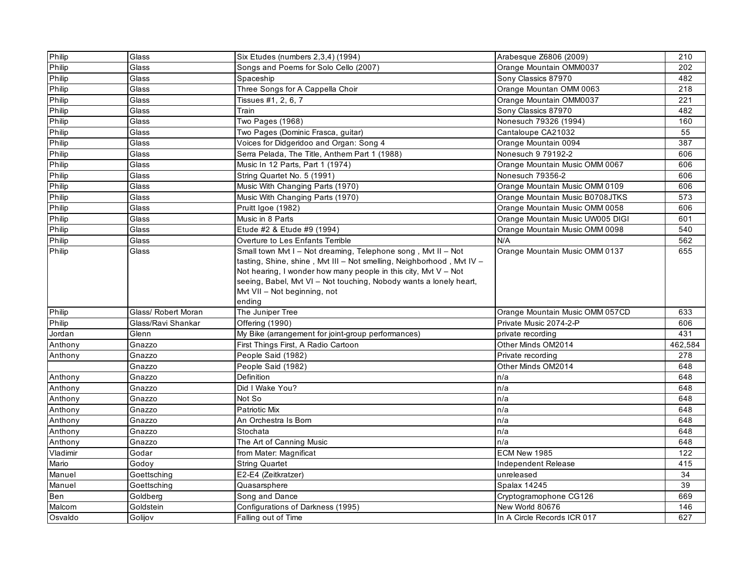| Philip   | Glass               | Six Etudes (numbers 2,3,4) (1994)                                                                                                                                                                                                                                                                                         | Arabesque Z6806 (2009)           | 210     |
|----------|---------------------|---------------------------------------------------------------------------------------------------------------------------------------------------------------------------------------------------------------------------------------------------------------------------------------------------------------------------|----------------------------------|---------|
| Philip   | Glass               | Songs and Poems for Solo Cello (2007)                                                                                                                                                                                                                                                                                     | Orange Mountain OMM0037          | 202     |
| Philip   | Glass               | Spaceship                                                                                                                                                                                                                                                                                                                 | Sony Classics 87970              | 482     |
| Philip   | Glass               | Three Songs for A Cappella Choir                                                                                                                                                                                                                                                                                          | Orange Mountan OMM 0063          | 218     |
| Philip   | Glass               | Tissues #1, 2, 6, 7                                                                                                                                                                                                                                                                                                       | Orange Mountain OMM0037          | 221     |
| Philip   | Glass               | Train                                                                                                                                                                                                                                                                                                                     | Sony Classics 87970              | 482     |
| Philip   | Glass               | Two Pages (1968)                                                                                                                                                                                                                                                                                                          | Nonesuch 79326 (1994)            | 160     |
| Philip   | Glass               | Two Pages (Dominic Frasca, guitar)                                                                                                                                                                                                                                                                                        | Cantaloupe CA21032               | 55      |
| Philip   | Glass               | Voices for Didgeridoo and Organ: Song 4                                                                                                                                                                                                                                                                                   | Orange Mountain 0094             | 387     |
| Philip   | Glass               | Serra Pelada, The Title, Anthem Part 1 (1988)                                                                                                                                                                                                                                                                             | Nonesuch 9 79192-2               | 606     |
| Philip   | Glass               | Music In 12 Parts, Part 1 (1974)                                                                                                                                                                                                                                                                                          | Orange Mountain Music OMM 0067   | 606     |
| Philip   | Glass               | String Quartet No. 5 (1991)                                                                                                                                                                                                                                                                                               | Nonesuch 79356-2                 | 606     |
| Philip   | Glass               | Music With Changing Parts (1970)                                                                                                                                                                                                                                                                                          | Orange Mountain Music OMM 0109   | 606     |
| Philip   | Glass               | Music With Changing Parts (1970)                                                                                                                                                                                                                                                                                          | Orange Mountain Music B0708JTKS  | 573     |
| Philip   | Glass               | Pruitt Igoe (1982)                                                                                                                                                                                                                                                                                                        | Orange Mountain Music OMM 0058   | 606     |
| Philip   | Glass               | Music in 8 Parts                                                                                                                                                                                                                                                                                                          | Orange Mountain Music UW005 DIGI | 601     |
| Philip   | Glass               | Etude #2 & Etude #9 (1994)                                                                                                                                                                                                                                                                                                | Orange Mountain Music OMM 0098   | 540     |
| Philip   | Glass               | Overture to Les Enfants Terrible                                                                                                                                                                                                                                                                                          | N/A                              | 562     |
| Philip   | Glass               | Small town Mvt I - Not dreaming, Telephone song, Mvt II - Not<br>tasting, Shine, shine, Mvt III - Not smelling, Neighborhood, Mvt IV -<br>Not hearing, I wonder how many people in this city, Mvt V - Not<br>seeing, Babel, Mvt VI - Not touching, Nobody wants a lonely heart,<br>Mvt VII - Not beginning, not<br>ending | Orange Mountain Music OMM 0137   | 655     |
| Philip   | Glass/ Robert Moran | The Juniper Tree                                                                                                                                                                                                                                                                                                          | Orange Mountain Music OMM 057CD  | 633     |
| Philip   | Glass/Ravi Shankar  | Offering (1990)                                                                                                                                                                                                                                                                                                           | Private Music 2074-2-P           | 606     |
| Jordan   | Glenn               | My Bike (arrangement for joint-group performances)                                                                                                                                                                                                                                                                        | private recording                | 431     |
| Anthony  | Gnazzo              | First Things First, A Radio Cartoon                                                                                                                                                                                                                                                                                       | Other Minds OM2014               | 462,584 |
| Anthony  | Gnazzo              | People Said (1982)                                                                                                                                                                                                                                                                                                        | Private recording                | 278     |
|          | Gnazzo              | People Said (1982)                                                                                                                                                                                                                                                                                                        | Other Minds OM2014               | 648     |
| Anthony  | Gnazzo              | Definition                                                                                                                                                                                                                                                                                                                | n/a                              | 648     |
| Anthony  | Gnazzo              | Did I Wake You?                                                                                                                                                                                                                                                                                                           | n/a                              | 648     |
| Anthony  | Gnazzo              | Not So                                                                                                                                                                                                                                                                                                                    | n/a                              | 648     |
| Anthony  | Gnazzo              | <b>Patriotic Mix</b>                                                                                                                                                                                                                                                                                                      | n/a                              | 648     |
| Anthony  | Gnazzo              | An Orchestra Is Born                                                                                                                                                                                                                                                                                                      | n/a                              | 648     |
| Anthony  | Gnazzo              | Stochata                                                                                                                                                                                                                                                                                                                  | n/a                              | 648     |
| Anthony  | Gnazzo              | The Art of Canning Music                                                                                                                                                                                                                                                                                                  | n/a                              | 648     |
| Vladimir | Godar               | from Mater: Magnificat                                                                                                                                                                                                                                                                                                    | ECM New 1985                     | 122     |
| Mario    | Godoy               | String Quartet                                                                                                                                                                                                                                                                                                            | Independent Release              | 415     |
| Manuel   | Goettsching         | E2-E4 (Zeitkratzer)                                                                                                                                                                                                                                                                                                       | unreleased                       | 34      |
| Manuel   | Goettsching         | Quasarsphere                                                                                                                                                                                                                                                                                                              | <b>Spalax 14245</b>              | 39      |
| Ben      | Goldberg            | Song and Dance                                                                                                                                                                                                                                                                                                            | Cryptogramophone CG126           | 669     |
| Malcom   | Goldstein           | Configurations of Darkness (1995)                                                                                                                                                                                                                                                                                         | New World 80676                  | 146     |
| Osvaldo  | Golijov             | Falling out of Time                                                                                                                                                                                                                                                                                                       | In A Circle Records ICR 017      | 627     |
|          |                     |                                                                                                                                                                                                                                                                                                                           |                                  |         |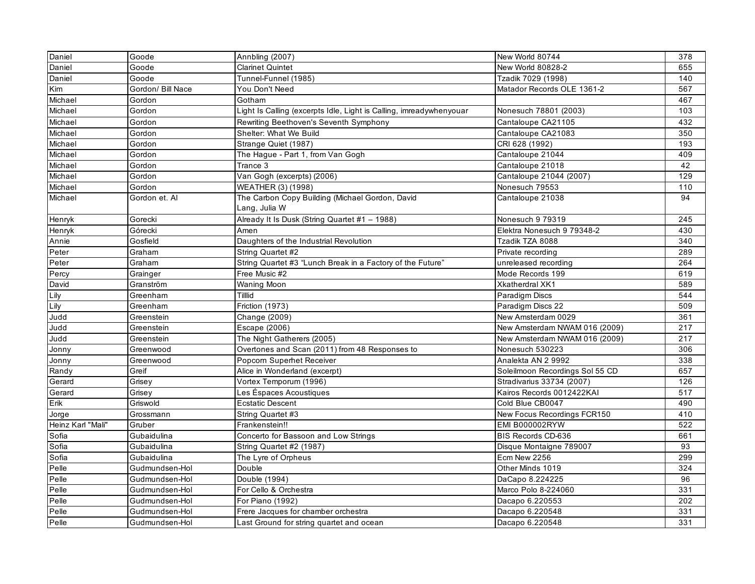| Daniel            | Goode             | Annbling (2007)                                                     | New World 80744                 | 378 |
|-------------------|-------------------|---------------------------------------------------------------------|---------------------------------|-----|
| Daniel            | Goode             | <b>Clarinet Quintet</b>                                             | New World 80828-2               | 655 |
| Daniel            | Goode             | Tunnel-Funnel (1985)                                                | Tzadik 7029 (1998)              | 140 |
| Kim               | Gordon/ Bill Nace | You Don't Need                                                      | Matador Records OLE 1361-2      | 567 |
| Michael           | Gordon            | Gotham                                                              |                                 | 467 |
| Michael           | Gordon            | Light Is Calling (excerpts Idle, Light is Calling, imreadywhenyouar | Nonesuch 78801 (2003)           | 103 |
| Michael           | Gordon            | Rewriting Beethoven's Seventh Symphony                              | Cantaloupe CA21105              | 432 |
| Michael           | Gordon            | Shelter: What We Build                                              | Cantaloupe CA21083              | 350 |
| Michael           | Gordon            | Strange Quiet (1987)                                                | CRI 628 (1992)                  | 193 |
| Michael           | Gordon            | The Hague - Part 1, from Van Gogh                                   | Cantaloupe 21044                | 409 |
| Michael           | Gordon            | Trance 3                                                            | Cantaloupe 21018                | 42  |
| Michael           | Gordon            | Van Gogh (excerpts) (2006)                                          | Cantaloupe 21044 (2007)         | 129 |
| Michael           | Gordon            | WEATHER (3) (1998)                                                  | Nonesuch 79553                  | 110 |
| Michael           | Gordon et. Al     | The Carbon Copy Building (Michael Gordon, David                     | Cantaloupe 21038                | 94  |
|                   |                   | Lang, Julia W                                                       |                                 |     |
| Henryk            | Gorecki           | Already It Is Dusk (String Quartet #1 - 1988)                       | Nonesuch 9 79319                | 245 |
| Henryk            | Górecki           | Amen                                                                | Elektra Nonesuch 9 79348-2      | 430 |
| Annie             | Gosfield          | Daughters of the Industrial Revolution                              | Tzadik TZA 8088                 | 340 |
| Peter             | Graham            | String Quartet #2                                                   | Private recording               | 289 |
| Peter             | Graham            | String Quartet #3 "Lunch Break in a Factory of the Future"          | unreleased recording            | 264 |
| Percy             | Grainger          | Free Music #2                                                       | Mode Records 199                | 619 |
| David             | Granström         | <b>Waning Moon</b>                                                  | <b>Xkatherdral XK1</b>          | 589 |
| Lily              | Greenham          | Tilllid                                                             | Paradigm Discs                  | 544 |
| Lily              | Greenham          | Friction (1973)                                                     | Paradigm Discs 22               | 509 |
| Judd              | Greenstein        | Change (2009)                                                       | New Amsterdam 0029              | 361 |
| Judd              | Greenstein        | Escape (2006)                                                       | New Amsterdam NWAM 016 (2009)   | 217 |
| Judd              | Greenstein        | The Night Gatherers (2005)                                          | New Amsterdam NWAM 016 (2009)   | 217 |
| Jonny             | Greenwood         | Overtones and Scan (2011) from 48 Responses to                      | Nonesuch 530223                 | 306 |
| Jonny             | Greenwood         | Popcorn Superhet Receiver                                           | Analekta AN 2 9992              | 338 |
| Randy             | Greif             | Alice in Wonderland (excerpt)                                       | Soleilmoon Recordings Sol 55 CD | 657 |
| Gerard            | Grisey            | Vortex Temporum (1996)                                              | Stradivarius 33734 (2007)       | 126 |
| Gerard            | Grisey            | Les Éspaces Acoustiques                                             | Kairos Records 0012422KAI       | 517 |
| Erik              | Griswold          | <b>Ecstatic Descent</b>                                             | Cold Blue CB0047                | 490 |
| Jorge             | Grossmann         | String Quartet #3                                                   | New Focus Recordings FCR150     | 410 |
| Heinz Karl "Mali" | Gruber            | Frankenstein!!                                                      | <b>EMI B000002RYW</b>           | 522 |
| Sofia             | Gubaidulina       | Concerto for Bassoon and Low Strings                                | BIS Records CD-636              | 661 |
| Sofia             | Gubaidulina       | String Quartet #2 (1987)                                            | Disque Montaigne 789007         | 93  |
| Sofia             | Gubaidulina       | The Lyre of Orpheus                                                 | Ecm New 2256                    | 299 |
| Pelle             | Gudmundsen-Hol    | Double                                                              | Other Minds 1019                | 324 |
| Pelle             | Gudmundsen-Hol    | Double (1994)                                                       | DaCapo 8.224225                 | 96  |
| Pelle             | Gudmundsen-Hol    | For Cello & Orchestra                                               | Marco Polo 8-224060             | 331 |
| Pelle             | Gudmundsen-Hol    | For Piano (1992)                                                    | Dacapo 6.220553                 | 202 |
| Pelle             | Gudmundsen-Hol    | Frere Jacques for chamber orchestra                                 | Dacapo 6.220548                 | 331 |
| Pelle             | Gudmundsen-Hol    | Last Ground for string quartet and ocean                            | Dacapo 6.220548                 | 331 |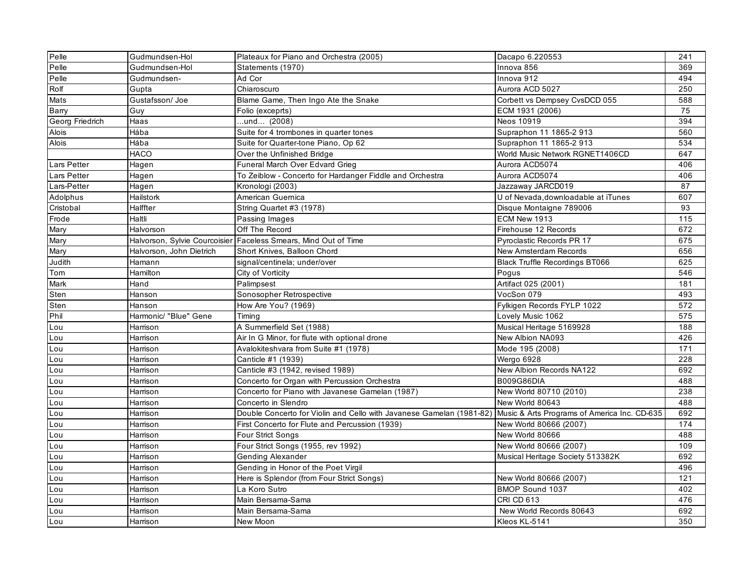| Pelle                      | Gudmundsen-Hol           | Plateaux for Piano and Orchestra (2005)                                                                           | Dacapo 6.220553                       | 241 |
|----------------------------|--------------------------|-------------------------------------------------------------------------------------------------------------------|---------------------------------------|-----|
| Pelle                      | Gudmundsen-Hol           | Statements (1970)                                                                                                 | Innova 856                            | 369 |
| Pelle                      | Gudmundsen-              | Ad Cor                                                                                                            | Innova 912                            | 494 |
| Rolf                       | Gupta                    | Chiaroscuro                                                                                                       | Aurora ACD 5027                       | 250 |
| Mats                       | Gustafsson/Joe           | Blame Game, Then Ingo Ate the Snake                                                                               | Corbett vs Dempsey CvsDCD 055         | 588 |
| <b>Barry</b>               | Guy                      | Folio (exceprts)                                                                                                  | ECM 1931 (2006)                       | 75  |
| Georg Friedrich            | Haas                     | und (2008)                                                                                                        | Neos 10919                            | 394 |
| Alois                      | Hába                     | Suite for 4 trombones in quarter tones                                                                            | Supraphon 11 1865-2 913               | 560 |
| Alois                      | Hába                     | Suite for Quarter-tone Piano, Op 62                                                                               | Supraphon 11 1865-2 913               | 534 |
|                            | <b>HACO</b>              | Over the Unfinished Bridge                                                                                        | World Music Network RGNET1406CD       | 647 |
| Lars Petter                | Hagen                    | Funeral March Over Edvard Grieg                                                                                   | Aurora ACD5074                        | 406 |
| Lars Petter                | Hagen                    | To Zeiblow - Concerto for Hardanger Fiddle and Orchestra                                                          | Aurora ACD5074                        | 406 |
| Lars-Petter                | Hagen                    | Kronologi (2003)                                                                                                  | Jazzaway JARCD019                     | 87  |
| Adolphus                   | Hailstork                | American Guernica                                                                                                 | U of Nevada, downloadable at iTunes   | 607 |
| Cristobal                  | Halffter                 | String Quartet #3 (1978)                                                                                          | Disque Montaigne 789006               | 93  |
| Frode                      | Haltli                   | Passing Images                                                                                                    | ECM New 1913                          | 115 |
| Mary                       | Halvorson                | Off The Record                                                                                                    | Firehouse 12 Records                  | 672 |
| Mary                       |                          | Halvorson, Sylvie Courcoisier Faceless Smears, Mind Out of Time                                                   | Pyroclastic Records PR 17             | 675 |
| Mary                       | Halvorson, John Dietrich | Short Knives, Balloon Chord                                                                                       | <b>New Amsterdam Records</b>          | 656 |
| Judith                     | Hamann                   | signal/centinela; under/over                                                                                      | <b>Black Truffle Recordings BT066</b> | 625 |
| Tom                        | Hamilton                 | City of Vorticity                                                                                                 | Pogus                                 | 546 |
| $\overline{\mathsf{Mark}}$ | Hand                     | Palimpsest                                                                                                        | Artifact 025 (2001)                   | 181 |
| Sten                       | Hanson                   | Sonosopher Retrospective                                                                                          | VocSon 079                            | 493 |
| Sten                       | Hanson                   | How Are You? (1969)                                                                                               | Fylkigen Records FYLP 1022            | 572 |
| Phil                       | Harmonic/ "Blue" Gene    | Timing                                                                                                            | Lovely Music 1062                     | 575 |
| Lou                        | Harrison                 | A Summerfield Set (1988)                                                                                          | Musical Heritage 5169928              | 188 |
| Lou                        | Harrison                 | Air In G Minor, for flute with optional drone                                                                     | New Albion NA093                      | 426 |
| Lou                        | Harrison                 | Avalokiteshvara from Suite #1 (1978)                                                                              | Mode 195 (2008)                       | 171 |
| Lou                        | Harrison                 | Canticle #1 (1939)                                                                                                | Wergo 6928                            | 228 |
| Lou                        | Harrison                 | Canticle #3 (1942, revised 1989)                                                                                  | New Albion Records NA122              | 692 |
| Lou                        | Harrison                 | Concerto for Organ with Percussion Orchestra                                                                      | <b>B009G86DIA</b>                     | 488 |
| Lou                        | Harrison                 | Concerto for Piano with Javanese Gamelan (1987)                                                                   | New World 80710 (2010)                | 238 |
| Lou                        | Harrison                 | Concerto in Slendro                                                                                               | New World 80643                       | 488 |
| Lou                        | Harrison                 | Double Concerto for Violin and Cello with Javanese Gamelan (1981-82) Music & Arts Programs of America Inc. CD-635 |                                       | 692 |
| Lou                        | Harrison                 | First Concerto for Flute and Percussion (1939)                                                                    | New World 80666 (2007)                | 174 |
| Lou                        | Harrison                 | Four Strict Songs                                                                                                 | New World 80666                       | 488 |
| Lou                        | Harrison                 | Four Strict Songs (1955, rev 1992)                                                                                | New World 80666 (2007)                | 109 |
| Lou                        | Harrison                 | <b>Gending Alexander</b>                                                                                          | Musical Heritage Society 513382K      | 692 |
| Lou                        | Harrison                 | Gending in Honor of the Poet Virgil                                                                               |                                       | 496 |
| Lou                        | Harrison                 | Here is Splendor (from Four Strict Songs)                                                                         | New World 80666 (2007)                | 121 |
| Lou                        | Harrison                 | La Koro Sutro                                                                                                     | BMOP Sound 1037                       | 402 |
| Lou                        | Harrison                 | Main Bersama-Sama                                                                                                 | <b>CRI CD 613</b>                     | 476 |
| Lou                        | Harrison                 | Main Bersama-Sama                                                                                                 | New World Records 80643               | 692 |
| Lou                        | Harrison                 | New Moon                                                                                                          | Kleos KL-5141                         | 350 |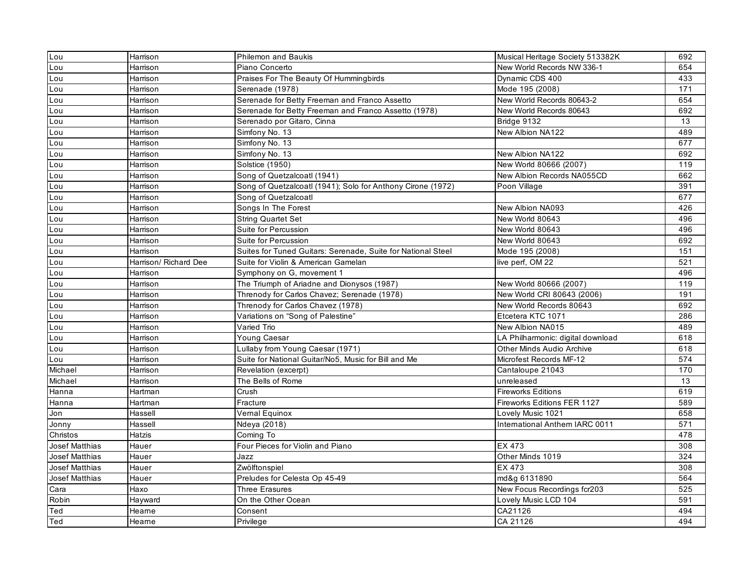| Lou                   | Harrison              | <b>Philemon and Baukis</b>                                   | Musical Heritage Society 513382K  | 692              |
|-----------------------|-----------------------|--------------------------------------------------------------|-----------------------------------|------------------|
| Lou                   | Harrison              | Piano Concerto                                               | New World Records NW 336-1        | 654              |
| Lou                   | Harrison              | Praises For The Beauty Of Hummingbirds                       | Dynamic CDS 400                   | 433              |
| Lou                   | Harrison              | Serenade (1978)                                              | Mode 195 (2008)                   | 171              |
| Lou                   | Harrison              | Serenade for Betty Freeman and Franco Assetto                | New World Records 80643-2         | 654              |
| Lou                   | Harrison              | Serenade for Betty Freeman and Franco Assetto (1978)         | New World Records 80643           | 692              |
| Lou                   | Harrison              | Serenado por Gitaro, Cinna                                   | Bridge 9132                       | 13               |
| Lou                   | Harrison              | Simfony No. 13                                               | New Albion NA122                  | 489              |
| Lou                   | Harrison              | Simfony No. 13                                               |                                   | 677              |
| Lou                   | Harrison              | Simfony No. 13                                               | New Albion NA122                  | 692              |
| Lou                   | Harrison              | Solstice (1950)                                              | New World 80666 (2007)            | 119              |
| Lou                   | Harrison              | Song of Quetzalcoatl (1941)                                  | New Albion Records NA055CD        | 662              |
| Lou                   | Harrison              | Song of Quetzalcoatl (1941); Solo for Anthony Cirone (1972)  | Poon Village                      | 391              |
| Lou                   | Harrison              | Song of Quetzalcoatl                                         |                                   | 677              |
| Lou                   | Harrison              | Songs In The Forest                                          | New Albion NA093                  | 426              |
| Lou                   | Harrison              | <b>String Quartet Set</b>                                    | New World 80643                   | 496              |
| Lou                   | Harrison              | Suite for Percussion                                         | New World 80643                   | 496              |
| Lou                   | Harrison              | Suite for Percussion                                         | New World 80643                   | 692              |
| Lou                   | Harrison              | Suites for Tuned Guitars: Serenade, Suite for National Steel | Mode 195 (2008)                   | 151              |
| Lou                   | Harrison/ Richard Dee | Suite for Violin & American Gamelan                          | live perf, OM 22                  | 521              |
| Lou                   | Harrison              | Symphony on G, movement 1                                    |                                   | 496              |
| Lou                   | Harrison              | The Triumph of Ariadne and Dionysos (1987)                   | New World 80666 (2007)            | 119              |
| Lou                   | Harrison              | Threnody for Carlos Chavez; Serenade (1978)                  | New World CRI 80643 (2006)        | 191              |
| Lou                   | Harrison              | Threnody for Carlos Chavez (1978)                            | New World Records 80643           | 692              |
| Lou                   | Harrison              | Variations on "Song of Palestine"                            | Etcetera KTC 1071                 | 286              |
| Lou                   | Harrison              | Varied Trio                                                  | New Albion NA015                  | 489              |
| Lou                   | Harrison              | Young Caesar                                                 | LA Philharmonic: digital download | 618              |
| Lou                   | Harrison              | Lullaby from Young Caesar (1971)                             | <b>Other Minds Audio Archive</b>  | 618              |
| Lou                   | Harrison              | Suite for National Guitar/No5, Music for Bill and Me         | Microfest Records MF-12           | 574              |
| Michael               | Harrison              | Revelation (excerpt)                                         | Cantaloupe 21043                  | 170              |
| Michael               | Harrison              | The Bells of Rome                                            | unreleased                        | 13               |
| Hanna                 | Hartman               | Crush                                                        | <b>Fireworks Editions</b>         | 619              |
| Hanna                 | Hartman               | Fracture                                                     | Fireworks Editions FER 1127       | 589              |
| Jon                   | Hassell               | Vernal Equinox                                               | Lovely Music 1021                 | 658              |
| Jonny                 | Hassell               | Ndeya (2018)                                                 | International Anthem IARC 0011    | $\overline{571}$ |
| Christos              | <b>Hatzis</b>         | Coming To                                                    |                                   | 478              |
| <b>Josef Matthias</b> | Hauer                 | Four Pieces for Violin and Piano                             | EX 473                            | 308              |
| <b>Josef Matthias</b> | Hauer                 | Jazz                                                         | Other Minds 1019                  | 324              |
| <b>Josef Matthias</b> | Hauer                 | Zwölftonspiel                                                | EX 473                            | 308              |
| Josef Matthias        | Hauer                 | Preludes for Celesta Op 45-49                                | md&g 6131890                      | 564              |
| Cara                  | Haxo                  | <b>Three Erasures</b>                                        | New Focus Recordings fcr203       | 525              |
| Robin                 | Hayward               | On the Other Ocean                                           | Lovely Music LCD 104              | 591              |
| Ted                   | Hearne                | Consent                                                      | CA21126                           | 494              |
| Ted                   | Hearne                | Privilege                                                    | CA 21126                          | 494              |
|                       |                       |                                                              |                                   |                  |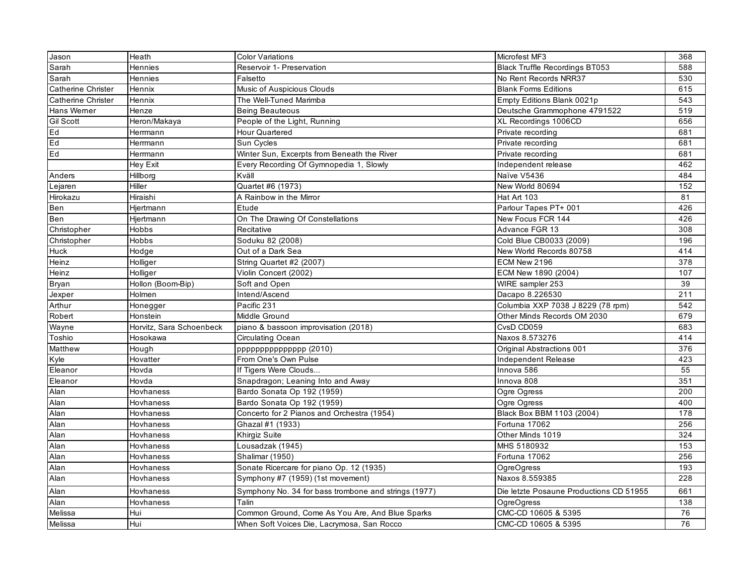| Jason                     | Heath                    | <b>Color Variations</b>                              | Microfest MF3                           | 368              |
|---------------------------|--------------------------|------------------------------------------------------|-----------------------------------------|------------------|
| Sarah                     | <b>Hennies</b>           | Reservoir 1- Preservation                            | <b>Black Truffle Recordings BT053</b>   | 588              |
| Sarah                     | Hennies                  | Falsetto                                             | No Rent Records NRR37                   | 530              |
| Catherine Christer        | Hennix                   | Music of Auspicious Clouds                           | <b>Blank Forms Editions</b>             | 615              |
| <b>Catherine Christer</b> | Hennix                   | The Well-Tuned Marimba                               | Empty Editions Blank 0021p              | $\overline{543}$ |
| Hans Werner               | Henze                    | <b>Being Beauteous</b>                               | Deutsche Grammophone 4791522            | 519              |
| <b>Gil Scott</b>          | Heron/Makaya             | People of the Light, Running                         | XL Recordings 1006CD                    | 656              |
| Ed                        | Herrmann                 | Hour Quartered                                       | Private recording                       | 681              |
| Ed                        | Herrmann                 | Sun Cycles                                           | Private recording                       | 681              |
| Ed                        | Herrmann                 | Winter Sun, Excerpts from Beneath the River          | Private recording                       | 681              |
|                           | Hey Exit                 | Every Recording Of Gymnopedia 1, Slowly              | Independent release                     | 462              |
| Anders                    | Hillborg                 | Kväll                                                | Naïve V5436                             | 484              |
| Lejaren                   | Hiller                   | Quartet #6 (1973)                                    | New World 80694                         | 152              |
| Hirokazu                  | Hiraishi                 | A Rainbow in the Mirror                              | Hat Art 103                             | 81               |
| <b>Ben</b>                | Hjertmann                | Etude                                                | Parlour Tapes PT+ 001                   | 426              |
| Ben                       | Hjertmann                | On The Drawing Of Constellations                     | New Focus FCR 144                       | 426              |
| Christopher               | Hobbs                    | Recitative                                           | Advance FGR 13                          | 308              |
| Christopher               | Hobbs                    | Soduku 82 (2008)                                     | Cold Blue CB0033 (2009)                 | 196              |
| Huck                      | Hodge                    | Out of a Dark Sea                                    | New World Records 80758                 | 414              |
| Heinz                     | Holliger                 | String Quartet #2 (2007)                             | ECM New 2196                            | $\overline{378}$ |
| Heinz                     | Holliger                 | Violin Concert (2002)                                | ECM New 1890 (2004)                     | 107              |
| <b>Bryan</b>              | Hollon (Boom-Bip)        | Soft and Open                                        | WIRE sampler 253                        | 39               |
| Jexper                    | Holmen                   | Intend/Ascend                                        | Dacapo 8.226530                         | 211              |
| Arthur                    | Honegger                 | Pacific 231                                          | Columbia XXP 7038 J 8229 (78 rpm)       | 542              |
| Robert                    | Honstein                 | Middle Ground                                        | Other Minds Records OM 2030             | 679              |
| Wayne                     | Horvitz, Sara Schoenbeck | piano & bassoon improvisation (2018)                 | CvsD CD059                              | 683              |
| Toshio                    | Hosokawa                 | <b>Circulating Ocean</b>                             | Naxos 8.573276                          | 414              |
| Matthew                   | Hough                    | ppppppppppppppp (2010)                               | <b>Original Abstractions 001</b>        | 376              |
| Kyle                      | Hovatter                 | From One's Own Pulse                                 | Independent Release                     | 423              |
| Eleanor                   | Hovda                    | If Tigers Were Clouds                                | Innova $586$                            | 55               |
| Eleanor                   | Hovda                    | Snapdragon; Leaning Into and Away                    | Innova 808                              | 351              |
| Alan                      | Hovhaness                | Bardo Sonata Op 192 (1959)                           | Ogre Ogress                             | 200              |
| Alan                      | Hovhaness                | Bardo Sonata Op 192 (1959)                           | Ogre Ogress                             | 400              |
| Alan                      | Hovhaness                | Concerto for 2 Pianos and Orchestra (1954)           | Black Box BBM 1103 (2004)               | 178              |
| Alan                      | Hovhaness                | Ghazal #1 (1933)                                     | Fortuna 17062                           | 256              |
| Alan                      | Hovhaness                | Khirgiz Suite                                        | Other Minds 1019                        | 324              |
| Alan                      | Hovhaness                | Lousadzak (1945)                                     | MHS 5180932                             | 153              |
| Alan                      | Hovhaness                | Shalimar (1950)                                      | Fortuna 17062                           | 256              |
| Alan                      | Hovhaness                | Sonate Ricercare for piano Op. 12 (1935)             | OgreOgress                              | 193              |
| Alan                      | Hovhaness                | Symphony #7 (1959) (1st movement)                    | Naxos 8.559385                          | 228              |
| Alan                      | Hovhaness                | Symphony No. 34 for bass trombone and strings (1977) | Die letzte Posaune Productions CD 51955 | 661              |
| Alan                      | Hovhaness                | Talin                                                | <b>OgreOgress</b>                       | 138              |
| Melissa                   | Hui                      | Common Ground, Come As You Are, And Blue Sparks      | CMC-CD 10605 & 5395                     | 76               |
| Melissa                   | Hui                      | When Soft Voices Die, Lacrymosa, San Rocco           | CMC-CD 10605 & 5395                     | 76               |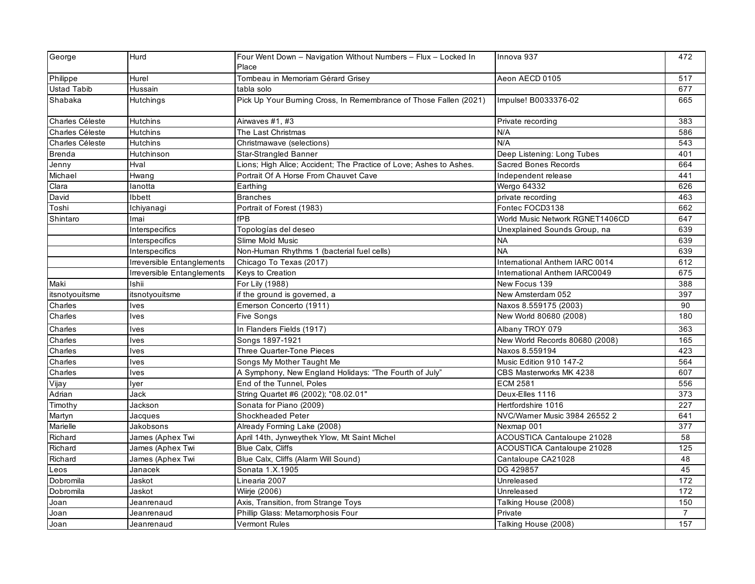| George             | Hurd                       | Four Went Down - Navigation Without Numbers - Flux - Locked In<br>Place | Innova 937                        | 472             |
|--------------------|----------------------------|-------------------------------------------------------------------------|-----------------------------------|-----------------|
| Philippe           | Hurel                      | Tombeau in Memoriam Gérard Grisey                                       | Aeon AECD 0105                    | 517             |
| <b>Ustad Tabib</b> | Hussain                    | tabla solo                                                              |                                   | 677             |
| Shabaka            | <b>Hutchings</b>           | Pick Up Your Burning Cross, In Remembrance of Those Fallen (2021)       | Impulse! B0033376-02              | 665             |
| Charles Céleste    | Hutchins                   | Airwaves #1, #3                                                         | Private recording                 | 383             |
| Charles Céleste    | <b>Hutchins</b>            | The Last Christmas                                                      | N/A                               | 586             |
| Charles Céleste    | <b>Hutchins</b>            | Christmawave (selections)                                               | N/A                               | 543             |
| <b>Brenda</b>      | Hutchinson                 | <b>Star-Strangled Banner</b>                                            | Deep Listening: Long Tubes        | 401             |
| Jenny              | Hval                       | Lions; High Alice; Accident; The Practice of Love; Ashes to Ashes.      | <b>Sacred Bones Records</b>       | 664             |
| Michael            | Hwang                      | Portrait Of A Horse From Chauvet Cave                                   | Independent release               | 441             |
| Clara              | lanotta                    | Earthing                                                                | Wergo 64332                       | 626             |
| David              | Ibbett                     | <b>Branches</b>                                                         | private recording                 | 463             |
| Toshi              | Ichiyanagi                 | Portrait of Forest (1983)                                               | Fontec FOCD3138                   | 662             |
| Shintaro           | Imai                       | fPB                                                                     | World Music Network RGNET1406CD   | 647             |
|                    | Interspecifics             | Topologías del deseo                                                    | Unexplained Sounds Group, na      | 639             |
|                    | Interspecifics             | Slime Mold Music                                                        | <b>NA</b>                         | 639             |
|                    | Interspecifics             | Non-Human Rhythms 1 (bacterial fuel cells)                              | <b>NA</b>                         | 639             |
|                    | Irreversible Entanglements | Chicago To Texas (2017)                                                 | International Anthem IARC 0014    | 612             |
|                    | Irreversible Entanglements | Keys to Creation                                                        | International Anthem IARC0049     | 675             |
| Maki               | Ishii                      | For Lily (1988)                                                         | New Focus 139                     | 388             |
| itsnotyouitsme     | itsnotyouitsme             | if the ground is governed, a                                            | New Amsterdam 052                 | 397             |
| Charles            | lves                       | Emerson Concerto (1911)                                                 | Naxos 8.559175 (2003)             | 90              |
| Charles            | <b>Ives</b>                | Five Songs                                                              | New World 80680 (2008)            | 180             |
| Charles            | Ives                       | In Flanders Fields (1917)                                               | Albany TROY 079                   | 363             |
| Charles            | lves                       | Songs 1897-1921                                                         | New World Records 80680 (2008)    | 165             |
| Charles            | lves                       | <b>Three Quarter-Tone Pieces</b>                                        | Naxos 8.559194                    | 423             |
| Charles            | lves                       | Songs My Mother Taught Me                                               | Music Edition 910 147-2           | 564             |
| Charles            | lves                       | A Symphony, New England Holidays: "The Fourth of July"                  | CBS Masterworks MK 4238           | 607             |
| Vijay              | Iver                       | End of the Tunnel, Poles                                                | <b>ECM 2581</b>                   | 556             |
| Adrian             | Jack                       | String Quartet #6 (2002); "08.02.01"                                    | Deux-Elles 1116                   | 373             |
| Timothy            | Jackson                    | Sonata for Piano (2009)                                                 | Hertfordshire 1016                | 227             |
| Martyn             | Jacques                    | Shockheaded Peter                                                       | NVC/Warner Music 3984 26552 2     | 641             |
| Marielle           | Jakobsons                  | Already Forming Lake (2008)                                             | Nexmap 001                        | 377             |
| Richard            | James (Aphex Twi           | April 14th, Jynweythek Ylow, Mt Saint Michel                            | <b>ACOUSTICA Cantaloupe 21028</b> | 58              |
| Richard            | James (Aphex Twi           | <b>Blue Calx, Cliffs</b>                                                | <b>ACOUSTICA Cantaloupe 21028</b> | 125             |
| Richard            | James (Aphex Twi           | Blue Calx, Cliffs (Alarm Will Sound)                                    | Cantaloupe CA21028                | 48              |
| Leos               | Janacek                    | Sonata 1.X.1905                                                         | DG 429857                         | 45              |
| Dobromila          | Jaskot                     | Linearia 2007                                                           | Unreleased                        | 172             |
| Dobromila          | Jaskot                     | Wiirje (2006)                                                           | Unreleased                        | $\frac{1}{172}$ |
| Joan               | Jeanrenaud                 | Axis, Transition, from Strange Toys                                     | Talking House (2008)              | 150             |
| Joan               | Jeanrenaud                 | Phillip Glass: Metamorphosis Four                                       | Private                           | $\overline{7}$  |
| Joan               | Jeanrenaud                 | <b>Vermont Rules</b>                                                    | Talking House (2008)              | 157             |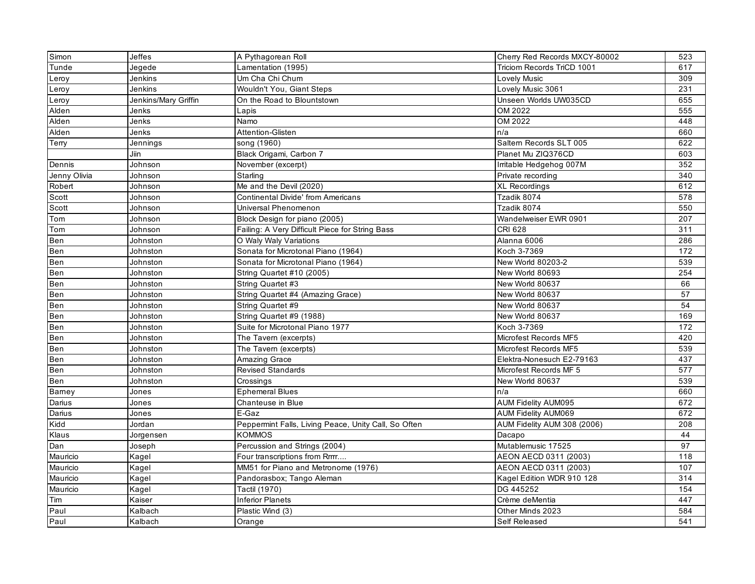| Simon        | <b>Jeffes</b>        | A Pythagorean Roll                                   | Cherry Red Records MXCY-80002     | 523 |
|--------------|----------------------|------------------------------------------------------|-----------------------------------|-----|
| Tunde        | Jegede               | Lamentation (1995)                                   | <b>Triciom Records TriCD 1001</b> | 617 |
| Leroy        | Jenkins              | Um Cha Chi Chum                                      | Lovely Music                      | 309 |
| Leroy        | Jenkins              | Wouldn't You, Giant Steps                            | Lovely Music 3061                 | 231 |
| Leroy        | Jenkins/Mary Griffin | On the Road to Blountstown                           | Unseen Worlds UW035CD             | 655 |
| Alden        | Jenks                | Lapis                                                | OM 2022                           | 555 |
| Alden        | Jenks                | Namo                                                 | OM 2022                           | 448 |
| Alden        | Jenks                | Attention-Glisten                                    | n/a                               | 660 |
| Terry        | Jennings             | song (1960)                                          | Saltern Records SLT 005           | 622 |
|              | Jiin                 | Black Origami, Carbon 7                              | Planet Mu ZIQ376CD                | 603 |
| Dennis       | Johnson              | November (excerpt)                                   | Irritable Hedgehog 007M           | 352 |
| Jenny Olivia | Johnson              | Starling                                             | Private recording                 | 340 |
| Robert       | Johnson              | Me and the Devil (2020)                              | <b>XL Recordings</b>              | 612 |
| Scott        | Johnson              | <b>Continental Divide' from Americans</b>            | Tzadik 8074                       | 578 |
| Scott        | Johnson              | Universal Phenomenon                                 | Tzadik 8074                       | 550 |
| Tom          | Johnson              | Block Design for piano (2005)                        | Wandelweiser EWR 0901             | 207 |
| Tom          | Johnson              | Failing: A Very Difficult Piece for String Bass      | <b>CRI 628</b>                    | 311 |
| Ben          | Johnston             | O Waly Waly Variations                               | Alanna 6006                       | 286 |
| Ben          | Johnston             | Sonata for Microtonal Piano (1964)                   | Koch 3-7369                       | 172 |
| Ben          | Johnston             | Sonata for Microtonal Piano (1964)                   | New World 80203-2                 | 539 |
| Ben          | Johnston             | String Quartet #10 (2005)                            | New World 80693                   | 254 |
| Ben          | Johnston             | String Quartet #3                                    | New World 80637                   | 66  |
| Ben          | Johnston             | String Quartet #4 (Amazing Grace)                    | New World 80637                   | 57  |
| Ben          | Johnston             | String Quartet #9                                    | New World 80637                   | 54  |
| Ben          | Johnston             | String Quartet #9 (1988)                             | New World 80637                   | 169 |
| Ben          | Johnston             | Suite for Microtonal Piano 1977                      | Koch 3-7369                       | 172 |
| Ben          | Johnston             | The Tavern (excerpts)                                | Microfest Records MF5             | 420 |
| Ben          | Johnston             | The Tavern (excerpts)                                | Microfest Records MF5             | 539 |
| Ben          | Johnston             | Amazing Grace                                        | Elektra-Nonesuch E2-79163         | 437 |
| Ben          | Johnston             | <b>Revised Standards</b>                             | Microfest Records MF 5            | 577 |
| Ben          | Johnston             | Crossings                                            | New World 80637                   | 539 |
| Barney       | Jones                | <b>Ephemeral Blues</b>                               | n/a                               | 660 |
| Darius       | Jones                | Chanteuse in Blue                                    | <b>AUM Fidelity AUM095</b>        | 672 |
| Darius       | Jones                | E-Gaz                                                | <b>AUM Fidelity AUM069</b>        | 672 |
| Kidd         | Jordan               | Peppermint Falls, Living Peace, Unity Call, So Often | AUM Fidelity AUM 308 (2006)       | 208 |
| Klaus        | Jorgensen            | <b>KOMMOS</b>                                        | Dacapo                            | 44  |
| Dan          | Joseph               | Percussion and Strings (2004)                        | Mutablemusic 17525                | 97  |
| Mauricio     | Kagel                | Four transcriptions from Rrrrr                       | AEON AECD 0311 (2003)             | 118 |
| Mauricio     | Kagel                | MM51 for Piano and Metronome (1976)                  | AEON AECD 0311 (2003)             | 107 |
| Mauricio     | Kagel                | Pandorasbox; Tango Aleman                            | Kagel Edition WDR 910 128         | 314 |
| Mauricio     | Kagel                | <b>Tactil (1970)</b>                                 | DG 445252                         | 154 |
| Tim          | Kaiser               | <b>Inferior Planets</b>                              | Crème deMentia                    | 447 |
| Paul         | Kalbach              | Plastic Wind (3)                                     | Other Minds 2023                  | 584 |
| Paul         | Kalbach              | Orange                                               | Self Released                     | 541 |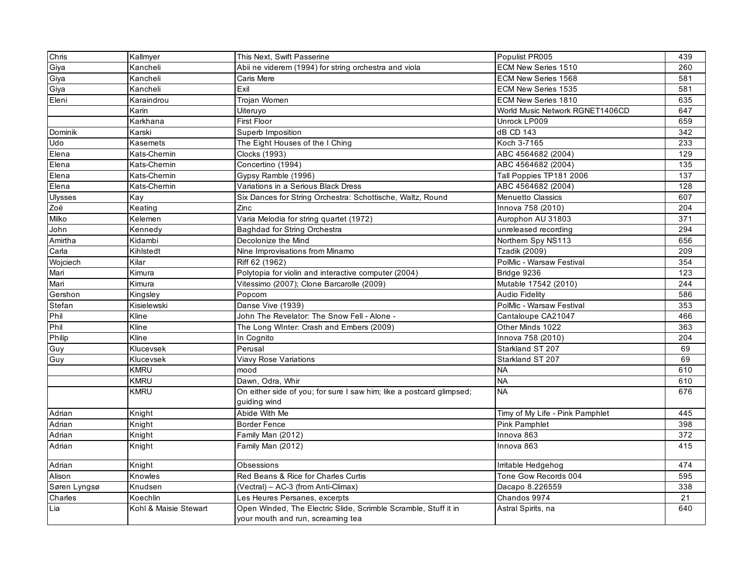| Chris        | Kallmyer              | This Next, Swift Passerine                                                                           | Populist PR005                  | 439 |
|--------------|-----------------------|------------------------------------------------------------------------------------------------------|---------------------------------|-----|
| Giya         | Kancheli              | Abii ne viderem (1994) for string orchestra and viola                                                | ECM New Series 1510             | 260 |
| Giya         | Kancheli              | Caris Mere                                                                                           | ECM New Series 1568             | 581 |
| Giya         | Kancheli              | Exil                                                                                                 | ECM New Series 1535             | 581 |
| Eleni        | Karaindrou            | Trojan Women                                                                                         | ECM New Series 1810             | 635 |
|              | Karin                 | Uiteruyo                                                                                             | World Music Network RGNET1406CD | 647 |
|              | Karkhana              | First Floor                                                                                          | Unrock LP009                    | 659 |
| Dominik      | Karski                | Superb Imposition                                                                                    | dB CD 143                       | 342 |
| Udo          | Kasemets              | The Eight Houses of the I Ching                                                                      | Koch 3-7165                     | 233 |
| Elena        | Kats-Chemin           | Clocks (1993)                                                                                        | ABC 4564682 (2004)              | 129 |
| Elena        | Kats-Chemin           | Concertino (1994)                                                                                    | ABC 4564682 (2004)              | 135 |
| Elena        | Kats-Chemin           | Gypsy Ramble (1996)                                                                                  | Tall Poppies TP181 2006         | 137 |
| Elena        | Kats-Chemin           | Variations in a Serious Black Dress                                                                  | ABC 4564682 (2004)              | 128 |
| Ulysses      | Kay                   | Six Dances for String Orchestra: Schottische, Waltz, Round                                           | <b>Menuetto Classics</b>        | 607 |
| Zoë          | Keating               | Zinc                                                                                                 | Innova 758 (2010)               | 204 |
| Milko        | Kelemen               | Varia Melodia for string quartet (1972)                                                              | Aurophon AU 31803               | 371 |
| John         | Kennedy               | Baghdad for String Orchestra                                                                         | unreleased recording            | 294 |
| Amirtha      | Kidambi               | Decolonize the Mind                                                                                  | Northern Spy NS113              | 656 |
| Carla        | Kihlstedt             | Nine Improvisations from Minamo                                                                      | <b>Tzadik (2009)</b>            | 209 |
| Wojciech     | Kilar                 | Riff 62 (1962)                                                                                       | PolMic - Warsaw Festival        | 354 |
| Mari         | Kimura                | Polytopia for violin and interactive computer (2004)                                                 | Bridge 9236                     | 123 |
| Mari         | Kimura                | Vitessimo (2007); Clone Barcarolle (2009)                                                            | Mutable 17542 (2010)            | 244 |
| Gershon      | Kingsley              | Popcorn                                                                                              | <b>Audio Fidelity</b>           | 586 |
| Stefan       | Kisielewski           | Danse Vive (1939)                                                                                    | PolMic - Warsaw Festival        | 353 |
| Phil         | Kline                 | John The Revelator: The Snow Fell - Alone -                                                          | Cantaloupe CA21047              | 466 |
| Phil         | Kline                 | The Long Winter: Crash and Embers (2009)                                                             | Other Minds 1022                | 363 |
| Philip       | Kline                 | In Cognito                                                                                           | Innova 758 (2010)               | 204 |
| Guy          | Klucevsek             | Perusal                                                                                              | Starkland ST 207                | 69  |
| Guy          | Klucevsek             | Viavy Rose Variations                                                                                | Starkland ST 207                | 69  |
|              | <b>KMRU</b>           | mood                                                                                                 | <b>NA</b>                       | 610 |
|              | <b>KMRU</b>           | Dawn, Odra, Whir                                                                                     | <b>NA</b>                       | 610 |
|              | <b>KMRU</b>           | On either side of you; for sure I saw him; like a postcard glimpsed;<br>guiding wind                 | <b>NA</b>                       | 676 |
| Adrian       | Knight                | Abide With Me                                                                                        | Timy of My Life - Pink Pamphlet | 445 |
| Adrian       | Knight                | <b>Border Fence</b>                                                                                  | <b>Pink Pamphlet</b>            | 398 |
| Adrian       | Knight                | Family Man (2012)                                                                                    | Innova 863                      | 372 |
| Adrian       | Knight                | Family Man (2012)                                                                                    | Innova 863                      | 415 |
| Adrian       | Knight                | Obsessions                                                                                           | Irritable Hedgehog              | 474 |
| Alison       | Knowles               | Red Beans & Rice for Charles Curtis                                                                  | Tone Gow Records 004            | 595 |
| Søren Lyngsø | Knudsen               | (Vectral) - AC-3 (from Anti-Climax)                                                                  | Dacapo 8.226559                 | 338 |
| Charles      | Koechlin              | Les Heures Persanes, excerpts                                                                        | Chandos 9974                    | 21  |
| Lia          | Kohl & Maisie Stewart | Open Winded, The Electric Slide, Scrimble Scramble, Stuff it in<br>your mouth and run, screaming tea | Astral Spirits, na              | 640 |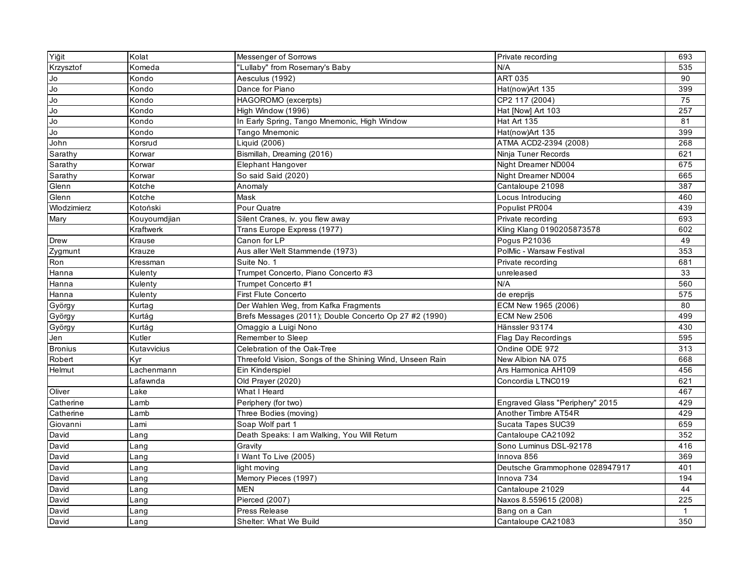| Yiğit          | Kolat        | Messenger of Sorrows                                     | Private recording               | 693          |
|----------------|--------------|----------------------------------------------------------|---------------------------------|--------------|
| Krzysztof      | Komeda       | "Lullaby" from Rosemary's Baby                           | N/A                             | 535          |
| Jo             | Kondo        | Aesculus (1992)                                          | <b>ART 035</b>                  | 90           |
| Jo             | Kondo        | Dance for Piano                                          | Hat(now)Art 135                 | 399          |
| Jo             | Kondo        | HAGOROMO (excerpts)                                      | CP2 117 (2004)                  | 75           |
| Jo             | Kondo        | High Window (1996)                                       | Hat [Now] Art 103               | 257          |
| Jo             | Kondo        | In Early Spring, Tango Mnemonic, High Window             | Hat Art 135                     | 81           |
| Jo             | Kondo        | Tango Mnemonic                                           | Hat(now)Art 135                 | 399          |
| John           | Korsrud      | Liquid (2006)                                            | ATMA ACD2-2394 (2008)           | 268          |
| Sarathy        | Korwar       | Bismillah, Dreaming (2016)                               | Ninja Tuner Records             | 621          |
| Sarathy        | Korwar       | <b>Elephant Hangover</b>                                 | Night Dreamer ND004             | 675          |
| Sarathy        | Korwar       | So said Said (2020)                                      | Night Dreamer ND004             | 665          |
| Glenn          | Kotche       | Anomaly                                                  | Cantaloupe 21098                | 387          |
| Glenn          | Kotche       | Mask                                                     | Locus Introducing               | 460          |
| Wlodzimierz    | Kotoński     | Pour Quatre                                              | Populist PR004                  | 439          |
| Mary           | Kouyoumdjian | Silent Cranes, iv. you flew away                         | Private recording               | 693          |
|                | Kraftwerk    | Trans Europe Express (1977)                              | Kling Klang 0190205873578       | 602          |
| Drew           | Krause       | Canon for LP                                             | Pogus P21036                    | 49           |
| Zygmunt        | Krauze       | Aus aller Welt Stammende (1973)                          | PolMic - Warsaw Festival        | 353          |
| Ron            | Kressman     | Suite No. 1                                              | Private recording               | 681          |
| Hanna          | Kulenty      | Trumpet Concerto, Piano Concerto #3                      | unreleased                      | 33           |
| Hanna          | Kulenty      | Trumpet Concerto #1                                      | N/A                             | 560          |
| Hanna          | Kulenty      | <b>First Flute Concerto</b>                              | de ereprijs                     | 575          |
| György         | Kurtag       | Der Wahlen Weg, from Kafka Fragments                     | ECM New 1965 (2006)             | 80           |
| György         | Kurtág       | Brefs Messages (2011); Double Concerto Op 27 #2 (1990)   | <b>ECM New 2506</b>             | 499          |
| György         | Kurtág       | Omaggio a Luigi Nono                                     | Hänssler 93174                  | 430          |
| Jen            | Kutler       | Remember to Sleep                                        | Flag Day Recordings             | 595          |
| <b>Bronius</b> | Kutavvicius  | Celebration of the Oak-Tree                              | Ondine ODE 972                  | 313          |
| Robert         | Kyr          | Threefold Vision, Songs of the Shining Wind, Unseen Rain | New Albion NA 075               | 668          |
| Helmut         | Lachenmann   | Ein Kinderspiel                                          | Ars Harmonica AH109             | 456          |
|                | _afawnda     | Old Prayer (2020)                                        | Concordia LTNC019               | 621          |
| Oliver         | Lake         | What I Heard                                             |                                 | 467          |
| Catherine      | Lamb         | Periphery (for two)                                      | Engraved Glass "Periphery" 2015 | 429          |
| Catherine      | ∟amb         | Three Bodies (moving)                                    | Another Timbre AT54R            | 429          |
| Giovanni       | Lami         | Soap Wolf part 1                                         | Sucata Tapes SUC39              | 659          |
| David          | _ang         | Death Speaks: I am Walking, You Will Return              | Cantaloupe CA21092              | 352          |
| David          | Lang         | Gravity                                                  | Sono Luminus DSL-92178          | 416          |
| David          | Lang         | I Want To Live (2005)                                    | Innova 856                      | 369          |
| David          | Lang         | light moving                                             | Deutsche Grammophone 028947917  | 401          |
| David          | Lang         | Memory Pieces (1997)                                     | Innova 734                      | 194          |
| David          | _ang         | <b>MEN</b>                                               | Cantaloupe 21029                | 44           |
| David          | _ang         | <b>Pierced</b> (2007)                                    | Naxos 8.559615 (2008)           | 225          |
| David          | Lang         | Press Release                                            | Bang on a Can                   | $\mathbf{1}$ |
| David          | Lang         | Shelter: What We Build                                   | Cantaloupe CA21083              | 350          |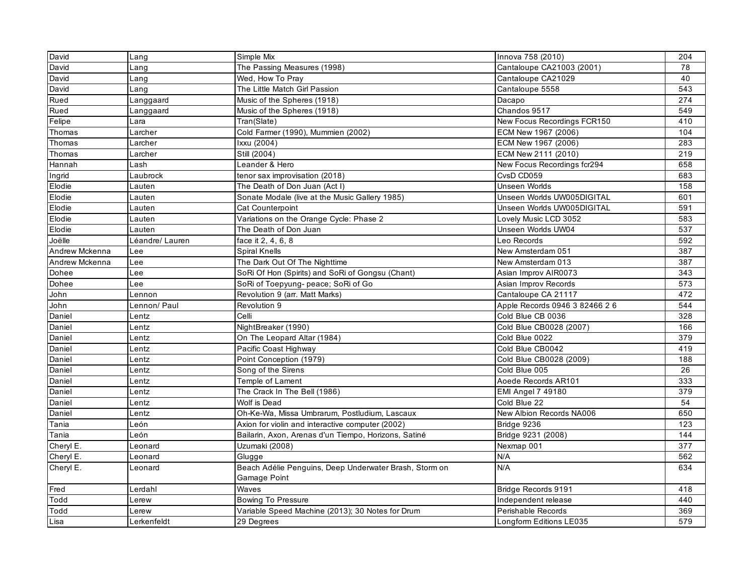| David          | Lang            | Simple Mix                                             | Innova 758 (2010)              | 204              |
|----------------|-----------------|--------------------------------------------------------|--------------------------------|------------------|
| David          | _ang            | The Passing Measures (1998)                            | Cantaloupe CA21003 (2001)      | 78               |
| David          | _ang            | Wed, How To Pray                                       | Cantaloupe CA21029             | 40               |
| David          | _ang            | The Little Match Girl Passion                          | Cantaloupe 5558                | $\overline{543}$ |
| Rued           | Langgaard       | Music of the Spheres (1918)                            | Dacapo                         | 274              |
| Rued           | Langgaard       | Music of the Spheres (1918)                            | Chandos 9517                   | 549              |
| Felipe         | Lara            | Tran(Slate)                                            | New Focus Recordings FCR150    | 410              |
| Thomas         | _archer         | Cold Farmer (1990), Mummien (2002)                     | ECM New 1967 (2006)            | 104              |
| Thomas         | _archer         | Ixxu (2004)                                            | ECM New 1967 (2006)            | 283              |
| Thomas         | Larcher         | Still (2004)                                           | ECM New 2111 (2010)            | 219              |
| Hannah         | Lash            | Leander & Hero                                         | New Focus Recordings fcr294    | 658              |
| Ingrid         | Laubrock        | tenor sax improvisation (2018)                         | CvsD CD059                     | 683              |
| Elodie         | Lauten          | The Death of Don Juan (Act I)                          | <b>Unseen Worlds</b>           | 158              |
| Elodie         | Lauten          | Sonate Modale (live at the Music Gallery 1985)         | Unseen Worlds UW005DIGITAL     | 601              |
| Elodie         | Lauten          | <b>Cat Counterpoint</b>                                | Unseen Worlds UW005DIGITAL     | 591              |
| Elodie         | ∟auten          | Variations on the Orange Cycle: Phase 2                | Lovely Music LCD 3052          | 583              |
| Elodie         | Lauten          | The Death of Don Juan                                  | Unseen Worlds UW04             | 537              |
| Joëlle         | Léandre/ Lauren | face it 2, 4, 6, 8                                     | Leo Records                    | 592              |
| Andrew Mckenna | Lee             | Spiral Knells                                          | New Amsterdam 051              | 387              |
| Andrew Mckenna | Lee             | The Dark Out Of The Nighttime                          | New Amsterdam 013              | 387              |
| Dohee          | -ee             | SoRi Of Hon (Spirits) and SoRi of Gongsu (Chant)       | Asian Improv AIR0073           | 343              |
| Dohee          | -ee             | SoRi of Toepyung- peace; SoRi of Go                    | Asian Improv Records           | 573              |
| John           | Lennon          | Revolution 9 (arr. Matt Marks)                         | Cantaloupe CA 21117            | 472              |
| John           | _ennon/ Paul    | Revolution 9                                           | Apple Records 0946 3 82466 2 6 | 544              |
| Daniel         | Lentz           | Celli                                                  | Cold Blue CB 0036              | 328              |
| Daniel         | _entz           | NightBreaker (1990)                                    | Cold Blue CB0028 (2007)        | 166              |
| Daniel         | _entz           | On The Leopard Altar (1984)                            | Cold Blue 0022                 | 379              |
| Daniel         | _entz           | Pacific Coast Highway                                  | Cold Blue CB0042               | 419              |
| Daniel         | _entz           | Point Conception (1979)                                | Cold Blue CB0028 (2009)        | 188              |
| Daniel         | Lentz           | Song of the Sirens                                     | Cold Blue 005                  | 26               |
| Daniel         | Lentz           | Temple of Lament                                       | Aoede Records AR101            | 333              |
| Daniel         | Lentz           | The Crack In The Bell (1986)                           | <b>EMI Angel 7 49180</b>       | 379              |
| Daniel         | _entz           | Wolf is Dead                                           | Cold Blue 22                   | 54               |
| Daniel         | _entz           | Oh-Ke-Wa, Missa Umbrarum, Postludium, Lascaux          | New Albion Records NA006       | 650              |
| Tania          | León            | Axion for violin and interactive computer (2002)       | Bridge 9236                    | 123              |
| Tania          | _eón            | Bailarin, Axon, Arenas d'un Tiempo, Horizons, Satiné   | Bridge 9231 (2008)             | 144              |
| Cheryl E.      | _eonard         | Uzumaki (2008)                                         | Nexmap 001                     | 377              |
| Cheryl E.      | _eonard         | Glugge                                                 | N/A                            | 562              |
| Cheryl E.      | Leonard         | Beach Adélie Penguins, Deep Underwater Brash, Storm on | N/A                            | 634              |
|                |                 | Gamage Point                                           |                                |                  |
| Fred           | -erdahl         | Waves                                                  | Bridge Records 9191            | 418              |
| Todd           | Lerew           | <b>Bowing To Pressure</b>                              | Independent release            | 440              |
| Todd           | _erew           | Variable Speed Machine (2013); 30 Notes for Drum       | Perishable Records             | 369              |
| Lisa           | -erkenfeldt     | 29 Degrees                                             | Longform Editions LE035        | 579              |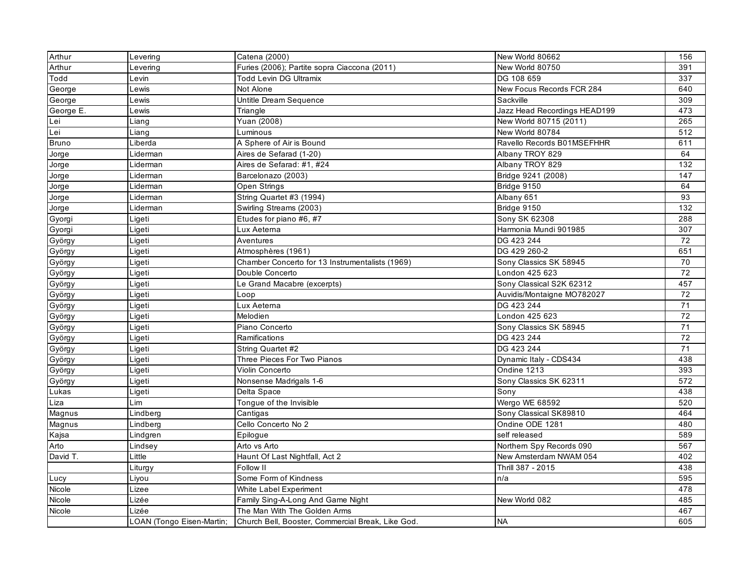| Arthur       | Levering                  | Catena (2000)                                     | New World 80662              | 156             |
|--------------|---------------------------|---------------------------------------------------|------------------------------|-----------------|
| Arthur       | Levering                  | Furies (2006); Partite sopra Ciaccona (2011)      | New World 80750              | 391             |
| Todd         | _evin                     | <b>Todd Levin DG Ultramix</b>                     | DG 108 659                   | 337             |
| George       | _ewis                     | Not Alone                                         | New Focus Records FCR 284    | 640             |
| George       | Lewis                     | Untitle Dream Sequence                            | Sackville                    | 309             |
| George E.    | Lewis                     | Triangle                                          | Jazz Head Recordings HEAD199 | 473             |
| Lei          | Liang                     | Yuan (2008)                                       | New World 80715 (2011)       | 265             |
| Lei          | Liang                     | Luminous                                          | New World 80784              | 512             |
| <b>Bruno</b> | Liberda                   | A Sphere of Air is Bound                          | Ravello Records B01MSEFHHR   | 611             |
| Jorge        | Liderman                  | Aires de Sefarad (1-20)                           | Albany TROY 829              | 64              |
| Jorge        | Liderman                  | Aires de Sefarad: #1, #24                         | Albany TROY 829              | $\frac{132}{ }$ |
| Jorge        | Liderman                  | Barcelonazo (2003)                                | Bridge 9241 (2008)           | 147             |
| Jorge        | Liderman                  | Open Strings                                      | Bridge 9150                  | 64              |
| Jorge        | Liderman                  | String Quartet #3 (1994)                          | Albany 651                   | 93              |
| Jorge        | Liderman                  | Swirling Streams (2003)                           | Bridge 9150                  | 132             |
| Gyorgi       | Ligeti                    | Etudes for piano #6, #7                           | Sony SK 62308                | 288             |
| Gyorgi       | Ligeti                    | Lux Aetema                                        | Harmonia Mundi 901985        | 307             |
| György       | Ligeti                    | Aventures                                         | DG 423 244                   | 72              |
| György       | Ligeti                    | Atmosphères (1961)                                | DG 429 260-2                 | 651             |
| György       | Ligeti                    | Chamber Concerto for 13 Instrumentalists (1969)   | Sony Classics SK 58945       | 70              |
| György       | Ligeti                    | Double Concerto                                   | London 425 623               | 72              |
| György       | Ligeti                    | Le Grand Macabre (excerpts)                       | Sony Classical S2K 62312     | 457             |
| György       | Ligeti                    | Loop                                              | Auvidis/Montaigne MO782027   | 72              |
| György       | Ligeti                    | Lux Aetema                                        | DG 423 244                   | 71              |
| György       | Ligeti                    | Melodien                                          | London 425 623               | 72              |
| György       | Ligeti                    | Piano Concerto                                    | Sony Classics SK 58945       | 71              |
| György       | Ligeti                    | Ramifications                                     | DG 423 244                   | 72              |
| György       | Ligeti                    | String Quartet #2                                 | DG 423 244                   | $\overline{71}$ |
| György       | Ligeti                    | Three Pieces For Two Pianos                       | Dynamic Italy - CDS434       | 438             |
| György       | Ligeti                    | Violin Concerto                                   | Ondine 1213                  | 393             |
| György       | Ligeti                    | Nonsense Madrigals 1-6                            | Sony Classics SK 62311       | 572             |
| Lukas        | Ligeti                    | Delta Space                                       | Sony                         | 438             |
| Liza         | Lim                       | Tongue of the Invisible                           | Wergo WE 68592               | 520             |
| Magnus       | Lindberg                  | Cantigas                                          | Sony Classical SK89810       | 464             |
| Magnus       | Lindberg                  | Cello Concerto No 2                               | Ondine ODE 1281              | 480             |
| Kajsa        | Lindgren                  | Epilogue                                          | self released                | 589             |
| Arto         | Lindsey                   | Arto vs Arto                                      | Northern Spy Records 090     | 567             |
| David T.     | Little                    | Haunt Of Last Nightfall, Act 2                    | New Amsterdam NWAM 054       | 402             |
|              | Liturgy                   | Follow II                                         | Thrill 387 - 2015            | 438             |
| Lucy         | Liyou                     | Some Form of Kindness                             | n/a                          | 595             |
| Nicole       | Lizee                     | White Label Experiment                            |                              | 478             |
| Nicole       | Lizée                     | Family Sing-A-Long And Game Night                 | New World 082                | 485             |
| Nicole       | Lizée                     | The Man With The Golden Arms                      |                              | 467             |
|              | -OAN (Tongo Eisen-Martin; | Church Bell, Booster, Commercial Break, Like God. | <b>NA</b>                    | 605             |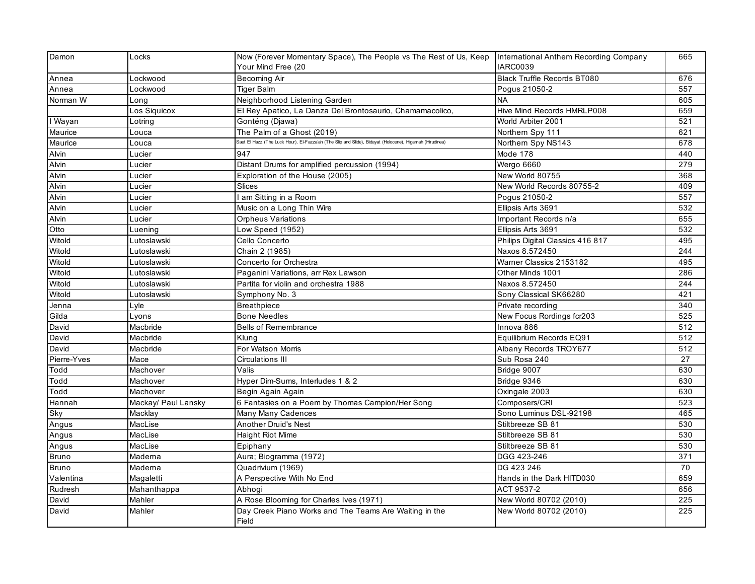| Damon        | Locks               | Now (Forever Momentary Space), The People vs The Rest of Us, Keep   International Anthem Recording Company<br>Your Mind Free (20 | <b>IARC0039</b>                    | 665             |
|--------------|---------------------|----------------------------------------------------------------------------------------------------------------------------------|------------------------------------|-----------------|
| Annea        | _ockwood            | <b>Becoming Air</b>                                                                                                              | <b>Black Truffle Records BT080</b> | 676             |
| Annea        | Lockwood            | Tiger Balm                                                                                                                       | Pogus 21050-2                      | 557             |
| Norman W     | Long                | Neighborhood Listening Garden                                                                                                    | <b>NA</b>                          | 605             |
|              | Los Siquicox        | El Rey Apatico, La Danza Del Brontosaurio, Chamamacolico,                                                                        | Hive Mind Records HMRLP008         | 659             |
| I Wayan      | Lotring             | Gonténg (Djawa)                                                                                                                  | World Arbiter 2001                 | 521             |
| Maurice      | _ouca               | The Palm of a Ghost (2019)                                                                                                       | Northern Spy 111                   | 621             |
| Maurice      | Louca               | Saet El Hazz (The Luck Hour), El-Fazza'ah (The Slip and Slide), Bidayat (Holocene), Higamah (Hirudinea)                          | Northern Spy NS143                 | 678             |
| Alvin        | Lucier              | 947                                                                                                                              | Mode 178                           | 440             |
| Alvin        | Lucier              | Distant Drums for amplified percussion (1994)                                                                                    | Wergo 6660                         | 279             |
| Alvin        | Lucier              | Exploration of the House (2005)                                                                                                  | New World 80755                    | 368             |
| Alvin        | _ucier              | Slices                                                                                                                           | New World Records 80755-2          | 409             |
| Alvin        | Lucier              | I am Sitting in a Room                                                                                                           | Pogus 21050-2                      | 557             |
| Alvin        | Lucier              | Music on a Long Thin Wire                                                                                                        | Ellipsis Arts 3691                 | 532             |
| Alvin        | Lucier              | <b>Orpheus Variations</b>                                                                                                        | Important Records n/a              | 655             |
| Otto         | Luening             | Low Speed (1952)                                                                                                                 | Ellipsis Arts 3691                 | 532             |
| Witold       | Lutoslawski         | Cello Concerto                                                                                                                   | Philips Digital Classics 416 817   | 495             |
| Witold       | Lutoslawski         | Chain 2 (1985)                                                                                                                   | Naxos 8.572450                     | 244             |
| Witold       | Lutoslawski         | Concerto for Orchestra                                                                                                           | Warner Classics 2153182            | 495             |
| Witold       | Lutoslawski         | Paganini Variations, arr Rex Lawson                                                                                              | Other Minds 1001                   | 286             |
| Witold       | Lutoslawski         | Partita for violin and orchestra 1988                                                                                            | Naxos 8.572450                     | 244             |
| Witold       | Lutosławski         | Symphony No. 3                                                                                                                   | Sony Classical SK66280             | 421             |
| Jenna        | Lyle                | <b>Breathpiece</b>                                                                                                               | Private recording                  | 340             |
| Gilda        | Lyons               | <b>Bone Needles</b>                                                                                                              | New Focus Rordings fcr203          | 525             |
| David        | Macbride            | <b>Bells of Remembrance</b>                                                                                                      | Innova 886                         | 512             |
| David        | Macbride            | Klung                                                                                                                            | Equilibrium Records EQ91           | 512             |
| David        | Macbride            | For Watson Morris                                                                                                                | Albany Records TROY677             | 512             |
| Pierre-Yves  | Mace                | Circulations III                                                                                                                 | Sub Rosa 240                       | $\overline{27}$ |
| Todd         | Machover            | Valis                                                                                                                            | Bridge 9007                        | 630             |
| Todd         | Machover            | Hyper Dim-Sums, Interludes 1 & 2                                                                                                 | Bridge 9346                        | 630             |
| Todd         | Machover            | Begin Again Again                                                                                                                | Oxingale 2003                      | 630             |
| Hannah       | Mackay/ Paul Lansky | 6 Fantasies on a Poem by Thomas Campion/Her Song                                                                                 | Composers/CRI                      | 523             |
| Sky          | Macklay             | Many Many Cadences                                                                                                               | Sono Luminus DSL-92198             | 465             |
| Angus        | MacLise             | <b>Another Druid's Nest</b>                                                                                                      | Stiltbreeze SB 81                  | 530             |
| Angus        | MacLise             | <b>Haight Riot Mime</b>                                                                                                          | Stiltbreeze SB 81                  | 530             |
| Angus        | MacLise             | Epiphany                                                                                                                         | Stiltbreeze SB 81                  | 530             |
| <b>Bruno</b> | Maderna             | Aura; Biogramma (1972)                                                                                                           | DGG 423-246                        | 371             |
| <b>Bruno</b> | Madema              | Quadrivium (1969)                                                                                                                | DG 423 246                         | 70              |
| Valentina    | Magaletti           | A Perspective With No End                                                                                                        | Hands in the Dark HITD030          | 659             |
| Rudresh      | Mahanthappa         | Abhoai                                                                                                                           | ACT 9537-2                         | 656             |
| David        | Mahler              | A Rose Blooming for Charles Ives (1971)                                                                                          | New World 80702 (2010)             | 225             |
| David        | Mahler              | Day Creek Piano Works and The Teams Are Waiting in the<br>Field                                                                  | New World 80702 (2010)             | 225             |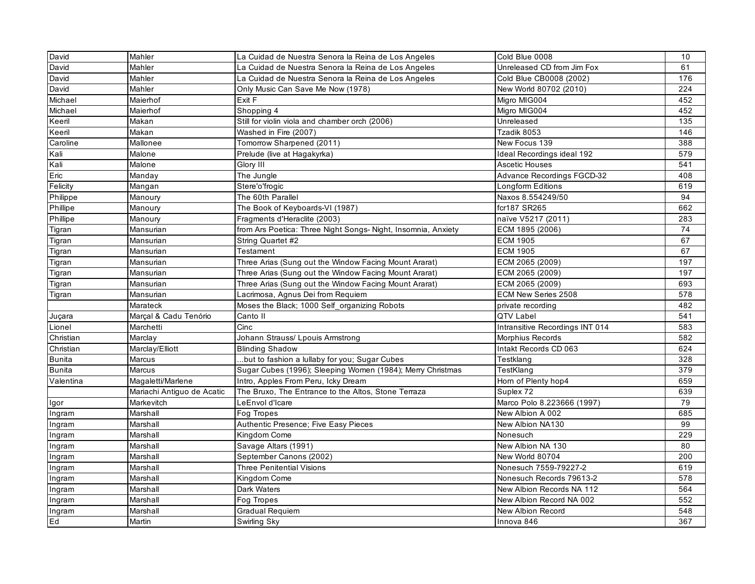| David         | Mahler                     | La Cuidad de Nuestra Senora la Reina de Los Angeles           | Cold Blue 0008                  | 10               |
|---------------|----------------------------|---------------------------------------------------------------|---------------------------------|------------------|
| David         | Mahler                     | La Cuidad de Nuestra Senora la Reina de Los Angeles           | Unreleased CD from Jim Fox      | 61               |
| David         | Mahler                     | La Cuidad de Nuestra Senora la Reina de Los Angeles           | Cold Blue CB0008 (2002)         | 176              |
| David         | Mahler                     | Only Music Can Save Me Now (1978)                             | New World 80702 (2010)          | 224              |
| Michael       | Maierhof                   | Exit F                                                        | Migro MIG004                    | 452              |
| Michael       | Maierhof                   | Shopping 4                                                    | Migro MIG004                    | 452              |
| Keeril        | Makan                      | Still for violin viola and chamber orch (2006)                | Unreleased                      | 135              |
| Keeril        | Makan                      | Washed in Fire (2007)                                         | Tzadik 8053                     | 146              |
| Caroline      | Mallonee                   | Tomorrow Sharpened (2011)                                     | New Focus 139                   | 388              |
| Kali          | Malone                     | Prelude (live at Hagakyrka)                                   | Ideal Recordings ideal 192      | 579              |
| Kali          | Malone                     | Glory III                                                     | <b>Ascetic Houses</b>           | $\overline{541}$ |
| Eric          | Manday                     | The Jungle                                                    | Advance Recordings FGCD-32      | 408              |
| Felicity      | Mangan                     | Stere'o'frogic                                                | Longform Editions               | 619              |
| Philippe      | Manoury                    | The 60th Parallel                                             | Naxos 8.554249/50               | 94               |
| Phillipe      | Manoury                    | The Book of Keyboards-VI (1987)                               | fcr187 SR265                    | 662              |
| Phillipe      | Manoury                    | Fragments d'Heraclite (2003)                                  | naïve V5217 (2011)              | 283              |
| Tigran        | Mansurian                  | from Ars Poetica: Three Night Songs- Night, Insomnia, Anxiety | ECM 1895 (2006)                 | 74               |
| Tigran        | Mansurian                  | String Quartet #2                                             | <b>ECM 1905</b>                 | 67               |
| Tigran        | Mansurian                  | Testament                                                     | <b>ECM 1905</b>                 | 67               |
| Tigran        | Mansurian                  | Three Arias (Sung out the Window Facing Mount Ararat)         | ECM 2065 (2009)                 | 197              |
| Tigran        | Mansurian                  | Three Arias (Sung out the Window Facing Mount Ararat)         | ECM 2065 (2009)                 | 197              |
| Tigran        | Mansurian                  | Three Arias (Sung out the Window Facing Mount Ararat)         | ECM 2065 (2009)                 | 693              |
| Tigran        | Mansurian                  | Lacrimosa, Agnus Dei from Requiem                             | ECM New Series 2508             | 578              |
|               | Marateck                   | Moses the Black; 1000 Self_organizing Robots                  | private recording               | 482              |
| Juçara        | Marçal & Cadu Tenório      | Canto II                                                      | QTV Label                       | 541              |
| Lionel        | Marchetti                  | Cinc                                                          | Intransitive Recordings INT 014 | 583              |
| Christian     | Marclay                    | Johann Strauss/ Lpouis Armstrong                              | Morphius Records                | 582              |
| Christian     | Marclay/Elliott            | <b>Blinding Shadow</b>                                        | Intakt Records CD 063           | 624              |
| <b>Bunita</b> | Marcus                     | but to fashion a lullaby for you; Sugar Cubes                 | Testklang                       | 328              |
| <b>Bunita</b> | <b>Marcus</b>              | Sugar Cubes (1996); Sleeping Women (1984); Merry Christmas    | TestKlang                       | 379              |
| Valentina     | Magaletti/Marlene          | Intro, Apples From Peru, Icky Dream                           | Horn of Plenty hop4             | 659              |
|               | Mariachi Antiguo de Acatic | The Bruxo, The Entrance to the Altos, Stone Terraza           | Suplex 72                       | 639              |
| Igor          | Markevitch                 | LeEnvol d'Icare                                               | Marco Polo 8.223666 (1997)      | 79               |
| Ingram        | Marshall                   | Fog Tropes                                                    | New Albion A 002                | 685              |
| Ingram        | Marshall                   | Authentic Presence; Five Easy Pieces                          | New Albion NA130                | 99               |
| Ingram        | Marshall                   | Kingdom Come                                                  | Nonesuch                        | 229              |
| Ingram        | Marshall                   | Savage Altars (1991)                                          | New Albion NA 130               | 80               |
| Ingram        | Marshall                   | September Canons (2002)                                       | New World 80704                 | 200              |
| Ingram        | Marshall                   | <b>Three Penitential Visions</b>                              | Nonesuch 7559-79227-2           | 619              |
| Ingram        | Marshall                   | Kingdom Come                                                  | Nonesuch Records 79613-2        | 578              |
| Ingram        | Marshall                   | Dark Waters                                                   | New Albion Records NA 112       | 564              |
| Ingram        | Marshall                   | Fog Tropes                                                    | New Albion Record NA 002        | 552              |
| Ingram        | Marshall                   | Gradual Requiem                                               | New Albion Record               | 548              |
| Ed            | Martin                     | Swirling Sky                                                  | Innova 846                      | 367              |
|               |                            |                                                               |                                 |                  |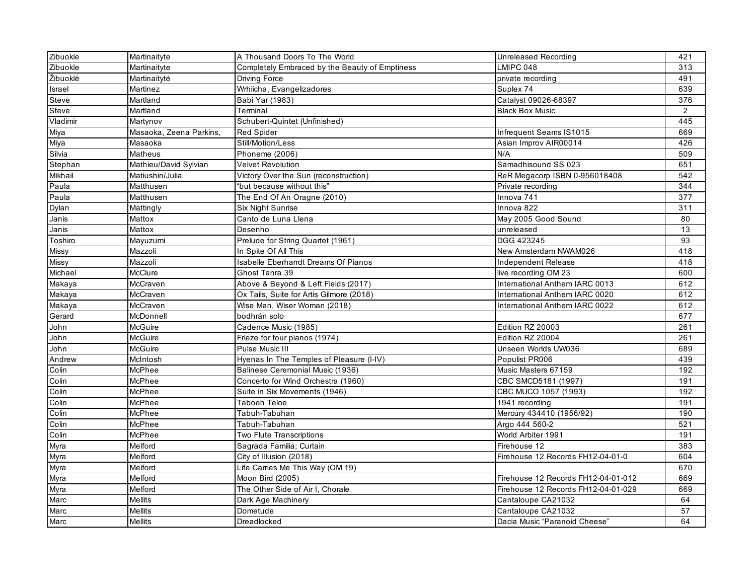| Zibuokle | Martinaityte            | A Thousand Doors To The World                  | Unreleased Recording                | 421 |
|----------|-------------------------|------------------------------------------------|-------------------------------------|-----|
| Zibuokle | Martinaityte            | Completely Embraced by the Beauty of Emptiness | LMIPC 048                           | 313 |
| Žibuoklė | Martinaitytė            | Driving Force                                  | private recording                   | 491 |
| Israel   | Martinez                | Wrhiicha, Evangelizadores                      | Suplex 74                           | 639 |
| Steve    | Martland                | Babi Yar (1983)                                | Catalyst 09026-68397                | 376 |
| Steve    | Martland                | Terminal                                       | <b>Black Box Music</b>              | 2   |
| Vladimir | Martynov                | Schubert-Quintet (Unfinished)                  |                                     | 445 |
| Miya     | Masaoka, Zeena Parkins, | <b>Red Spider</b>                              | Infrequent Seams IS1015             | 669 |
| Miya     | Masaoka                 | Still/Motion/Less                              | Asian Improv AIR00014               | 426 |
| Silvia   | Matheus                 | Phoneme (2006)                                 | N/A                                 | 509 |
| Stephan  | Mathieu/David Sylvian   | <b>Velvet Revolution</b>                       | Samadhisound SS 023                 | 651 |
| Mikhail  | Matiushin/Julia         | Victory Over the Sun (reconstruction)          | ReR Megacorp ISBN 0-956018408       | 542 |
| Paula    | Matthusen               | "but because without this"                     | Private recording                   | 344 |
| Paula    | Matthusen               | The End Of An Oragne (2010)                    | Innova 741                          | 377 |
| Dylan    | Mattingly               | <b>Six Night Sunrise</b>                       | Innova 822                          | 311 |
| Janis    | Mattox                  | Canto de Luna Llena                            | May 2005 Good Sound                 | 80  |
| Janis    | Mattox                  | Desenho                                        | unreleased                          | 13  |
| Toshiro  | Mayuzumi                | Prelude for String Quartet (1961)              | DGG 423245                          | 93  |
| Missy    | Mazzoli                 | In Spite Of All This                           | New Amsterdam NWAM026               | 418 |
| Missy    | Mazzoli                 | Isabelle Eberharrdt Dreams Of Pianos           | Independent Release                 | 418 |
| Michael  | <b>McClure</b>          | Ghost Tanra 39                                 | live recording OM 23                | 600 |
| Makaya   | McCraven                | Above & Beyond & Left Fields (2017)            | International Anthem IARC 0013      | 612 |
| Makaya   | McCraven                | Ox Tails, Suite for Artis Gilmore (2018)       | International Anthem IARC 0020      | 612 |
| Makaya   | McCraven                | Wise Man, Wiser Woman (2018)                   | International Anthem IARC 0022      | 612 |
| Gerard   | McDonnell               | bodhrán solo                                   |                                     | 677 |
| John     | <b>McGuire</b>          | Cadence Music (1985)                           | Edition RZ 20003                    | 261 |
| John     | McGuire                 | Frieze for four pianos (1974)                  | Edition RZ 20004                    | 261 |
| John     | McGuire                 | Pulse Music III                                | Unseen Worlds UW036                 | 689 |
| Andrew   | McIntosh                | Hyenas In The Temples of Pleasure (I-IV)       | Populist PR006                      | 439 |
| Colin    | McPhee                  | Balinese Ceremonial Music (1936)               | Music Masters 67159                 | 192 |
| Colin    | McPhee                  | Concerto for Wind Orchestra (1960)             | CBC SMCD5181 (1997)                 | 191 |
| Colin    | McPhee                  | Suite in Six Movements (1946)                  | CBC MUCO 1057 (1993)                | 192 |
| Colin    | McPhee                  | Taboeh Teloe                                   | 1941 recording                      | 191 |
| Colin    | McPhee                  | Tabuh-Tabuhan                                  | Mercury 434410 (1956/92)            | 190 |
| Colin    | McPhee                  | Tabuh-Tabuhan                                  | Argo 444 560-2                      | 521 |
| Colin    | McPhee                  | Two Flute Transcriptions                       | World Arbiter 1991                  | 191 |
| Myra     | Melford                 | Sagrada Familia; Curtain                       | Firehouse 12                        | 383 |
| Myra     | Melford                 | City of Illusion (2018)                        | Firehouse 12 Records FH12-04-01-0   | 604 |
| Myra     | Melford                 | Life Carries Me This Way (OM 19)               |                                     | 670 |
| Myra     | Melford                 | Moon Bird (2005)                               | Firehouse 12 Records FH12-04-01-012 | 669 |
| Myra     | Melford                 | The Other Side of Air I, Chorale               | Firehouse 12 Records FH12-04-01-029 | 669 |
| Marc     | <b>Mellits</b>          | Dark Age Machinery                             | Cantaloupe CA21032                  | 64  |
| Marc     | Mellits                 | Dometude                                       | Cantaloupe CA21032                  | 57  |
| Marc     | <b>Mellits</b>          | Dreadlocked                                    | Dacia Music "Paranoid Cheese"       | 64  |
|          |                         |                                                |                                     |     |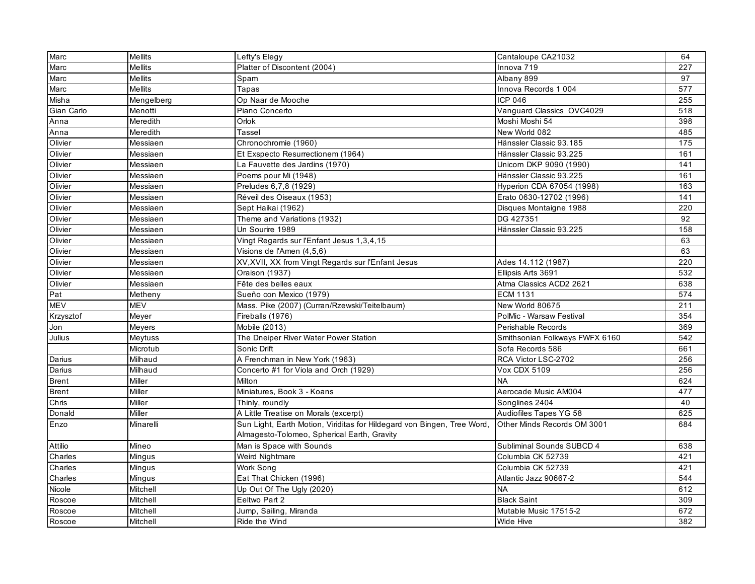| Marc         | <b>Mellits</b> | Lefty's Elegy                                                           | Cantaloupe CA21032             | 64  |
|--------------|----------------|-------------------------------------------------------------------------|--------------------------------|-----|
| Marc         | <b>Mellits</b> | Platter of Discontent (2004)                                            | Innova 719                     | 227 |
| Marc         | <b>Mellits</b> | Spam                                                                    | Albany 899                     | 97  |
| Marc         | <b>Mellits</b> | Tapas                                                                   | Innova Records 1 004           | 577 |
| Misha        | Mengelberg     | Op Naar de Mooche                                                       | ICP 046                        | 255 |
| Gian Carlo   | Menotti        | Piano Concerto                                                          | Vanguard Classics OVC4029      | 518 |
| Anna         | Meredith       | Orlok                                                                   | Moshi Moshi 54                 | 398 |
| Anna         | Meredith       | Tassel                                                                  | New World 082                  | 485 |
| Olivier      | Messiaen       | Chronochromie (1960)                                                    | Hänssler Classic 93.185        | 175 |
| Olivier      | Messiaen       | Et Exspecto Resurrectionem (1964)                                       | Hänssler Classic 93.225        | 161 |
| Olivier      | Messiaen       | La Fauvette des Jardins (1970)                                          | Unicorn DKP 9090 (1990)        | 141 |
| Olivier      | Messiaen       | Poems pour Mi (1948)                                                    | Hänssler Classic 93.225        | 161 |
| Olivier      | Messiaen       | Preludes 6,7,8 (1929)                                                   | Hyperion CDA 67054 (1998)      | 163 |
| Olivier      | Messiaen       | Réveil des Oiseaux (1953)                                               | Erato 0630-12702 (1996)        | 141 |
| Olivier      | Messiaen       | Sept Haikai (1962)                                                      | Disques Montaigne 1988         | 220 |
| Olivier      | Messiaen       | Theme and Variations (1932)                                             | DG 427351                      | 92  |
| Olivier      | Messiaen       | Un Sourire 1989                                                         | Hänssler Classic 93.225        | 158 |
| Olivier      | Messiaen       | Vingt Regards sur l'Enfant Jesus 1,3,4,15                               |                                | 63  |
| Olivier      | Messiaen       | Visions de l'Amen (4,5,6)                                               |                                | 63  |
| Olivier      | Messiaen       | XV, XVII, XX from Vingt Regards sur l'Enfant Jesus                      | Ades 14.112 (1987)             | 220 |
| Olivier      | Messiaen       | Oraison (1937)                                                          | Ellipsis Arts 3691             | 532 |
| Olivier      | Messiaen       | Fête des belles eaux                                                    | Atma Classics ACD2 2621        | 638 |
| Pat          | Metheny        | Sueño con Mexico (1979)                                                 | <b>ECM 1131</b>                | 574 |
| <b>MEV</b>   | <b>MEV</b>     | Mass. Pike (2007) (Curran/Rzewski/Teitelbaum)                           | New World 80675                | 211 |
| Krzysztof    | Meyer          | Fireballs (1976)                                                        | PolMic - Warsaw Festival       | 354 |
| Jon          | Meyers         | Mobile (2013)                                                           | Perishable Records             | 369 |
| Julius       | Meytuss        | The Dneiper River Water Power Station                                   | Smithsonian Folkways FWFX 6160 | 542 |
|              | Microtub       | Sonic Drift                                                             | Sofa Records 586               | 661 |
| Darius       | Milhaud        | A Frenchman in New York (1963)                                          | RCA Victor LSC-2702            | 256 |
| Darius       | Milhaud        | Concerto #1 for Viola and Orch (1929)                                   | Vox CDX 5109                   | 256 |
| <b>Brent</b> | Miller         | Milton                                                                  | <b>NA</b>                      | 624 |
| <b>Brent</b> | Miller         | Miniatures, Book 3 - Koans                                              | Aerocade Music AM004           | 477 |
| Chris        | Miller         | Thinly, roundly                                                         | Songlines 2404                 | 40  |
| Donald       | Miller         | A Little Treatise on Morals (excerpt)                                   | Audiofiles Tapes YG 58         | 625 |
| Enzo         | Minarelli      | Sun Light, Earth Motion, Viriditas for Hildegard von Bingen, Tree Word, | Other Minds Records OM 3001    | 684 |
|              |                | Almagesto-Tolomeo, Spherical Earth, Gravity                             |                                |     |
| Attilio      | Mineo          | Man is Space with Sounds                                                | Subliminal Sounds SUBCD 4      | 638 |
| Charles      | Mingus         | Weird Nightmare                                                         | Columbia CK 52739              | 421 |
| Charles      | Mingus         | Work Song                                                               | Columbia CK 52739              | 421 |
| Charles      | Mingus         | Eat That Chicken (1996)                                                 | Atlantic Jazz 90667-2          | 544 |
| Nicole       | Mitchell       | Up Out Of The Ugly (2020)                                               | <b>NA</b>                      | 612 |
| Roscoe       | Mitchell       | Eeltwo Part 2                                                           | <b>Black Saint</b>             | 309 |
| Roscoe       | Mitchell       | Jump, Sailing, Miranda                                                  | Mutable Music 17515-2          | 672 |
| Roscoe       | Mitchell       | Ride the Wind                                                           | Wide Hive                      | 382 |
|              |                |                                                                         |                                |     |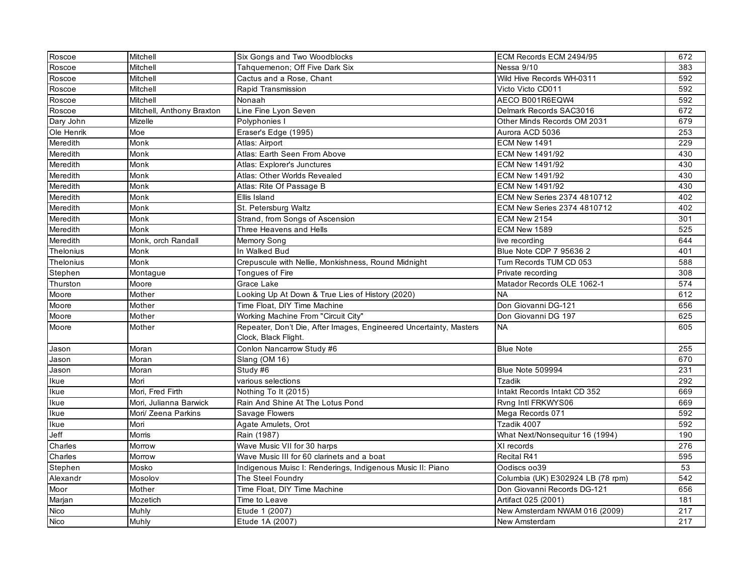| Roscoe     | Mitchell                  | Six Gongs and Two Woodblocks                                       | ECM Records ECM 2494/95           | 672 |
|------------|---------------------------|--------------------------------------------------------------------|-----------------------------------|-----|
| Roscoe     | Mitchell                  | Tahquemenon; Off Five Dark Six                                     | Nessa 9/10                        | 383 |
| Roscoe     | Mitchell                  | Cactus and a Rose, Chant                                           | Wild Hive Records WH-0311         | 592 |
| Roscoe     | Mitchell                  | Rapid Transmission                                                 | Victo Victo CD011                 | 592 |
| Roscoe     | Mitchell                  | Nonaah                                                             | AECO B001R6EQW4                   | 592 |
| Roscoe     | Mitchell, Anthony Braxton | Line Fine Lyon Seven                                               | Delmark Records SAC3016           | 672 |
| Dary John  | <b>Mizelle</b>            | Polyphonies I                                                      | Other Minds Records OM 2031       | 679 |
| Ole Henrik | Moe                       | Eraser's Edge (1995)                                               | Aurora ACD 5036                   | 253 |
| Meredith   | Monk                      | Atlas: Airport                                                     | <b>ECM New 1491</b>               | 229 |
| Meredith   | Monk                      | Atlas: Earth Seen From Above                                       | ECM New 1491/92                   | 430 |
| Meredith   | Monk                      | Atlas: Explorer's Junctures                                        | <b>ECM New 1491/92</b>            | 430 |
| Meredith   | Monk                      | Atlas: Other Worlds Revealed                                       | <b>ECM New 1491/92</b>            | 430 |
| Meredith   | Monk                      | Atlas: Rite Of Passage B                                           | ECM New 1491/92                   | 430 |
| Meredith   | Monk                      | Ellis Island                                                       | ECM New Series 2374 4810712       | 402 |
| Meredith   | Monk                      | St. Petersburg Waltz                                               | ECM New Series 2374 4810712       | 402 |
| Meredith   | Monk                      | Strand, from Songs of Ascension                                    | ECM New 2154                      | 301 |
| Meredith   | Monk                      | Three Heavens and Hells                                            | ECM New 1589                      | 525 |
| Meredith   | Monk, orch Randall        | Memory Song                                                        | live recording                    | 644 |
| Thelonius  | Monk                      | In Walked Bud                                                      | Blue Note CDP 7 95636 2           | 401 |
| Thelonius  | Monk                      | Crepuscule with Nellie, Monkishness, Round Midnight                | Tum Records TUM CD 053            | 588 |
| Stephen    | Montague                  | <b>Tonques of Fire</b>                                             | Private recording                 | 308 |
| Thurston   | Moore                     | Grace Lake                                                         | Matador Records OLE 1062-1        | 574 |
| Moore      | Mother                    | Looking Up At Down & True Lies of History (2020)                   | <b>NA</b>                         | 612 |
| Moore      | Mother                    | Time Float, DIY Time Machine                                       | Don Giovanni DG-121               | 656 |
| Moore      | Mother                    | Working Machine From "Circuit City"                                | Don Giovanni DG 197               | 625 |
| Moore      | Mother                    | Repeater, Don't Die, After Images, Engineered Uncertainty, Masters | <b>NA</b>                         | 605 |
|            |                           | Clock, Black Flight.                                               |                                   |     |
| Jason      | Moran                     | Conlon Nancarrow Study #6                                          | <b>Blue Note</b>                  | 255 |
| Jason      | Moran                     | Slang (OM 16)                                                      |                                   | 670 |
| Jason      | Moran                     | Study #6                                                           | Blue Note 509994                  | 231 |
| Ikue       | Mori                      | various selections                                                 | <b>Tzadik</b>                     | 292 |
| Ikue       | Mori, Fred Firth          | Nothing To It (2015)                                               | Intakt Records Intakt CD 352      | 669 |
| Ikue       | Mori, Julianna Barwick    | Rain And Shine At The Lotus Pond                                   | Rvng Intl FRKWYS06                | 669 |
| Ikue       | Mori/ Zeena Parkins       | Savage Flowers                                                     | Mega Records 071                  | 592 |
| Ikue       | Mori                      | Agate Amulets, Orot                                                | Tzadik 4007                       | 592 |
| Jeff       | <b>Morris</b>             | Rain (1987)                                                        | What Next/Nonsequitur 16 (1994)   | 190 |
| Charles    | Morrow                    | Wave Music VII for 30 harps                                        | XI records                        | 276 |
| Charles    | Morrow                    | Wave Music III for 60 clarinets and a boat                         | Recital R41                       | 595 |
| Stephen    | Mosko                     | Indigenous Muisc I: Renderings, Indigenous Music II: Piano         | Oodiscs oo39                      | 53  |
| Alexandr   | Mosolov                   | The Steel Foundry                                                  | Columbia (UK) E302924 LB (78 rpm) | 542 |
| Moor       | Mother                    | Time Float, DIY Time Machine                                       | Don Giovanni Records DG-121       | 656 |
| Marjan     | Mozetich                  | Time to Leave                                                      | Artifact 025 (2001)               | 181 |
| Nico       | Muhly                     | Etude 1 (2007)                                                     | New Amsterdam NWAM 016 (2009)     | 217 |
| Nico       | Muhly                     | Etude 1A (2007)                                                    | New Amsterdam                     | 217 |
|            |                           |                                                                    |                                   |     |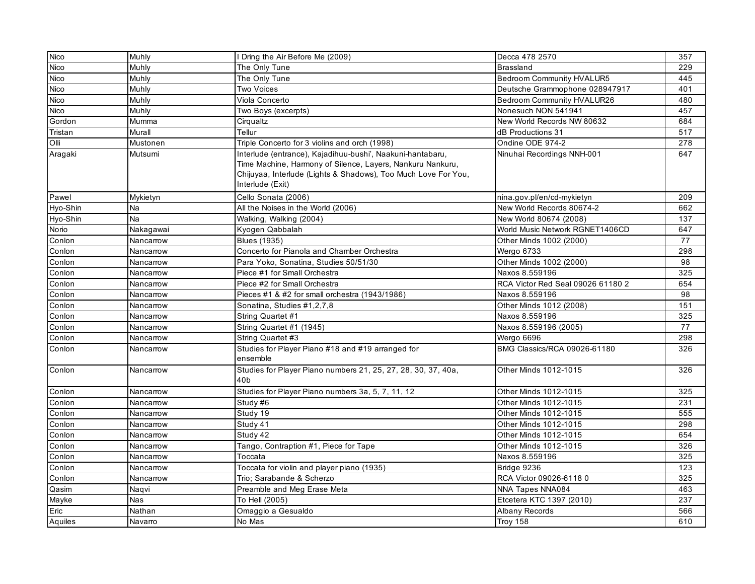| <b>Nico</b> | Muhly                    | I Dring the Air Before Me (2009)                                                                                                                                                                               | Decca 478 2570                    | 357 |
|-------------|--------------------------|----------------------------------------------------------------------------------------------------------------------------------------------------------------------------------------------------------------|-----------------------------------|-----|
| Nico        | Muhly                    | The Only Tune                                                                                                                                                                                                  | <b>Brassland</b>                  | 229 |
| Nico        | Muhly                    | The Only Tune                                                                                                                                                                                                  | <b>Bedroom Community HVALUR5</b>  | 445 |
| Nico        | Muhly                    | Two Voices                                                                                                                                                                                                     | Deutsche Grammophone 028947917    | 401 |
| Nico        | Muhly                    | Viola Concerto                                                                                                                                                                                                 | Bedroom Community HVALUR26        | 480 |
| Nico        | Muhly                    | Two Boys (excerpts)                                                                                                                                                                                            | Nonesuch NON 541941               | 457 |
| Gordon      | Mumma                    | Cirqualtz                                                                                                                                                                                                      | New World Records NW 80632        | 684 |
| Tristan     | Murall                   | Tellur                                                                                                                                                                                                         | dB Productions 31                 | 517 |
| Olli        | Mustonen                 | Triple Concerto for 3 violins and orch (1998)                                                                                                                                                                  | Ondine ODE 974-2                  | 278 |
| Aragaki     | Mutsumi                  | Interlude (entrance), Kajadihuu-bushi', Naakuni-hantabaru,<br>Time Machine, Harmony of Silence, Layers, Nankuru Nankuru,<br>Chijuyaa, Interlude (Lights & Shadows), Too Much Love For You,<br>Interlude (Exit) | Ninuhai Recordings NNH-001        | 647 |
| Pawel       | Mykietyn                 | Cello Sonata (2006)                                                                                                                                                                                            | nina.gov.pl/en/cd-mykietyn        | 209 |
| Hyo-Shin    | Na                       | All the Noises in the World (2006)                                                                                                                                                                             | New World Records 80674-2         | 662 |
| Hyo-Shin    | Na                       | Walking, Walking (2004)                                                                                                                                                                                        | New World 80674 (2008)            | 137 |
| Norio       | Nakagawai                | Kyogen Qabbalah                                                                                                                                                                                                | World Music Network RGNET1406CD   | 647 |
| Conlon      | Nancarrow                | <b>Blues (1935)</b>                                                                                                                                                                                            | Other Minds 1002 (2000)           | 77  |
| Conlon      | Nancarrow                | Concerto for Pianola and Chamber Orchestra                                                                                                                                                                     | Wergo 6733                        | 298 |
| Conlon      | Nancarrow                | Para Yoko, Sonatina, Studies 50/51/30                                                                                                                                                                          | Other Minds 1002 (2000)           | 98  |
| Conlon      | Nancarrow                | Piece #1 for Small Orchestra                                                                                                                                                                                   | Naxos 8.559196                    | 325 |
| Conlon      | Nancarrow                | Piece #2 for Small Orchestra                                                                                                                                                                                   | RCA Victor Red Seal 09026 61180 2 | 654 |
| Conlon      | Nancarrow                | Pieces #1 & #2 for small orchestra (1943/1986)                                                                                                                                                                 | Naxos 8.559196                    | 98  |
| Conlon      | Nancarrow                | Sonatina, Studies #1,2,7,8                                                                                                                                                                                     | Other Minds 1012 (2008)           | 151 |
| Conlon      | Nancarrow                | String Quartet #1                                                                                                                                                                                              | Naxos 8.559196                    | 325 |
| Conlon      | Nancarrow                | String Quartet #1 (1945)                                                                                                                                                                                       | Naxos 8.559196 (2005)             | 77  |
| Conlon      | Nancarrow                | String Quartet #3                                                                                                                                                                                              | Wergo 6696                        | 298 |
| Conlon      | Nancarrow                | Studies for Player Piano #18 and #19 arranged for<br>ensemble                                                                                                                                                  | BMG Classics/RCA 09026-61180      | 326 |
| Conlon      | Nancarrow                | Studies for Player Piano numbers 21, 25, 27, 28, 30, 37, 40a,<br>40b                                                                                                                                           | Other Minds 1012-1015             | 326 |
| Conlon      | Nancarrow                | Studies for Player Piano numbers 3a, 5, 7, 11, 12                                                                                                                                                              | Other Minds 1012-1015             | 325 |
| Conlon      | Nancarrow                | Study #6                                                                                                                                                                                                       | Other Minds 1012-1015             | 231 |
| Conlon      | Nancarrow                | Study 19                                                                                                                                                                                                       | Other Minds 1012-1015             | 555 |
| Conlon      | Nancarrow                | Study 41                                                                                                                                                                                                       | Other Minds 1012-1015             | 298 |
| Conlon      | Nancarrow                | Study 42                                                                                                                                                                                                       | Other Minds 1012-1015             | 654 |
| Conlon      | Nancarrow                | Tango, Contraption #1, Piece for Tape                                                                                                                                                                          | Other Minds 1012-1015             | 326 |
| Conlon      | Nancarrow                | Toccata                                                                                                                                                                                                        | Naxos 8.559196                    | 325 |
| Conlon      | Nancarrow                | Toccata for violin and player piano (1935)                                                                                                                                                                     | Bridge 9236                       | 123 |
| Conlon      | Nancarrow                | Trio; Sarabande & Scherzo                                                                                                                                                                                      | RCA Victor 09026-6118 0           | 325 |
| Qasim       | Nagvi                    | Preamble and Meg Erase Meta                                                                                                                                                                                    | <b>NNA Tapes NNA084</b>           | 463 |
| Mayke       | $\overline{\text{N}}$ as | To Hell (2005)                                                                                                                                                                                                 | Etcetera KTC 1397 (2010)          | 237 |
| Eric        | Nathan                   | Omaggio a Gesualdo                                                                                                                                                                                             | Albany Records                    | 566 |
| Aquiles     | Navarro                  | No Mas                                                                                                                                                                                                         | Troy 158                          | 610 |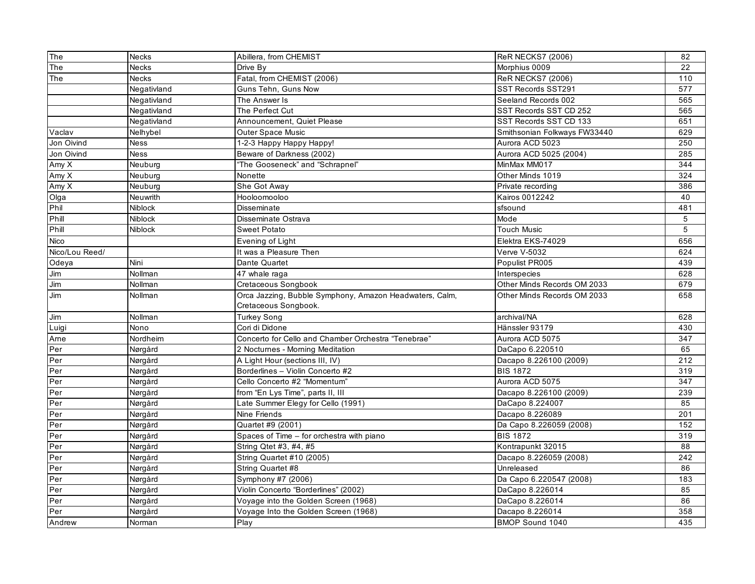| The<br><b>Necks</b><br>22<br>Drive Bv<br>Morphius 0009<br>Fatal, from CHEMIST (2006)<br>The<br><b>Necks</b><br><b>ReR NECKS7 (2006)</b><br>110<br>577<br>Guns Tehn, Guns Now<br>Negativland<br>SST Records SST291<br>565<br>Seeland Records 002<br>Negativland<br>The Answer Is<br>SST Records SST CD 252<br>565<br>Negativland<br>The Perfect Cut<br>SST Records SST CD 133<br>651<br>Negativland<br>Announcement, Quiet Please<br>Smithsonian Folkways FW33440<br>629<br>Vaclav<br>Nelhybel<br><b>Outer Space Music</b><br>Aurora ACD 5023<br>250<br>Jon Oivind<br><b>Ness</b><br>1-2-3 Happy Happy Happy!<br>Beware of Darkness (2002)<br>Aurora ACD 5025 (2004)<br>285<br>Jon Oivind<br>Ness<br>"The Gooseneck" and "Schrapnel"<br>MinMax MM017<br>344<br>Amy X<br>Neuburg<br>Other Minds 1019<br>324<br>Amy X<br>Neuburg<br>Nonette<br>Amy X<br>Neuburg<br>She Got Away<br>Private recording<br>386<br>Kairos 0012242<br>Olga<br>Neuwrith<br>Hooloomooloo<br>40<br>Phil<br>Niblock<br>481<br><b>Disseminate</b><br>sfsound<br>Phill<br><b>Niblock</b><br>Disseminate Ostrava<br>Mode<br>5<br>Phill<br>5<br><b>Niblock</b><br><b>Sweet Potato</b><br><b>Touch Music</b><br>656<br>Nico<br>Elektra EKS-74029<br>Evening of Light<br>Nico/Lou Reed/<br>It was a Pleasure Then<br>Verve V-5032<br>624<br>Populist PR005<br>439<br>Odeya<br>Nini<br>Dante Quartet<br>628<br>$\mathsf{Jim}$<br>Nollman<br>47 whale raga<br>Interspecies<br>679<br>Jim<br>Nollman<br>Cretaceous Songbook<br>Other Minds Records OM 2033<br>Orca Jazzing, Bubble Symphony, Amazon Headwaters, Calm,<br>658<br>Jim<br>Nollman<br>Other Minds Records OM 2033<br>Cretaceous Songbook.<br>628<br>Jim<br>Nollman<br><b>Turkey Song</b><br>archival/NA<br>Hänssler 93179<br>430<br>Nono<br>Cori di Didone<br>Luigi<br>Aurora ACD 5075<br>347<br>Ame<br>Nordheim<br>Concerto for Cello and Chamber Orchestra "Tenebrae"<br>Per<br>DaCapo 6.220510<br>65<br>Nørgård<br>2 Nocturnes - Morning Meditation<br>212<br>Per<br>A Light Hour (sections III, IV)<br>Nørgård<br>Dacapo 8.226100 (2009)<br>Per<br>Borderlines - Violin Concerto #2<br><b>BIS 1872</b><br>319<br>Nørgård<br>Per<br>Cello Concerto #2 "Momentum"<br>Aurora ACD 5075<br>347<br>Nørgård<br>239<br>Per<br>Nørgård<br>from "En Lys Time", parts II, III<br>Dacapo 8.226100 (2009)<br>Per<br>Late Summer Elegy for Cello (1991)<br>DaCapo 8.224007<br>85<br>Nørgård<br>201<br>Per<br>Nine Friends<br>Dacapo 8.226089<br>Nørgård<br>Per<br>152<br>Nørgård<br>Quartet #9 (2001)<br>Da Capo 8.226059 (2008)<br>Per<br>Spaces of Time - for orchestra with piano<br><b>BIS 1872</b><br>319<br>Nørgård<br>88<br>Per<br>String Qtet #3, #4, #5<br>Kontrapunkt 32015<br>Nørgård<br>Per<br>String Quartet #10 (2005)<br>242<br>Nørgård<br>Dacapo 8.226059 (2008)<br>Per<br>Nørgård<br>String Quartet #8<br>Unreleased<br>86<br>Per<br>Symphony #7 (2006)<br>Da Capo 6.220547 (2008)<br>183<br>Nørgård<br>Violin Concerto "Borderlines" (2002)<br>85<br>Per<br>Nørgård<br>DaCapo 8.226014<br>Per<br>Nørgård<br>Voyage into the Golden Screen (1968)<br>DaCapo 8.226014<br>86<br>Per<br>Nørgård<br>Voyage Into the Golden Screen (1968)<br>Dacapo 8.226014<br>358<br>BMOP Sound 1040<br>435<br>Andrew<br>Norman | The | <b>Necks</b> | Abillera, from CHEMIST | <b>ReR NECKS7 (2006)</b> | 82 |
|--------------------------------------------------------------------------------------------------------------------------------------------------------------------------------------------------------------------------------------------------------------------------------------------------------------------------------------------------------------------------------------------------------------------------------------------------------------------------------------------------------------------------------------------------------------------------------------------------------------------------------------------------------------------------------------------------------------------------------------------------------------------------------------------------------------------------------------------------------------------------------------------------------------------------------------------------------------------------------------------------------------------------------------------------------------------------------------------------------------------------------------------------------------------------------------------------------------------------------------------------------------------------------------------------------------------------------------------------------------------------------------------------------------------------------------------------------------------------------------------------------------------------------------------------------------------------------------------------------------------------------------------------------------------------------------------------------------------------------------------------------------------------------------------------------------------------------------------------------------------------------------------------------------------------------------------------------------------------------------------------------------------------------------------------------------------------------------------------------------------------------------------------------------------------------------------------------------------------------------------------------------------------------------------------------------------------------------------------------------------------------------------------------------------------------------------------------------------------------------------------------------------------------------------------------------------------------------------------------------------------------------------------------------------------------------------------------------------------------------------------------------------------------------------------------------------------------------------------------------------------------------------------------------------------------------------------------------------------------------------------------------------------------------------------------------------------------------------------------------------------------------------------------------------------------------------------------------------------------------------|-----|--------------|------------------------|--------------------------|----|
|                                                                                                                                                                                                                                                                                                                                                                                                                                                                                                                                                                                                                                                                                                                                                                                                                                                                                                                                                                                                                                                                                                                                                                                                                                                                                                                                                                                                                                                                                                                                                                                                                                                                                                                                                                                                                                                                                                                                                                                                                                                                                                                                                                                                                                                                                                                                                                                                                                                                                                                                                                                                                                                                                                                                                                                                                                                                                                                                                                                                                                                                                                                                                                                                                                            |     |              |                        |                          |    |
|                                                                                                                                                                                                                                                                                                                                                                                                                                                                                                                                                                                                                                                                                                                                                                                                                                                                                                                                                                                                                                                                                                                                                                                                                                                                                                                                                                                                                                                                                                                                                                                                                                                                                                                                                                                                                                                                                                                                                                                                                                                                                                                                                                                                                                                                                                                                                                                                                                                                                                                                                                                                                                                                                                                                                                                                                                                                                                                                                                                                                                                                                                                                                                                                                                            |     |              |                        |                          |    |
|                                                                                                                                                                                                                                                                                                                                                                                                                                                                                                                                                                                                                                                                                                                                                                                                                                                                                                                                                                                                                                                                                                                                                                                                                                                                                                                                                                                                                                                                                                                                                                                                                                                                                                                                                                                                                                                                                                                                                                                                                                                                                                                                                                                                                                                                                                                                                                                                                                                                                                                                                                                                                                                                                                                                                                                                                                                                                                                                                                                                                                                                                                                                                                                                                                            |     |              |                        |                          |    |
|                                                                                                                                                                                                                                                                                                                                                                                                                                                                                                                                                                                                                                                                                                                                                                                                                                                                                                                                                                                                                                                                                                                                                                                                                                                                                                                                                                                                                                                                                                                                                                                                                                                                                                                                                                                                                                                                                                                                                                                                                                                                                                                                                                                                                                                                                                                                                                                                                                                                                                                                                                                                                                                                                                                                                                                                                                                                                                                                                                                                                                                                                                                                                                                                                                            |     |              |                        |                          |    |
|                                                                                                                                                                                                                                                                                                                                                                                                                                                                                                                                                                                                                                                                                                                                                                                                                                                                                                                                                                                                                                                                                                                                                                                                                                                                                                                                                                                                                                                                                                                                                                                                                                                                                                                                                                                                                                                                                                                                                                                                                                                                                                                                                                                                                                                                                                                                                                                                                                                                                                                                                                                                                                                                                                                                                                                                                                                                                                                                                                                                                                                                                                                                                                                                                                            |     |              |                        |                          |    |
|                                                                                                                                                                                                                                                                                                                                                                                                                                                                                                                                                                                                                                                                                                                                                                                                                                                                                                                                                                                                                                                                                                                                                                                                                                                                                                                                                                                                                                                                                                                                                                                                                                                                                                                                                                                                                                                                                                                                                                                                                                                                                                                                                                                                                                                                                                                                                                                                                                                                                                                                                                                                                                                                                                                                                                                                                                                                                                                                                                                                                                                                                                                                                                                                                                            |     |              |                        |                          |    |
|                                                                                                                                                                                                                                                                                                                                                                                                                                                                                                                                                                                                                                                                                                                                                                                                                                                                                                                                                                                                                                                                                                                                                                                                                                                                                                                                                                                                                                                                                                                                                                                                                                                                                                                                                                                                                                                                                                                                                                                                                                                                                                                                                                                                                                                                                                                                                                                                                                                                                                                                                                                                                                                                                                                                                                                                                                                                                                                                                                                                                                                                                                                                                                                                                                            |     |              |                        |                          |    |
|                                                                                                                                                                                                                                                                                                                                                                                                                                                                                                                                                                                                                                                                                                                                                                                                                                                                                                                                                                                                                                                                                                                                                                                                                                                                                                                                                                                                                                                                                                                                                                                                                                                                                                                                                                                                                                                                                                                                                                                                                                                                                                                                                                                                                                                                                                                                                                                                                                                                                                                                                                                                                                                                                                                                                                                                                                                                                                                                                                                                                                                                                                                                                                                                                                            |     |              |                        |                          |    |
|                                                                                                                                                                                                                                                                                                                                                                                                                                                                                                                                                                                                                                                                                                                                                                                                                                                                                                                                                                                                                                                                                                                                                                                                                                                                                                                                                                                                                                                                                                                                                                                                                                                                                                                                                                                                                                                                                                                                                                                                                                                                                                                                                                                                                                                                                                                                                                                                                                                                                                                                                                                                                                                                                                                                                                                                                                                                                                                                                                                                                                                                                                                                                                                                                                            |     |              |                        |                          |    |
|                                                                                                                                                                                                                                                                                                                                                                                                                                                                                                                                                                                                                                                                                                                                                                                                                                                                                                                                                                                                                                                                                                                                                                                                                                                                                                                                                                                                                                                                                                                                                                                                                                                                                                                                                                                                                                                                                                                                                                                                                                                                                                                                                                                                                                                                                                                                                                                                                                                                                                                                                                                                                                                                                                                                                                                                                                                                                                                                                                                                                                                                                                                                                                                                                                            |     |              |                        |                          |    |
|                                                                                                                                                                                                                                                                                                                                                                                                                                                                                                                                                                                                                                                                                                                                                                                                                                                                                                                                                                                                                                                                                                                                                                                                                                                                                                                                                                                                                                                                                                                                                                                                                                                                                                                                                                                                                                                                                                                                                                                                                                                                                                                                                                                                                                                                                                                                                                                                                                                                                                                                                                                                                                                                                                                                                                                                                                                                                                                                                                                                                                                                                                                                                                                                                                            |     |              |                        |                          |    |
|                                                                                                                                                                                                                                                                                                                                                                                                                                                                                                                                                                                                                                                                                                                                                                                                                                                                                                                                                                                                                                                                                                                                                                                                                                                                                                                                                                                                                                                                                                                                                                                                                                                                                                                                                                                                                                                                                                                                                                                                                                                                                                                                                                                                                                                                                                                                                                                                                                                                                                                                                                                                                                                                                                                                                                                                                                                                                                                                                                                                                                                                                                                                                                                                                                            |     |              |                        |                          |    |
|                                                                                                                                                                                                                                                                                                                                                                                                                                                                                                                                                                                                                                                                                                                                                                                                                                                                                                                                                                                                                                                                                                                                                                                                                                                                                                                                                                                                                                                                                                                                                                                                                                                                                                                                                                                                                                                                                                                                                                                                                                                                                                                                                                                                                                                                                                                                                                                                                                                                                                                                                                                                                                                                                                                                                                                                                                                                                                                                                                                                                                                                                                                                                                                                                                            |     |              |                        |                          |    |
|                                                                                                                                                                                                                                                                                                                                                                                                                                                                                                                                                                                                                                                                                                                                                                                                                                                                                                                                                                                                                                                                                                                                                                                                                                                                                                                                                                                                                                                                                                                                                                                                                                                                                                                                                                                                                                                                                                                                                                                                                                                                                                                                                                                                                                                                                                                                                                                                                                                                                                                                                                                                                                                                                                                                                                                                                                                                                                                                                                                                                                                                                                                                                                                                                                            |     |              |                        |                          |    |
|                                                                                                                                                                                                                                                                                                                                                                                                                                                                                                                                                                                                                                                                                                                                                                                                                                                                                                                                                                                                                                                                                                                                                                                                                                                                                                                                                                                                                                                                                                                                                                                                                                                                                                                                                                                                                                                                                                                                                                                                                                                                                                                                                                                                                                                                                                                                                                                                                                                                                                                                                                                                                                                                                                                                                                                                                                                                                                                                                                                                                                                                                                                                                                                                                                            |     |              |                        |                          |    |
|                                                                                                                                                                                                                                                                                                                                                                                                                                                                                                                                                                                                                                                                                                                                                                                                                                                                                                                                                                                                                                                                                                                                                                                                                                                                                                                                                                                                                                                                                                                                                                                                                                                                                                                                                                                                                                                                                                                                                                                                                                                                                                                                                                                                                                                                                                                                                                                                                                                                                                                                                                                                                                                                                                                                                                                                                                                                                                                                                                                                                                                                                                                                                                                                                                            |     |              |                        |                          |    |
|                                                                                                                                                                                                                                                                                                                                                                                                                                                                                                                                                                                                                                                                                                                                                                                                                                                                                                                                                                                                                                                                                                                                                                                                                                                                                                                                                                                                                                                                                                                                                                                                                                                                                                                                                                                                                                                                                                                                                                                                                                                                                                                                                                                                                                                                                                                                                                                                                                                                                                                                                                                                                                                                                                                                                                                                                                                                                                                                                                                                                                                                                                                                                                                                                                            |     |              |                        |                          |    |
|                                                                                                                                                                                                                                                                                                                                                                                                                                                                                                                                                                                                                                                                                                                                                                                                                                                                                                                                                                                                                                                                                                                                                                                                                                                                                                                                                                                                                                                                                                                                                                                                                                                                                                                                                                                                                                                                                                                                                                                                                                                                                                                                                                                                                                                                                                                                                                                                                                                                                                                                                                                                                                                                                                                                                                                                                                                                                                                                                                                                                                                                                                                                                                                                                                            |     |              |                        |                          |    |
|                                                                                                                                                                                                                                                                                                                                                                                                                                                                                                                                                                                                                                                                                                                                                                                                                                                                                                                                                                                                                                                                                                                                                                                                                                                                                                                                                                                                                                                                                                                                                                                                                                                                                                                                                                                                                                                                                                                                                                                                                                                                                                                                                                                                                                                                                                                                                                                                                                                                                                                                                                                                                                                                                                                                                                                                                                                                                                                                                                                                                                                                                                                                                                                                                                            |     |              |                        |                          |    |
|                                                                                                                                                                                                                                                                                                                                                                                                                                                                                                                                                                                                                                                                                                                                                                                                                                                                                                                                                                                                                                                                                                                                                                                                                                                                                                                                                                                                                                                                                                                                                                                                                                                                                                                                                                                                                                                                                                                                                                                                                                                                                                                                                                                                                                                                                                                                                                                                                                                                                                                                                                                                                                                                                                                                                                                                                                                                                                                                                                                                                                                                                                                                                                                                                                            |     |              |                        |                          |    |
|                                                                                                                                                                                                                                                                                                                                                                                                                                                                                                                                                                                                                                                                                                                                                                                                                                                                                                                                                                                                                                                                                                                                                                                                                                                                                                                                                                                                                                                                                                                                                                                                                                                                                                                                                                                                                                                                                                                                                                                                                                                                                                                                                                                                                                                                                                                                                                                                                                                                                                                                                                                                                                                                                                                                                                                                                                                                                                                                                                                                                                                                                                                                                                                                                                            |     |              |                        |                          |    |
|                                                                                                                                                                                                                                                                                                                                                                                                                                                                                                                                                                                                                                                                                                                                                                                                                                                                                                                                                                                                                                                                                                                                                                                                                                                                                                                                                                                                                                                                                                                                                                                                                                                                                                                                                                                                                                                                                                                                                                                                                                                                                                                                                                                                                                                                                                                                                                                                                                                                                                                                                                                                                                                                                                                                                                                                                                                                                                                                                                                                                                                                                                                                                                                                                                            |     |              |                        |                          |    |
|                                                                                                                                                                                                                                                                                                                                                                                                                                                                                                                                                                                                                                                                                                                                                                                                                                                                                                                                                                                                                                                                                                                                                                                                                                                                                                                                                                                                                                                                                                                                                                                                                                                                                                                                                                                                                                                                                                                                                                                                                                                                                                                                                                                                                                                                                                                                                                                                                                                                                                                                                                                                                                                                                                                                                                                                                                                                                                                                                                                                                                                                                                                                                                                                                                            |     |              |                        |                          |    |
|                                                                                                                                                                                                                                                                                                                                                                                                                                                                                                                                                                                                                                                                                                                                                                                                                                                                                                                                                                                                                                                                                                                                                                                                                                                                                                                                                                                                                                                                                                                                                                                                                                                                                                                                                                                                                                                                                                                                                                                                                                                                                                                                                                                                                                                                                                                                                                                                                                                                                                                                                                                                                                                                                                                                                                                                                                                                                                                                                                                                                                                                                                                                                                                                                                            |     |              |                        |                          |    |
|                                                                                                                                                                                                                                                                                                                                                                                                                                                                                                                                                                                                                                                                                                                                                                                                                                                                                                                                                                                                                                                                                                                                                                                                                                                                                                                                                                                                                                                                                                                                                                                                                                                                                                                                                                                                                                                                                                                                                                                                                                                                                                                                                                                                                                                                                                                                                                                                                                                                                                                                                                                                                                                                                                                                                                                                                                                                                                                                                                                                                                                                                                                                                                                                                                            |     |              |                        |                          |    |
|                                                                                                                                                                                                                                                                                                                                                                                                                                                                                                                                                                                                                                                                                                                                                                                                                                                                                                                                                                                                                                                                                                                                                                                                                                                                                                                                                                                                                                                                                                                                                                                                                                                                                                                                                                                                                                                                                                                                                                                                                                                                                                                                                                                                                                                                                                                                                                                                                                                                                                                                                                                                                                                                                                                                                                                                                                                                                                                                                                                                                                                                                                                                                                                                                                            |     |              |                        |                          |    |
|                                                                                                                                                                                                                                                                                                                                                                                                                                                                                                                                                                                                                                                                                                                                                                                                                                                                                                                                                                                                                                                                                                                                                                                                                                                                                                                                                                                                                                                                                                                                                                                                                                                                                                                                                                                                                                                                                                                                                                                                                                                                                                                                                                                                                                                                                                                                                                                                                                                                                                                                                                                                                                                                                                                                                                                                                                                                                                                                                                                                                                                                                                                                                                                                                                            |     |              |                        |                          |    |
|                                                                                                                                                                                                                                                                                                                                                                                                                                                                                                                                                                                                                                                                                                                                                                                                                                                                                                                                                                                                                                                                                                                                                                                                                                                                                                                                                                                                                                                                                                                                                                                                                                                                                                                                                                                                                                                                                                                                                                                                                                                                                                                                                                                                                                                                                                                                                                                                                                                                                                                                                                                                                                                                                                                                                                                                                                                                                                                                                                                                                                                                                                                                                                                                                                            |     |              |                        |                          |    |
|                                                                                                                                                                                                                                                                                                                                                                                                                                                                                                                                                                                                                                                                                                                                                                                                                                                                                                                                                                                                                                                                                                                                                                                                                                                                                                                                                                                                                                                                                                                                                                                                                                                                                                                                                                                                                                                                                                                                                                                                                                                                                                                                                                                                                                                                                                                                                                                                                                                                                                                                                                                                                                                                                                                                                                                                                                                                                                                                                                                                                                                                                                                                                                                                                                            |     |              |                        |                          |    |
|                                                                                                                                                                                                                                                                                                                                                                                                                                                                                                                                                                                                                                                                                                                                                                                                                                                                                                                                                                                                                                                                                                                                                                                                                                                                                                                                                                                                                                                                                                                                                                                                                                                                                                                                                                                                                                                                                                                                                                                                                                                                                                                                                                                                                                                                                                                                                                                                                                                                                                                                                                                                                                                                                                                                                                                                                                                                                                                                                                                                                                                                                                                                                                                                                                            |     |              |                        |                          |    |
|                                                                                                                                                                                                                                                                                                                                                                                                                                                                                                                                                                                                                                                                                                                                                                                                                                                                                                                                                                                                                                                                                                                                                                                                                                                                                                                                                                                                                                                                                                                                                                                                                                                                                                                                                                                                                                                                                                                                                                                                                                                                                                                                                                                                                                                                                                                                                                                                                                                                                                                                                                                                                                                                                                                                                                                                                                                                                                                                                                                                                                                                                                                                                                                                                                            |     |              |                        |                          |    |
|                                                                                                                                                                                                                                                                                                                                                                                                                                                                                                                                                                                                                                                                                                                                                                                                                                                                                                                                                                                                                                                                                                                                                                                                                                                                                                                                                                                                                                                                                                                                                                                                                                                                                                                                                                                                                                                                                                                                                                                                                                                                                                                                                                                                                                                                                                                                                                                                                                                                                                                                                                                                                                                                                                                                                                                                                                                                                                                                                                                                                                                                                                                                                                                                                                            |     |              |                        |                          |    |
|                                                                                                                                                                                                                                                                                                                                                                                                                                                                                                                                                                                                                                                                                                                                                                                                                                                                                                                                                                                                                                                                                                                                                                                                                                                                                                                                                                                                                                                                                                                                                                                                                                                                                                                                                                                                                                                                                                                                                                                                                                                                                                                                                                                                                                                                                                                                                                                                                                                                                                                                                                                                                                                                                                                                                                                                                                                                                                                                                                                                                                                                                                                                                                                                                                            |     |              |                        |                          |    |
|                                                                                                                                                                                                                                                                                                                                                                                                                                                                                                                                                                                                                                                                                                                                                                                                                                                                                                                                                                                                                                                                                                                                                                                                                                                                                                                                                                                                                                                                                                                                                                                                                                                                                                                                                                                                                                                                                                                                                                                                                                                                                                                                                                                                                                                                                                                                                                                                                                                                                                                                                                                                                                                                                                                                                                                                                                                                                                                                                                                                                                                                                                                                                                                                                                            |     |              |                        |                          |    |
|                                                                                                                                                                                                                                                                                                                                                                                                                                                                                                                                                                                                                                                                                                                                                                                                                                                                                                                                                                                                                                                                                                                                                                                                                                                                                                                                                                                                                                                                                                                                                                                                                                                                                                                                                                                                                                                                                                                                                                                                                                                                                                                                                                                                                                                                                                                                                                                                                                                                                                                                                                                                                                                                                                                                                                                                                                                                                                                                                                                                                                                                                                                                                                                                                                            |     |              |                        |                          |    |
|                                                                                                                                                                                                                                                                                                                                                                                                                                                                                                                                                                                                                                                                                                                                                                                                                                                                                                                                                                                                                                                                                                                                                                                                                                                                                                                                                                                                                                                                                                                                                                                                                                                                                                                                                                                                                                                                                                                                                                                                                                                                                                                                                                                                                                                                                                                                                                                                                                                                                                                                                                                                                                                                                                                                                                                                                                                                                                                                                                                                                                                                                                                                                                                                                                            |     |              |                        |                          |    |
|                                                                                                                                                                                                                                                                                                                                                                                                                                                                                                                                                                                                                                                                                                                                                                                                                                                                                                                                                                                                                                                                                                                                                                                                                                                                                                                                                                                                                                                                                                                                                                                                                                                                                                                                                                                                                                                                                                                                                                                                                                                                                                                                                                                                                                                                                                                                                                                                                                                                                                                                                                                                                                                                                                                                                                                                                                                                                                                                                                                                                                                                                                                                                                                                                                            |     |              |                        |                          |    |
|                                                                                                                                                                                                                                                                                                                                                                                                                                                                                                                                                                                                                                                                                                                                                                                                                                                                                                                                                                                                                                                                                                                                                                                                                                                                                                                                                                                                                                                                                                                                                                                                                                                                                                                                                                                                                                                                                                                                                                                                                                                                                                                                                                                                                                                                                                                                                                                                                                                                                                                                                                                                                                                                                                                                                                                                                                                                                                                                                                                                                                                                                                                                                                                                                                            |     |              |                        |                          |    |
|                                                                                                                                                                                                                                                                                                                                                                                                                                                                                                                                                                                                                                                                                                                                                                                                                                                                                                                                                                                                                                                                                                                                                                                                                                                                                                                                                                                                                                                                                                                                                                                                                                                                                                                                                                                                                                                                                                                                                                                                                                                                                                                                                                                                                                                                                                                                                                                                                                                                                                                                                                                                                                                                                                                                                                                                                                                                                                                                                                                                                                                                                                                                                                                                                                            |     |              |                        |                          |    |
|                                                                                                                                                                                                                                                                                                                                                                                                                                                                                                                                                                                                                                                                                                                                                                                                                                                                                                                                                                                                                                                                                                                                                                                                                                                                                                                                                                                                                                                                                                                                                                                                                                                                                                                                                                                                                                                                                                                                                                                                                                                                                                                                                                                                                                                                                                                                                                                                                                                                                                                                                                                                                                                                                                                                                                                                                                                                                                                                                                                                                                                                                                                                                                                                                                            |     |              |                        |                          |    |
|                                                                                                                                                                                                                                                                                                                                                                                                                                                                                                                                                                                                                                                                                                                                                                                                                                                                                                                                                                                                                                                                                                                                                                                                                                                                                                                                                                                                                                                                                                                                                                                                                                                                                                                                                                                                                                                                                                                                                                                                                                                                                                                                                                                                                                                                                                                                                                                                                                                                                                                                                                                                                                                                                                                                                                                                                                                                                                                                                                                                                                                                                                                                                                                                                                            |     |              |                        |                          |    |
|                                                                                                                                                                                                                                                                                                                                                                                                                                                                                                                                                                                                                                                                                                                                                                                                                                                                                                                                                                                                                                                                                                                                                                                                                                                                                                                                                                                                                                                                                                                                                                                                                                                                                                                                                                                                                                                                                                                                                                                                                                                                                                                                                                                                                                                                                                                                                                                                                                                                                                                                                                                                                                                                                                                                                                                                                                                                                                                                                                                                                                                                                                                                                                                                                                            |     |              | Play                   |                          |    |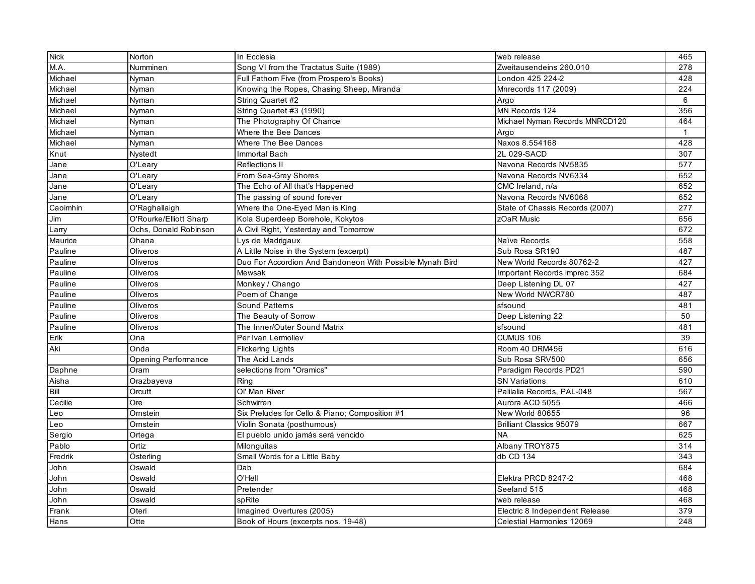| M.A.<br>Numminen<br>Song VI from the Tractatus Suite (1989)<br>Zweitausendeins 260.010<br>Michael<br>Full Fathom Five (from Prospero's Books)<br>London 425 224-2<br>Nyman | 278<br>428   |
|----------------------------------------------------------------------------------------------------------------------------------------------------------------------------|--------------|
|                                                                                                                                                                            |              |
|                                                                                                                                                                            |              |
| Michael<br>Nyman<br>Knowing the Ropes, Chasing Sheep, Miranda<br>Mnrecords 117 (2009)                                                                                      | 224          |
| Michael<br>Nyman<br>String Quartet #2<br>Argo                                                                                                                              | 6            |
| MN Records 124<br>Michael<br>Nyman<br>String Quartet #3 (1990)                                                                                                             | 356          |
| Michael<br>Nyman<br>The Photography Of Chance<br>Michael Nyman Records MNRCD120                                                                                            | 464          |
| Michael<br>Nyman<br>Where the Bee Dances<br>Argo                                                                                                                           | $\mathbf{1}$ |
| Michael<br>Nyman<br>Naxos 8.554168<br>Where The Bee Dances                                                                                                                 | 428          |
| Knut<br>2L 029-SACD<br><b>Nystedt</b><br>Immortal Bach                                                                                                                     | 307          |
| O'Leary<br>Reflections II<br>Navona Records NV5835<br>Jane                                                                                                                 | 577          |
| From Sea-Grey Shores<br>Navona Records NV6334<br>Jane<br>O'Leary                                                                                                           | 652          |
| O'Leary<br>The Echo of All that's Happened<br>CMC Ireland, n/a<br>Jane                                                                                                     | 652          |
| O'Leary<br>The passing of sound forever<br>Jane<br>Navona Records NV6068                                                                                                   | 652          |
| O'Raghallaigh<br>Where the One-Eyed Man is King<br>Caoimhin<br>State of Chassis Records (2007)                                                                             | 277          |
| O'Rourke/Elliott Sharp<br>Kola Superdeep Borehole, Kokytos<br>zOaR Music<br>Jim                                                                                            | 656          |
| Ochs, Donald Robinson<br>A Civil Right, Yesterday and Tomorrow<br>Larry                                                                                                    | 672          |
| Ohana<br>Maurice<br>Lys de Madrigaux<br>Naïve Records                                                                                                                      | 558          |
| Pauline<br>Oliveros<br>A Little Noise in the System (excerpt)<br>Sub Rosa SR190                                                                                            | 487          |
| Duo For Accordion And Bandoneon With Possible Mynah Bird<br>New World Records 80762-2<br>Pauline<br>Oliveros                                                               | 427          |
| Pauline<br>Oliveros<br>Mewsak<br>Important Records imprec 352                                                                                                              | 684          |
| Monkey / Chango<br>Deep Listening DL 07<br>Pauline<br>Oliveros                                                                                                             | 427          |
| Oliveros<br>Poem of Change<br>New World NWCR780<br>Pauline                                                                                                                 | 487          |
| Oliveros<br><b>Sound Patterns</b><br>sfsound<br>Pauline                                                                                                                    | 481          |
| Pauline<br>Oliveros<br>The Beauty of Sorrow<br>Deep Listening 22                                                                                                           | 50           |
| The Inner/Outer Sound Matrix<br>Pauline<br>Oliveros<br>sfsound                                                                                                             | 481          |
| Ona<br>Per Ivan Lermoliev<br>CUMUS 106<br>Erik                                                                                                                             | 39           |
| Aki<br>Onda<br>Room 40 DRM456<br><b>Flickering Lights</b>                                                                                                                  | 616          |
| Sub Rosa SRV500<br><b>Opening Performance</b><br>The Acid Lands                                                                                                            | 656          |
| selections from "Oramics"<br>Paradigm Records PD21<br>Daphne<br>Oram                                                                                                       | 590          |
| Ring<br><b>SN Variations</b><br>Aisha<br>Orazbayeva                                                                                                                        | 610          |
| Bill<br>Ol' Man River<br>Palilalia Records, PAL-048<br>Orcutt                                                                                                              | 567          |
| Ore<br>Cecilie<br>Schwirren<br>Aurora ACD 5055                                                                                                                             | 466          |
| Six Preludes for Cello & Piano; Composition #1<br>New World 80655<br>Leo<br>Ornstein                                                                                       | 96           |
| Violin Sonata (posthumous)<br><b>Brilliant Classics 95079</b><br>Leo<br>Ornstein                                                                                           | 667          |
| Sergio<br>El pueblo unido jamás será vencido<br><b>NA</b><br>Ortega                                                                                                        | 625          |
| Pablo<br>Ortiz<br>Albany TROY875<br>Milonguitas                                                                                                                            | 314          |
| Österling<br>Fredrik<br>Small Words for a Little Baby<br>db CD 134                                                                                                         | 343          |
| Oswald<br>Dab<br>John                                                                                                                                                      | 684          |
| O'Hell<br>Oswald<br>Elektra PRCD 8247-2<br>John                                                                                                                            | 468          |
| Oswald<br>Pretender<br>Seeland 515<br>John                                                                                                                                 | 468          |
| John<br>Oswald<br>spRite<br>web release                                                                                                                                    | 468          |
| Imagined Overtures (2005)<br>Electric 8 Independent Release<br>Frank<br>Oteri                                                                                              | 379          |
| Otte<br>Hans<br>Celestial Harmonies 12069<br>Book of Hours (excerpts nos. 19-48)                                                                                           | 248          |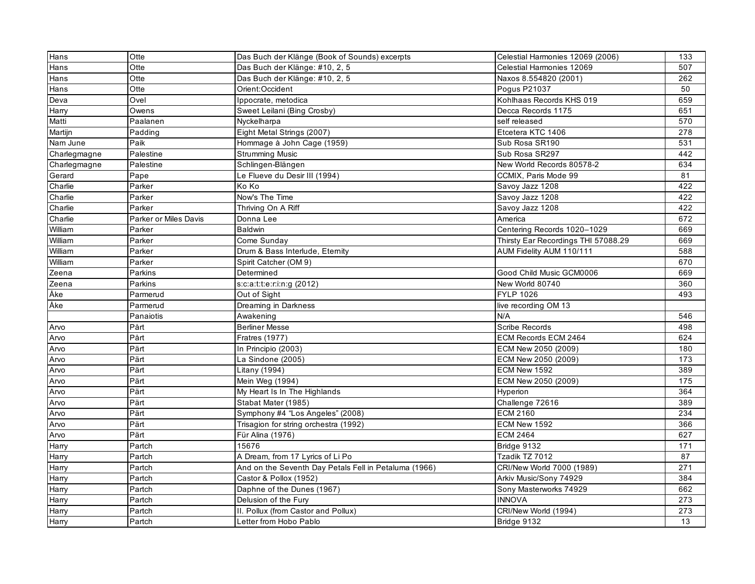| Hans         | Otte                  | Das Buch der Klänge (Book of Sounds) excerpts         | Celestial Harmonies 12069 (2006)    | 133 |
|--------------|-----------------------|-------------------------------------------------------|-------------------------------------|-----|
| Hans         | Otte                  | Das Buch der Klänge: #10, 2, 5                        | Celestial Harmonies 12069           | 507 |
| Hans         | Otte                  | Das Buch der Klänge: #10, 2, 5                        | Naxos 8.554820 (2001)               | 262 |
| Hans         | Otte                  | Orient:Occident                                       | Pogus P21037                        | 50  |
| Deva         | Ovel                  | Ippocrate, metodica                                   | Kohlhaas Records KHS 019            | 659 |
| Harry        | Owens                 | Sweet Leilani (Bing Crosby)                           | Decca Records 1175                  | 651 |
| Matti        | Paalanen              | Nyckelharpa                                           | self released                       | 570 |
| Martijn      | Padding               | Eight Metal Strings (2007)                            | Etcetera KTC 1406                   | 278 |
| Nam June     | Paik                  | Hommage à John Cage (1959)                            | Sub Rosa SR190                      | 531 |
| Charlegmagne | Palestine             | <b>Strumming Music</b>                                | Sub Rosa SR297                      | 442 |
| Charlegmagne | Palestine             | Schlingen-Blängen                                     | New World Records 80578-2           | 634 |
| Gerard       | Pape                  | Le Flueve du Desir III (1994)                         | CCMIX, Paris Mode 99                | 81  |
| Charlie      | Parker                | Ko Ko                                                 | Savoy Jazz 1208                     | 422 |
| Charlie      | Parker                | Now's The Time                                        | Savoy Jazz 1208                     | 422 |
| Charlie      | Parker                | Thriving On A Riff                                    | Savoy Jazz 1208                     | 422 |
| Charlie      | Parker or Miles Davis | Donna Lee                                             | America                             | 672 |
| William      | Parker                | <b>Baldwin</b>                                        | Centering Records 1020-1029         | 669 |
| William      | Parker                | Come Sunday                                           | Thirsty Ear Recordings THI 57088.29 | 669 |
| William      | Parker                | Drum & Bass Interlude, Eternity                       | AUM Fidelity AUM 110/111            | 588 |
| William      | Parker                | Spirit Catcher (OM 9)                                 |                                     | 670 |
| Zeena        | Parkins               | Determined                                            | Good Child Music GCM0006            | 669 |
| Zeena        | Parkins               | s:c:a:t:t:e:r:i:n:g (2012)                            | New World 80740                     | 360 |
| Åke          | Parmerud              | Out of Sight                                          | <b>FYLP 1026</b>                    | 493 |
| Åke          | Parmerud              | Dreaming in Darkness                                  | live recording OM 13                |     |
|              | Panaiotis             | Awakening                                             | N/A                                 | 546 |
| Arvo         | Pårt                  | <b>Berliner Messe</b>                                 | Scribe Records                      | 498 |
| Arvo         | Pårt                  | Fratres (1977)                                        | ECM Records ECM 2464                | 624 |
| Arvo         | Pärt                  | In Principio (2003)                                   | ECM New 2050 (2009)                 | 180 |
| Arvo         | Pärt                  | La Sindone (2005)                                     | ECM New 2050 (2009)                 | 173 |
| Arvo         | Pärt                  | Litany (1994)                                         | ECM New 1592                        | 389 |
| Arvo         | Pärt                  | Mein Weg (1994)                                       | ECM New 2050 (2009)                 | 175 |
| Arvo         | Pärt                  | My Heart Is In The Highlands                          | Hyperion                            | 364 |
| Arvo         | Pärt                  | Stabat Mater (1985)                                   | Challenge 72616                     | 389 |
| Arvo         | Pärt                  | Symphony #4 "Los Angeles" (2008)                      | <b>ECM 2160</b>                     | 234 |
| Arvo         | Pärt                  | Trisagion for string orchestra (1992)                 | ECM New 1592                        | 366 |
| Arvo         | Pärt                  | Für Alina (1976)                                      | <b>ECM 2464</b>                     | 627 |
| Harry        | Partch                | 15676                                                 | Bridge 9132                         | 171 |
| Harry        | Partch                | A Dream, from 17 Lyrics of Li Po                      | Tzadik TZ 7012                      | 87  |
| Harry        | Partch                | And on the Seventh Day Petals Fell in Petaluma (1966) | CRI/New World 7000 (1989)           | 271 |
| Harry        | Partch                | Castor & Pollox (1952)                                | Arkiv Music/Sony 74929              | 384 |
| Harry        | Partch                | Daphne of the Dunes (1967)                            | Sony Masterworks 74929              | 662 |
| Harry        | Partch                | Delusion of the Fury                                  | <b>INNOVA</b>                       | 273 |
| Harry        | Partch                | II. Pollux (from Castor and Pollux)                   | CRI/New World (1994)                | 273 |
| Harry        | Partch                | Letter from Hobo Pablo                                | Bridge 9132                         | 13  |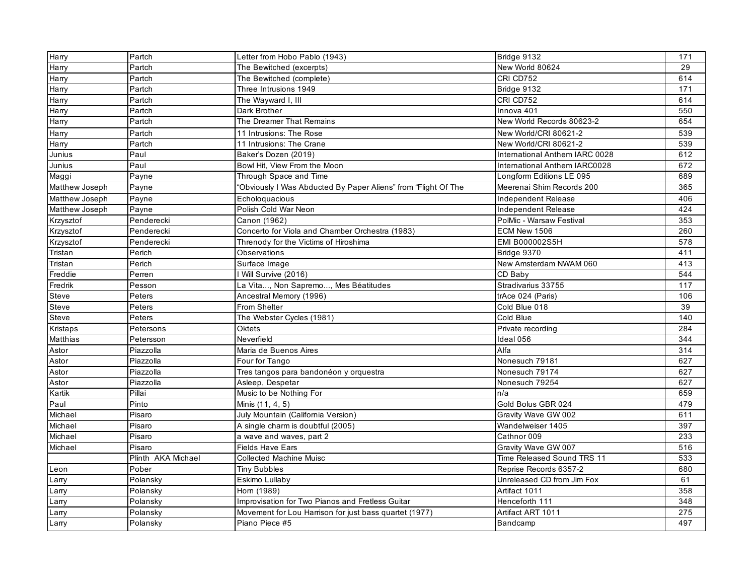| Harry          | Partch             | Letter from Hobo Pablo (1943)                                  | Bridge 9132                    | 171 |
|----------------|--------------------|----------------------------------------------------------------|--------------------------------|-----|
| Harry          | Partch             | The Bewitched (excerpts)                                       | New World 80624                | 29  |
| Harry          | Partch             | The Bewitched (complete)                                       | CRI CD752                      | 614 |
| Harry          | Partch             | Three Intrusions 1949                                          | Bridge 9132                    | 171 |
| Harry          | Partch             | The Wayward I, III                                             | CRI CD752                      | 614 |
| Harry          | Partch             | Dark Brother                                                   | Innova 401                     | 550 |
| Harry          | Partch             | The Dreamer That Remains                                       | New World Records 80623-2      | 654 |
| Harry          | Partch             | 11 Intrusions: The Rose                                        | New World/CRI 80621-2          | 539 |
| Harry          | Partch             | 11 Intrusions: The Crane                                       | New World/CRI 80621-2          | 539 |
| Junius         | Paul               | Baker's Dozen (2019)                                           | International Anthem IARC 0028 | 612 |
| Junius         | Paul               | Bowl Hit, View From the Moon                                   | International Anthem IARC0028  | 672 |
| Maggi          | Payne              | Through Space and Time                                         | Longform Editions LE 095       | 689 |
| Matthew Joseph | Payne              | "Obviously I Was Abducted By Paper Aliens" from "Flight Of The | Meerenai Shim Records 200      | 365 |
| Matthew Joseph | Payne              | Echologuacious                                                 | Independent Release            | 406 |
| Matthew Joseph | Payne              | Polish Cold War Neon                                           | Independent Release            | 424 |
| Krzysztof      | Penderecki         | Canon (1962)                                                   | PolMic - Warsaw Festival       | 353 |
| Krzysztof      | Penderecki         | Concerto for Viola and Chamber Orchestra (1983)                | <b>ECM New 1506</b>            | 260 |
| Krzysztof      | Penderecki         | Threnody for the Victims of Hiroshima                          | EMI B000002S5H                 | 578 |
| Tristan        | Perich             | Observations                                                   | Bridge 9370                    | 411 |
| Tristan        | Perich             | Surface Image                                                  | New Amsterdam NWAM 060         | 413 |
| Freddie        | Perren             | Will Survive (2016)                                            | CD Baby                        | 544 |
| Fredrik        | Pesson             | La Vita, Non Sapremo, Mes Béatitudes                           | Stradivarius 33755             | 117 |
| Steve          | Peters             | Ancestral Memory (1996)                                        | trAce 024 (Paris)              | 106 |
| Steve          | Peters             | From Shelter                                                   | Cold Blue 018                  | 39  |
| Steve          | Peters             | The Webster Cycles (1981)                                      | Cold Blue                      | 140 |
| Kristaps       | Petersons          | Oktets                                                         | Private recording              | 284 |
| Matthias       | Petersson          | Neverfield                                                     | Ideal 056                      | 344 |
| Astor          | Piazzolla          | Maria de Buenos Aires                                          | Alfa                           | 314 |
| Astor          | Piazzolla          | Four for Tango                                                 | Nonesuch 79181                 | 627 |
| Astor          | Piazzolla          | Tres tangos para bandonéon y orquestra                         | Nonesuch 79174                 | 627 |
| Astor          | Piazzolla          | Asleep, Despetar                                               | Nonesuch 79254                 | 627 |
| Kartik         | Pillai             | Music to be Nothing For                                        | n/a                            | 659 |
| Paul           | Pinto              | Minis (11, 4, 5)                                               | Gold Bolus GBR 024             | 479 |
| Michael        | Pisaro             | July Mountain (California Version)                             | Gravity Wave GW 002            | 611 |
| Michael        | Pisaro             | A single charm is doubtful (2005)                              | Wandelweiser 1405              | 397 |
| Michael        | Pisaro             | a wave and waves, part 2                                       | Cathnor 009                    | 233 |
| Michael        | Pisaro             | <b>Fields Have Ears</b>                                        | Gravity Wave GW 007            | 516 |
|                | Plinth AKA Michael | <b>Collected Machine Muisc</b>                                 | Time Released Sound TRS 11     | 533 |
| Leon           | Pober              | <b>Tiny Bubbles</b>                                            | Reprise Records 6357-2         | 680 |
| Larry          | Polansky           | Eskimo Lullaby                                                 | Unreleased CD from Jim Fox     | 61  |
| Larry          | Polansky           | Horn (1989)                                                    | Artifact 1011                  | 358 |
| Larry          | Polansky           | Improvisation for Two Pianos and Fretless Guitar               | Henceforth 111                 | 348 |
| Larry          | Polansky           | Movement for Lou Harrison for just bass quartet (1977)         | Artifact ART 1011              | 275 |
| Larry          | Polansky           | Piano Piece #5                                                 | Bandcamp                       | 497 |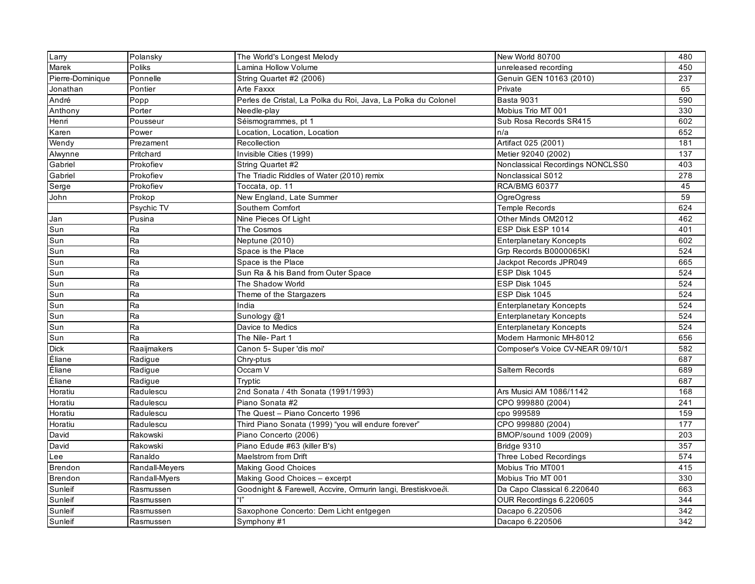| Larry            | Polansky       | The World's Longest Melody                                    | New World 80700                  | 480 |
|------------------|----------------|---------------------------------------------------------------|----------------------------------|-----|
| Marek            | Poliks         | Lamina Hollow Volume                                          | unreleased recording             | 450 |
| Pierre-Dominique | Ponnelle       | String Quartet #2 (2006)                                      | Genuin GEN 10163 (2010)          | 237 |
| Jonathan         | Pontier        | Arte Faxxx                                                    | Private                          | 65  |
| André            | Popp           | Perles de Cristal, La Polka du Roi, Java, La Polka du Colonel | <b>Basta 9031</b>                | 590 |
| Anthony          | Porter         | Needle-play                                                   | Mobius Trio MT 001               | 330 |
| Henri            | Pousseur       | Séismogrammes, pt 1                                           | Sub Rosa Records SR415           | 602 |
| Karen            | Power          | Location, Location, Location                                  | n/a                              | 652 |
| Wendy            | Prezament      | Recollection                                                  | Artifact 025 (2001)              | 181 |
| Alwynne          | Pritchard      | Invisible Cities (1999)                                       | Metier 92040 (2002)              | 137 |
| Gabriel          | Prokofiev      | String Quartet #2                                             | Nonclassical Recordings NONCLSS0 | 403 |
| Gabriel          | Prokofiev      | The Triadic Riddles of Water (2010) remix                     | Nonclassical S012                | 278 |
| Serge            | Prokofiev      | Toccata, op. 11                                               | <b>RCA/BMG 60377</b>             | 45  |
| John             | Prokop         | New England, Late Summer                                      | OgreOgress                       | 59  |
|                  | Psychic TV     | Southern Comfort                                              | <b>Temple Records</b>            | 624 |
| Jan              | Pusina         | Nine Pieces Of Light                                          | Other Minds OM2012               | 462 |
| Sun              | Ra             | The Cosmos                                                    | ESP Disk ESP 1014                | 401 |
| Sun              | Ra             | Neptune (2010)                                                | <b>Enterplanetary Koncepts</b>   | 602 |
| Sun              | Ra             | Space is the Place                                            | Grp Records B0000065KI           | 524 |
| Sun              | Ra             | Space is the Place                                            | Jackpot Records JPR049           | 665 |
| Sun              | Ra             | Sun Ra & his Band from Outer Space                            | ESP Disk 1045                    | 524 |
| Sun              | Ra             | The Shadow World                                              | ESP Disk 1045                    | 524 |
| Sun              | Ra             | Theme of the Stargazers                                       | ESP Disk 1045                    | 524 |
| Sun              | Ra             | India                                                         | <b>Enterplanetary Koncepts</b>   | 524 |
| Sun              | Ra             | Sunology @1                                                   | <b>Enterplanetary Koncepts</b>   | 524 |
| Sun              | Ra             | Davice to Medics                                              | <b>Enterplanetary Koncepts</b>   | 524 |
| Sun              | Ra             | The Nile-Part 1                                               | Modern Harmonic MH-8012          | 656 |
| <b>Dick</b>      | Raaijmakers    | Canon 5- Super 'dis moi'                                      | Composer's Voice CV-NEAR 09/10/1 | 582 |
| Éliane           | Radigue        | Chry-ptus                                                     |                                  | 687 |
| Éliane           | Radigue        | Occam V                                                       | Saltern Records                  | 689 |
| Éliane           | Radigue        | Tryptic                                                       |                                  | 687 |
| Horatiu          | Radulescu      | 2nd Sonata / 4th Sonata (1991/1993)                           | Ars Musici AM 1086/1142          | 168 |
| Horatiu          | Radulescu      | Piano Sonata #2                                               | CPO 999880 (2004)                | 241 |
| Horatiu          | Radulescu      | The Quest - Piano Concerto 1996                               | cpo 999589                       | 159 |
| Horatiu          | Radulescu      | Third Piano Sonata (1999) "you will endure forever"           | CPO 999880 (2004)                | 177 |
| David            | Rakowski       | Piano Concerto (2006)                                         | BMOP/sound 1009 (2009)           | 203 |
| David            | Rakowski       | Piano Edude #63 (killer B's)                                  | Bridge 9310                      | 357 |
| Lee              | Ranaldo        | <b>Maelstrom from Drift</b>                                   | Three Lobed Recordings           | 574 |
| <b>Brendon</b>   | Randall-Meyers | <b>Making Good Choices</b>                                    | Mobius Trio MT001                | 415 |
| Brendon          | Randall-Myers  | Making Good Choices - excerpt                                 | Mobius Trio MT 001               | 330 |
| Sunleif          | Rasmussen      | Goodnight & Farewell, Accvire, Ormurin langi, Brestiskvoedi.  | Da Capo Classical 6.220640       | 663 |
| Sunleif          | Rasmussen      |                                                               | OUR Recordings 6.220605          | 344 |
| Sunleif          | Rasmussen      | Saxophone Concerto: Dem Licht entgegen                        | Dacapo 6.220506                  | 342 |
| Sunleif          | Rasmussen      | Symphony #1                                                   | Dacapo 6.220506                  | 342 |
|                  |                |                                                               |                                  |     |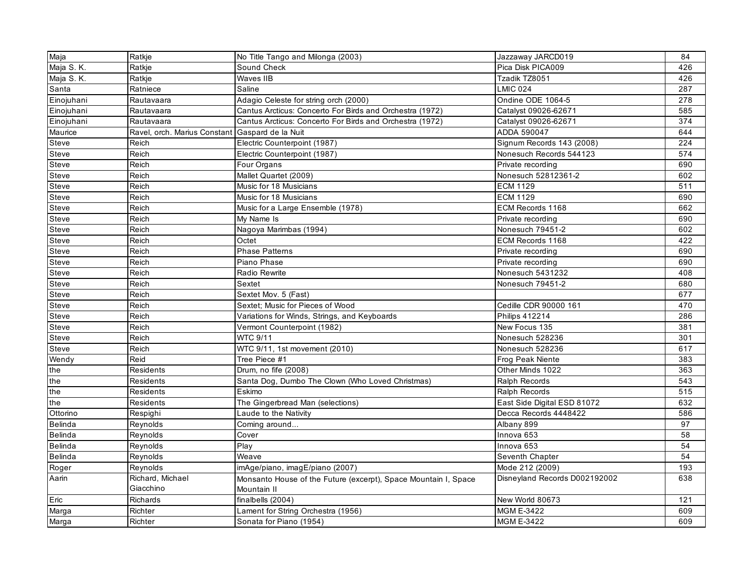| Maja           | Ratkje                                          | No Title Tango and Milonga (2003)                               | Jazzaway JARCD019             | 84  |
|----------------|-------------------------------------------------|-----------------------------------------------------------------|-------------------------------|-----|
| Maja S.K.      | Ratkje                                          | Sound Check                                                     | Pica Disk PICA009             | 426 |
| Maja S.K.      | Ratkje                                          | Waves IIB                                                       | Tzadik TZ8051                 | 426 |
| Santa          | Ratniece                                        | Saline                                                          | <b>LMIC 024</b>               | 287 |
| Einojuhani     | Rautavaara                                      | Adagio Celeste for string orch (2000)                           | Ondine ODE 1064-5             | 278 |
| Einojuhani     | Rautavaara                                      | Cantus Arcticus: Concerto For Birds and Orchestra (1972)        | Catalyst 09026-62671          | 585 |
| Einojuhani     | Rautavaara                                      | Cantus Arcticus: Concerto For Birds and Orchestra (1972)        | Catalyst 09026-62671          | 374 |
| Maurice        | Ravel, orch. Marius Constant Gaspard de la Nuit |                                                                 | ADDA 590047                   | 644 |
| Steve          | Reich                                           | Electric Counterpoint (1987)                                    | Signum Records 143 (2008)     | 224 |
| Steve          | Reich                                           | Electric Counterpoint (1987)                                    | Nonesuch Records 544123       | 574 |
| Steve          | Reich                                           | Four Organs                                                     | Private recording             | 690 |
| Steve          | Reich                                           | Mallet Quartet (2009)                                           | Nonesuch 52812361-2           | 602 |
| Steve          | Reich                                           | Music for 18 Musicians                                          | <b>ECM 1129</b>               | 511 |
| Steve          | Reich                                           | Music for 18 Musicians                                          | <b>ECM 1129</b>               | 690 |
| Steve          | Reich                                           | Music for a Large Ensemble (1978)                               | ECM Records 1168              | 662 |
| Steve          | Reich                                           | My Name Is                                                      | Private recording             | 690 |
| Steve          | Reich                                           | Nagoya Marimbas (1994)                                          | Nonesuch 79451-2              | 602 |
| Steve          | Reich                                           | Octet                                                           | ECM Records 1168              | 422 |
| Steve          | Reich                                           | <b>Phase Patterns</b>                                           | Private recording             | 690 |
| Steve          | Reich                                           | Piano Phase                                                     | Private recording             | 690 |
| Steve          | Reich                                           | Radio Rewrite                                                   | Nonesuch 5431232              | 408 |
| Steve          | Reich                                           | Sextet                                                          | Nonesuch 79451-2              | 680 |
| Steve          | Reich                                           | Sextet Mov. 5 (Fast)                                            |                               | 677 |
| Steve          | Reich                                           | Sextet; Music for Pieces of Wood                                | Cedille CDR 90000 161         | 470 |
| Steve          | Reich                                           | Variations for Winds, Strings, and Keyboards                    | <b>Philips 412214</b>         | 286 |
| Steve          | Reich                                           | Vermont Counterpoint (1982)                                     | New Focus 135                 | 381 |
| Steve          | Reich                                           | <b>WTC 9/11</b>                                                 | Nonesuch 528236               | 301 |
| Steve          | Reich                                           | WTC 9/11, 1st movement (2010)                                   | Nonesuch 528236               | 617 |
| Wendy          | Reid                                            | Tree Piece #1                                                   | Frog Peak Niente              | 383 |
| the            | <b>Residents</b>                                | Drum, no fife (2008)                                            | Other Minds 1022              | 363 |
| the            | Residents                                       | Santa Dog, Dumbo The Clown (Who Loved Christmas)                | <b>Ralph Records</b>          | 543 |
| the            | <b>Residents</b>                                | Eskimo                                                          | Ralph Records                 | 515 |
| the            | Residents                                       | The Gingerbread Man (selections)                                | East Side Digital ESD 81072   | 632 |
| Ottorino       | Respighi                                        | Laude to the Nativity                                           | Decca Records 4448422         | 586 |
| <b>Belinda</b> | Reynolds                                        | Coming around                                                   | Albany 899                    | 97  |
| <b>Belinda</b> | Reynolds                                        | Cover                                                           | Innova 653                    | 58  |
| <b>Belinda</b> | Reynolds                                        | $\overline{P}$ lay                                              | Innova 653                    | 54  |
| <b>Belinda</b> | Reynolds                                        | Weave                                                           | Seventh Chapter               | 54  |
| Roger          | Reynolds                                        | imAge/piano, imagE/piano (2007)                                 | Mode 212 (2009)               | 193 |
| Aarin          | Richard, Michael                                | Monsanto House of the Future (excerpt), Space Mountain I, Space | Disneyland Records D002192002 | 638 |
|                | Giacchino                                       | Mountain II                                                     |                               |     |
| Eric           | Richards                                        | finalbells (2004)                                               | New World 80673               | 121 |
| Marga          | Richter                                         | Lament for String Orchestra (1956)                              | <b>MGM E-3422</b>             | 609 |
| Marga          | <b>Richter</b>                                  | Sonata for Piano (1954)                                         | <b>MGM E-3422</b>             | 609 |
|                |                                                 |                                                                 |                               |     |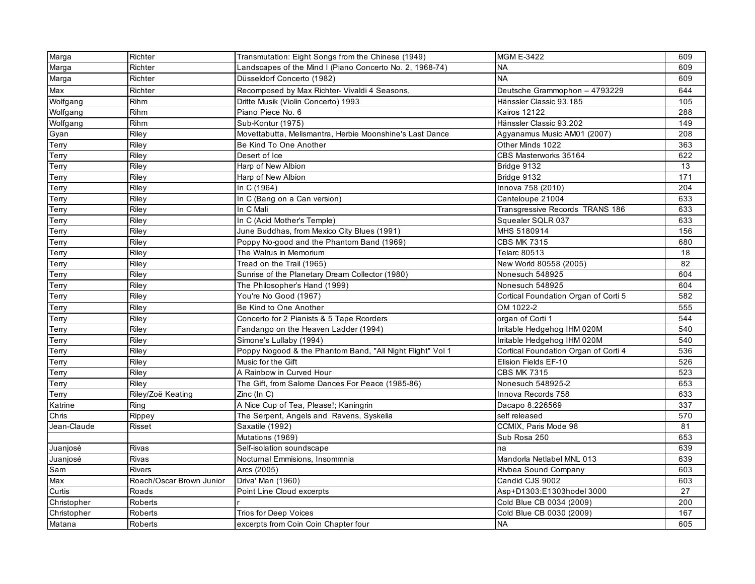| Marga       | Richter                  | Transmutation: Eight Songs from the Chinese (1949)        | <b>MGM E-3422</b>                    | 609 |
|-------------|--------------------------|-----------------------------------------------------------|--------------------------------------|-----|
| Marga       | Richter                  | Landscapes of the Mind I (Piano Concerto No. 2, 1968-74)  | <b>NA</b>                            | 609 |
| Marga       | Richter                  | Düsseldorf Concerto (1982)                                | <b>NA</b>                            | 609 |
| Max         | Richter                  | Recomposed by Max Richter- Vivaldi 4 Seasons,             | Deutsche Grammophon - 4793229        | 644 |
| Wolfgang    | Rihm                     | Dritte Musik (Violin Concerto) 1993                       | Hänssler Classic 93.185              | 105 |
| Wolfgang    | Rihm                     | Piano Piece No. 6                                         | <b>Kairos 12122</b>                  | 288 |
| Wolfgang    | Rihm                     | Sub-Kontur (1975)                                         | Hänssler Classic 93.202              | 149 |
| Gyan        | Riley                    | Movettabutta, Melismantra, Herbie Moonshine's Last Dance  | Agyanamus Music AM01 (2007)          | 208 |
| Terry       | Riley                    | Be Kind To One Another                                    | Other Minds 1022                     | 363 |
| Terry       | Riley                    | Desert of Ice                                             | CBS Masterworks 35164                | 622 |
| Terry       | Riley                    | Harp of New Albion                                        | Bridge 9132                          | 13  |
| Terry       | Riley                    | Harp of New Albion                                        | Bridge 9132                          | 171 |
| Terry       | Riley                    | In C (1964)                                               | Innova 758 (2010)                    | 204 |
| Terry       | Riley                    | In C (Bang on a Can version)                              | Canteloupe 21004                     | 633 |
| Terry       | Riley                    | In C Mali                                                 | Transgressive Records TRANS 186      | 633 |
| Terry       | Riley                    | In C (Acid Mother's Temple)                               | Squealer SQLR 037                    | 633 |
| Terry       | Riley                    | June Buddhas, from Mexico City Blues (1991)               | MHS 5180914                          | 156 |
| Terry       | Riley                    | Poppy No-good and the Phantom Band (1969)                 | <b>CBS MK 7315</b>                   | 680 |
| Terry       | Riley                    | The Walrus in Memorium                                    | <b>Telarc 80513</b>                  | 18  |
| Terry       | Riley                    | Tread on the Trail (1965)                                 | New World 80558 (2005)               | 82  |
| Terry       | Riley                    | Sunrise of the Planetary Dream Collector (1980)           | Nonesuch 548925                      | 604 |
| Terry       | Riley                    | The Philosopher's Hand (1999)                             | Nonesuch 548925                      | 604 |
| Terry       | Riley                    | You're No Good (1967)                                     | Cortical Foundation Organ of Corti 5 | 582 |
| Terry       | Riley                    | Be Kind to One Another                                    | OM 1022-2                            | 555 |
| Terry       | Riley                    | Concerto for 2 Pianists & 5 Tape Rcorders                 | organ of Corti 1                     | 544 |
| Terry       | Riley                    | Fandango on the Heaven Ladder (1994)                      | Irritable Hedgehog IHM 020M          | 540 |
| Terry       | Riley                    | Simone's Lullaby (1994)                                   | Irritable Hedgehog IHM 020M          | 540 |
| Terry       | Riley                    | Poppy Nogood & the Phantom Band, "All Night Flight" Vol 1 | Cortical Foundation Organ of Corti 4 | 536 |
| Terry       | Riley                    | Music for the Gift                                        | Elision Fields EF-10                 | 526 |
| Terry       | Riley                    | A Rainbow in Curved Hour                                  | <b>CBS MK 7315</b>                   | 523 |
| Terry       | Riley                    | The Gift, from Salome Dances For Peace (1985-86)          | Nonesuch 548925-2                    | 653 |
| Terry       | Riley/Zoë Keating        | Zinc (ln C)                                               | Innova Records 758                   | 633 |
| Katrine     | Ring                     | A Nice Cup of Tea, Please!; Kaningrin                     | Dacapo 8.226569                      | 337 |
| Chris       | Rippey                   | The Serpent, Angels and Ravens, Syskelia                  | self released                        | 570 |
| Jean-Claude | <b>Risset</b>            | Saxatile (1992)                                           | CCMIX, Paris Mode 98                 | 81  |
|             |                          | Mutations (1969)                                          | Sub Rosa 250                         | 653 |
| Juanjosé    | Rivas                    | Self-isolation soundscape                                 | na                                   | 639 |
| Juanjosé    | <b>Rivas</b>             | Nocturnal Emmisions, Insommnia                            | Mandorla Netlabel MNL 013            | 639 |
| Sam         | <b>Rivers</b>            | Arcs (2005)                                               | Rivbea Sound Company                 | 603 |
| Max         | Roach/Oscar Brown Junior | Driva' Man (1960)                                         | Candid CJS 9002                      | 603 |
| Curtis      | Roads                    | Point Line Cloud excerpts                                 | Asp+D1303:E1303hodel 3000            | 27  |
| Christopher | Roberts                  |                                                           | Cold Blue CB 0034 (2009)             | 200 |
| Christopher | Roberts                  | <b>Trios for Deep Voices</b>                              | Cold Blue CB 0030 (2009)             | 167 |
| Matana      | Roberts                  | excerpts from Coin Coin Chapter four                      | <b>NA</b>                            | 605 |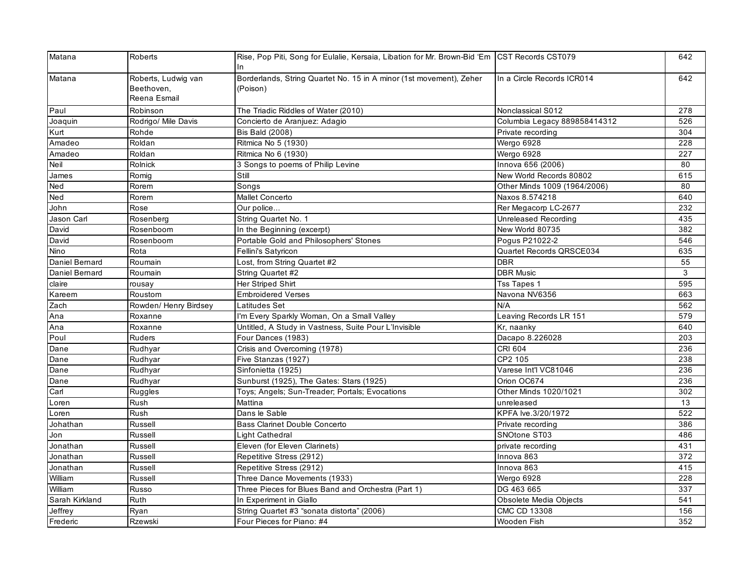| Matana         | <b>Roberts</b>                                    | Rise, Pop Piti, Song for Eulalie, Kersaia, Libation for Mr. Brown-Bid 'Em CST Records CST079<br>In |                              | 642 |
|----------------|---------------------------------------------------|----------------------------------------------------------------------------------------------------|------------------------------|-----|
| Matana         | Roberts, Ludwig van<br>Beethoven,<br>Reena Esmail | Borderlands, String Quartet No. 15 in A minor (1st movement), Zeher<br>(Poison)                    | In a Circle Records ICR014   | 642 |
| Paul           | Robinson                                          | The Triadic Riddles of Water (2010)                                                                | Nonclassical S012            | 278 |
| Joaquin        | Rodrigo/ Mile Davis                               | Concierto de Aranjuez: Adagio                                                                      | Columbia Legacy 889858414312 | 526 |
| Kurt           | Rohde                                             | <b>Bis Bald (2008)</b>                                                                             | Private recording            | 304 |
| Amadeo         | Roldan                                            | Ritmica No 5 (1930)                                                                                | Wergo 6928                   | 228 |
| Amadeo         | Roldan                                            | Ritmica No 6 (1930)                                                                                | Wergo 6928                   | 227 |
| Neil           | Rolnick                                           | 3 Songs to poems of Philip Levine                                                                  | Innova 656 (2006)            | 80  |
| James          | Romig                                             | Still                                                                                              | New World Records 80802      | 615 |
| Ned            | Rorem                                             | Songs                                                                                              | Other Minds 1009 (1964/2006) | 80  |
| Ned            | Rorem                                             | Mallet Concerto                                                                                    | Naxos 8.574218               | 640 |
| John           | Rose                                              | Our police                                                                                         | Rer Megacorp LC-2677         | 232 |
| Jason Carl     | Rosenberg                                         | String Quartet No. 1                                                                               | Unreleased Recording         | 435 |
| David          | Rosenboom                                         | In the Beginning (excerpt)                                                                         | New World 80735              | 382 |
| David          | Rosenboom                                         | Portable Gold and Philosophers' Stones                                                             | Pogus P21022-2               | 546 |
| Nino           | Rota                                              | Fellini's Satyricon                                                                                | Quartet Records QRSCE034     | 635 |
| Daniel Bernard | Roumain                                           | Lost, from String Quartet #2                                                                       | <b>DBR</b>                   | 55  |
| Daniel Bernard | Roumain                                           | String Quartet #2                                                                                  | <b>DBR Music</b>             | 3   |
| claire         | rousay                                            | Her Striped Shirt                                                                                  | <b>Tss Tapes 1</b>           | 595 |
| Kareem         | Roustom                                           | <b>Embroidered Verses</b>                                                                          | Navona NV6356                | 663 |
| Zach           | Rowden/ Henry Birdsey                             | Latitudes Set                                                                                      | N/A                          | 562 |
| Ana            | Roxanne                                           | I'm Every Sparkly Woman, On a Small Valley                                                         | Leaving Records LR 151       | 579 |
| Ana            | Roxanne                                           | Untitled, A Study in Vastness, Suite Pour L'Invisible                                              | Kr, naanky                   | 640 |
| Poul           | Ruders                                            | Four Dances (1983)                                                                                 | Dacapo 8.226028              | 203 |
| Dane           | Rudhyar                                           | Crisis and Overcoming (1978)                                                                       | CRI 604                      | 236 |
| Dane           | Rudhyar                                           | Five Stanzas (1927)                                                                                | CP2 105                      | 238 |
| Dane           | Rudhyar                                           | Sinfonietta (1925)                                                                                 | Varese Int'l VC81046         | 236 |
| Dane           | Rudhyar                                           | Sunburst (1925), The Gates: Stars (1925)                                                           | Orion OC674                  | 236 |
| Carl           | Ruggles                                           | Toys; Angels; Sun-Treader; Portals; Evocations                                                     | Other Minds 1020/1021        | 302 |
| Loren          | Rush                                              | Mattina                                                                                            | unreleased                   | 13  |
| Loren          | Rush                                              | Dans le Sable                                                                                      | KPFA lve.3/20/1972           | 522 |
| Johathan       | Russell                                           | <b>Bass Clarinet Double Concerto</b>                                                               | Private recording            | 386 |
| Jon            | Russell                                           | Light Cathedral                                                                                    | SNOtone ST03                 | 486 |
| Jonathan       | Russell                                           | Eleven (for Eleven Clarinets)                                                                      | private recording            | 431 |
| Jonathan       | Russell                                           | Repetitive Stress (2912)                                                                           | Innova 863                   | 372 |
| Jonathan       | Russell                                           | Repetitive Stress (2912)                                                                           | Innova 863                   | 415 |
| William        | Russell                                           | Three Dance Movements (1933)                                                                       | Wergo 6928                   | 228 |
| William        | Russo                                             | Three Pieces for Blues Band and Orchestra (Part 1)                                                 | DG 463 665                   | 337 |
| Sarah Kirkland | Ruth                                              | In Experiment in Giallo                                                                            | Obsolete Media Objects       | 541 |
| Jeffrey        | Ryan                                              | String Quartet #3 "sonata distorta" (2006)                                                         | CMC CD 13308                 | 156 |
| Frederic       | Rzewski                                           | Four Pieces for Piano: #4                                                                          | Wooden Fish                  | 352 |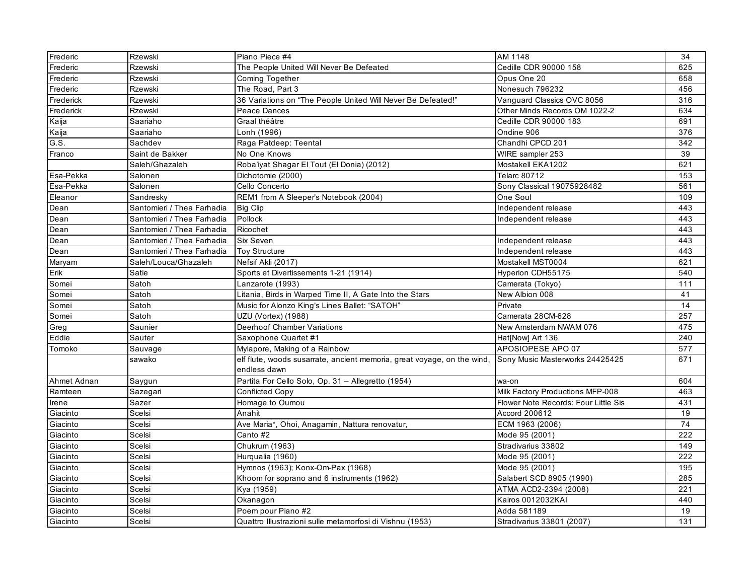| Frederic    | Rzewski                    | Piano Piece #4                                                                          | AM 1148                              | 34              |
|-------------|----------------------------|-----------------------------------------------------------------------------------------|--------------------------------------|-----------------|
| Frederic    | <b>Rzewski</b>             | The People United Will Never Be Defeated                                                | Cedille CDR 90000 158                | 625             |
| Frederic    | Rzewski                    | Coming Together                                                                         | Opus One 20                          | 658             |
| Frederic    | <b>Rzewski</b>             | The Road, Part 3                                                                        | Nonesuch 796232                      | 456             |
| Frederick   | Rzewski                    | 36 Variations on "The People United Will Never Be Defeated!"                            | Vanguard Classics OVC 8056           | 316             |
| Frederick   | Rzewski                    | Peace Dances                                                                            | Other Minds Records OM 1022-2        | 634             |
| Kaija       | Saariaho                   | Graal théâtre                                                                           | Cedille CDR 90000 183                | 691             |
| Kaija       | Saariaho                   | Lonh (1996)                                                                             | Ondine 906                           | 376             |
| G.S.        | Sachdev                    | Raga Patdeep: Teental                                                                   | Chandhi CPCD 201                     | 342             |
| Franco      | Saint de Bakker            | No One Knows                                                                            | WIRE sampler 253                     | 39              |
|             | Saleh/Ghazaleh             | Roba'iyat Shagar El Tout (El Donia) (2012)                                              | Mostakell EKA1202                    | 621             |
| Esa-Pekka   | Salonen                    | Dichotomie (2000)                                                                       | <b>Telarc 80712</b>                  | $\frac{153}{ }$ |
| Esa-Pekka   | Salonen                    | Cello Concerto                                                                          | Sony Classical 19075928482           | 561             |
| Eleanor     | Sandresky                  | REM1 from A Sleeper's Notebook (2004)                                                   | One Soul                             | 109             |
| Dean        | Santomieri / Thea Farhadia | <b>Big Clip</b>                                                                         | Independent release                  | 443             |
| Dean        | Santomieri / Thea Farhadia | Pollock                                                                                 | Independent release                  | 443             |
| Dean        | Santomieri / Thea Farhadia | Ricochet                                                                                |                                      | 443             |
| Dean        | Santomieri / Thea Farhadia | Six Seven                                                                               | Independent release                  | 443             |
| Dean        | Santomieri / Thea Farhadia | <b>Toy Structure</b>                                                                    | Independent release                  | 443             |
| Maryam      | Saleh/Louca/Ghazaleh       | Nefsif Akli (2017)                                                                      | Mostakell MST0004                    | 621             |
| Erik        | Satie                      | Sports et Divertissements 1-21 (1914)                                                   | Hyperion CDH55175                    | 540             |
| Somei       | Satoh                      | Lanzarote (1993)                                                                        | Camerata (Tokyo)                     | 111             |
| Somei       | Satoh                      | Litania, Birds in Warped Time II, A Gate Into the Stars                                 | New Albion 008                       | 41              |
| Somei       | Satoh                      | Music for Alonzo King's Lines Ballet: "SATOH"                                           | Private                              | 14              |
| Somei       | Satoh                      | UZU (Vortex) (1988)                                                                     | Camerata 28CM-628                    | 257             |
| Greg        | Saunier                    | Deerhoof Chamber Variations                                                             | New Amsterdam NWAM 076               | 475             |
| Eddie       | Sauter                     | Saxophone Quartet #1                                                                    | Hat[Now] Art 136                     | 240             |
| Tomoko      | Sauvage                    | Mylapore, Making of a Rainbow                                                           | APOSIOPESE APO 07                    | 577             |
|             | sawako                     | elf flute, woods susarrate, ancient memoria, great voyage, on the wind,<br>endless dawn | Sony Music Masterworks 24425425      | 671             |
| Ahmet Adnan | Saygun                     | Partita For Cello Solo, Op. 31 - Allegretto (1954)                                      | wa-on                                | 604             |
| Ramteen     | Sazegari                   | Conflicted Copy                                                                         | Milk Factory Productions MFP-008     | 463             |
| Irene       | Sazer                      | Homage to Oumou                                                                         | Flower Note Records: Four Little Sis | 431             |
| Giacinto    | Scelsi                     | Anahit                                                                                  | Accord 200612                        | 19              |
| Giacinto    | Scelsi                     | Ave Maria*, Ohoi, Anagamin, Nattura renovatur,                                          | ECM 1963 (2006)                      | 74              |
| Giacinto    | Scelsi                     | Canto #2                                                                                | Mode 95 (2001)                       | 222             |
| Giacinto    | Scelsi                     | Chukrum (1963)                                                                          | Stradivarius 33802                   | 149             |
| Giacinto    | Scelsi                     | Hurqualia (1960)                                                                        | Mode 95 (2001)                       | 222             |
| Giacinto    | Scelsi                     | Hymnos (1963); Konx-Om-Pax (1968)                                                       | Mode 95 (2001)                       | 195             |
| Giacinto    | Scelsi                     | Khoom for soprano and 6 instruments (1962)                                              | Salabert SCD 8905 (1990)             | 285             |
| Giacinto    | Scelsi                     | Kya (1959)                                                                              | ATMA ACD2-2394 (2008)                | 221             |
| Giacinto    | Scelsi                     | Okanagon                                                                                | Kairos 0012032KAI                    | 440             |
| Giacinto    | Scelsi                     | Poem pour Piano #2                                                                      | Adda 581189                          | 19              |
| Giacinto    | Scelsi                     | Quattro Illustrazioni sulle metamorfosi di Vishnu (1953)                                | Stradivarius 33801 (2007)            | 131             |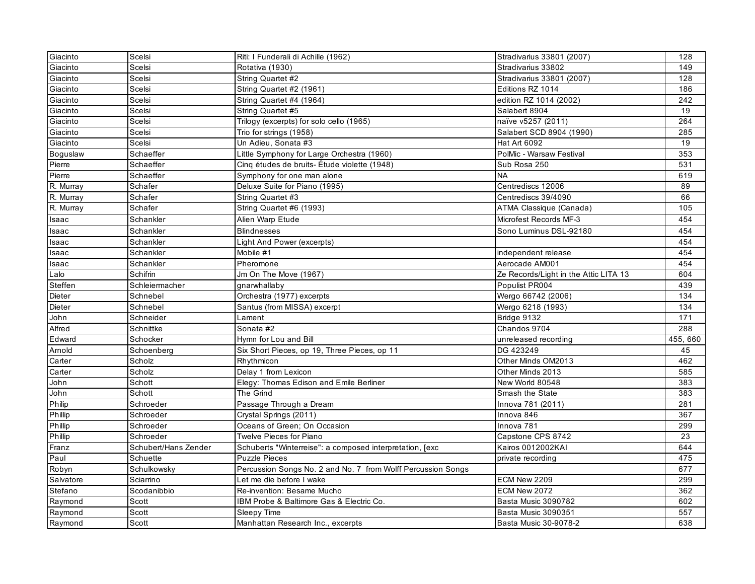| Giacinto        | Scelsi               | Riti: I Funderali di Achille (1962)                          | Stradivarius 33801 (2007)             | 128      |
|-----------------|----------------------|--------------------------------------------------------------|---------------------------------------|----------|
| Giacinto        | Scelsi               | Rotativa (1930)                                              | Stradivarius 33802                    | 149      |
| Giacinto        | Scelsi               | String Quartet #2                                            | Stradivarius 33801 (2007)             | 128      |
| Giacinto        | Scelsi               | String Quartet #2 (1961)                                     | Editions RZ 1014                      | 186      |
| Giacinto        | Scelsi               | String Quartet #4 (1964)                                     | edition RZ 1014 (2002)                | 242      |
| Giacinto        | Scelsi               | String Quartet #5                                            | Salabert 8904                         | 19       |
| Giacinto        | Scelsi               | Trilogy (excerpts) for solo cello (1965)                     | naïve v5257 (2011)                    | 264      |
| Giacinto        | Scelsi               | Trio for strings (1958)                                      | Salabert SCD 8904 (1990)              | 285      |
| Giacinto        | Scelsi               | Un Adieu, Sonata #3                                          | Hat Art 6092                          | 19       |
| <b>Boguslaw</b> | Schaeffer            | Little Symphony for Large Orchestra (1960)                   | PolMic - Warsaw Festival              | 353      |
| Pierre          | Schaeffer            | Cinq études de bruits-Étude violette (1948)                  | Sub Rosa 250                          | 531      |
| Pierre          | Schaeffer            | Symphony for one man alone                                   | <b>NA</b>                             | 619      |
| R. Murray       | Schafer              | Deluxe Suite for Piano (1995)                                | Centrediscs 12006                     | 89       |
| R. Murray       | Schafer              | String Quartet #3                                            | Centrediscs 39/4090                   | 66       |
| R. Murray       | Schafer              | String Quartet #6 (1993)                                     | ATMA Classique (Canada)               | 105      |
| Isaac           | Schankler            | Alien Warp Etude                                             | Microfest Records MF-3                | 454      |
| Isaac           | Schankler            | <b>Blindnesses</b>                                           | Sono Luminus DSL-92180                | 454      |
| Isaac           | Schankler            | Light And Power (excerpts)                                   |                                       | 454      |
| Isaac           | Schankler            | Mobile #1                                                    | independent release                   | 454      |
| Isaac           | Schankler            | Pheromone                                                    | Aerocade AM001                        | 454      |
| Lalo            | Schifrin             | Jm On The Move (1967)                                        | Ze Records/Light in the Attic LITA 13 | 604      |
| Steffen         | Schleiermacher       | gnarwhallaby                                                 | Populist PR004                        | 439      |
| Dieter          | Schnebel             | Orchestra (1977) excerpts                                    | Wergo 66742 (2006)                    | 134      |
| Dieter          | Schnebel             | Santus (from MISSA) excerpt                                  | Wergo 6218 (1993)                     | 134      |
| John            | Schneider            | Lament                                                       | Bridge 9132                           | 171      |
| Alfred          | Schnittke            | Sonata #2                                                    | Chandos 9704                          | 288      |
| Edward          | Schocker             | Hymn for Lou and Bill                                        | unreleased recording                  | 455, 660 |
| Arnold          | Schoenberg           | Six Short Pieces, op 19, Three Pieces, op 11                 | DG 423249                             | 45       |
| Carter          | Scholz               | Rhythmicon                                                   | Other Minds OM2013                    | 462      |
| Carter          | Scholz               | Delay 1 from Lexicon                                         | Other Minds 2013                      | 585      |
| John            | Schott               | Elegy: Thomas Edison and Emile Berliner                      | New World 80548                       | 383      |
| John            | Schott               | The Grind                                                    | Smash the State                       | 383      |
| Philip          | Schroeder            | Passage Through a Dream                                      | Innova 781 (2011)                     | 281      |
| Phillip         | Schroeder            | Crystal Springs (2011)                                       | Innova 846                            | 367      |
| Phillip         | Schroeder            | Oceans of Green; On Occasion                                 | Innova 781                            | 299      |
| Phillip         | Schroeder            | Twelve Pieces for Piano                                      | Capstone CPS 8742                     | 23       |
| Franz           | Schubert/Hans Zender | Schuberts "Winterreise": a composed interpretation, [exc]    | <b>Kairos 0012002KAI</b>              | 644      |
| Paul            | Schuette             | <b>Puzzle Pieces</b>                                         | private recording                     | 475      |
| Robyn           | Schulkowsky          | Percussion Songs No. 2 and No. 7 from Wolff Percussion Songs |                                       | 677      |
| Salvatore       | Sciarrino            | Let me die before I wake                                     | ECM New 2209                          | 299      |
| Stefano         | Scodanibbio          | Re-invention: Besame Mucho                                   | ECM New 2072                          | 362      |
| Raymond         | Scott                | IBM Probe & Baltimore Gas & Electric Co.                     | Basta Music 3090782                   | 602      |
| Raymond         | Scott                | Sleepy Time                                                  | Basta Music 3090351                   | 557      |
| Raymond         | Scott                | Manhattan Research Inc., excerpts                            | Basta Music 30-9078-2                 | 638      |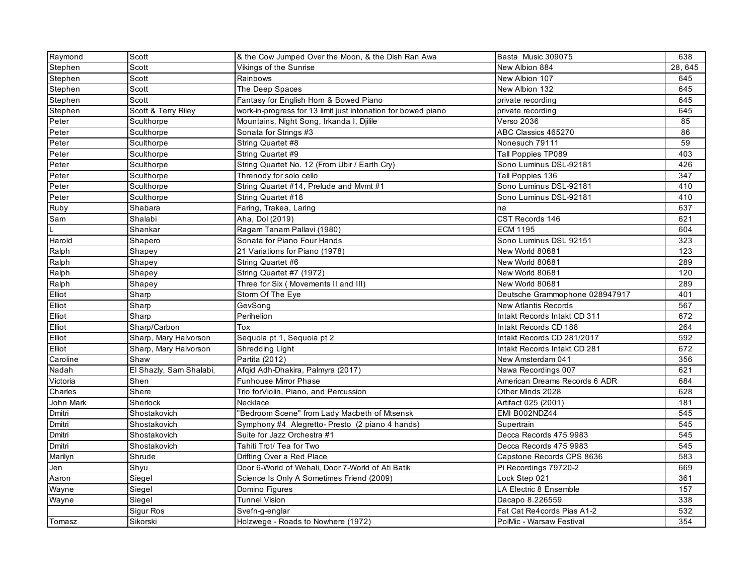| Raymond   | Scott                   | & the Cow Jumped Over the Moon, & the Dish Ran Awa            | Basta Music 309075             | 638             |
|-----------|-------------------------|---------------------------------------------------------------|--------------------------------|-----------------|
| Stephen   | Scott                   | Vikings of the Sunrise                                        | New Albion 884                 | 28, 645         |
| Stephen   | Scott                   | Rainbows                                                      | New Albion 107                 | 645             |
| Stephen   | Scott                   | The Deep Spaces                                               | New Albion 132                 | 645             |
| Stephen   | Scott                   | Fantasy for English Horn & Bowed Piano                        | private recording              | 645             |
| Stephen   | Scott & Terry Riley     | work-in-progress for 13 limit just intonation for bowed piano | private recording              | 645             |
| Peter     | Sculthorpe              | Mountains, Night Song, Irkanda I, Djilile                     | <b>Verso 2036</b>              | 85              |
| Peter     | Sculthorpe              | Sonata for Strings #3                                         | ABC Classics 465270            | 86              |
| Peter     | Sculthorpe              | String Quartet #8                                             | Nonesuch 79111                 | 59              |
| Peter     | Sculthorpe              | String Quartet #9                                             | Tall Poppies TP089             | 403             |
| Peter     | Sculthorpe              | String Quartet No. 12 (From Ubir / Earth Cry)                 | Sono Luminus DSL-92181         | 426             |
| Peter     | Sculthorpe              | Threnody for solo cello                                       | Tall Poppies 136               | 347             |
| Peter     | Sculthorpe              | String Quartet #14, Prelude and Mvmt #1                       | Sono Luminus DSL-92181         | 410             |
| Peter     | Sculthorpe              | String Quartet #18                                            | Sono Luminus DSL-92181         | 410             |
| Ruby      | Shabara                 | Faring, Trakea, Laring                                        | na                             | 637             |
| Sam       | Shalabi                 | Aha, Dol (2019)                                               | CST Records 146                | 621             |
| L         | Shankar                 | Ragam Tanam Pallavi (1980)                                    | <b>ECM 1195</b>                | 604             |
| Harold    | Shapero                 | Sonata for Piano Four Hands                                   | Sono Luminus DSL 92151         | 323             |
| Ralph     | Shapey                  | 21 Variations for Piano (1978)                                | New World 80681                | 123             |
| Ralph     | Shapey                  | String Quartet #6                                             | New World 80681                | 289             |
| Ralph     | Shapey                  | String Quartet #7 (1972)                                      | New World 80681                | 120             |
| Ralph     | Shapey                  | Three for Six (Movements II and III)                          | New World 80681                | 289             |
| Elliot    | Sharp                   | Storm Of The Eye                                              | Deutsche Grammophone 028947917 | 401             |
| Elliot    | Sharp                   | GevSong                                                       | <b>New Atlantis Records</b>    | 567             |
| Elliot    | Sharp                   | Perihelion                                                    | Intakt Records Intakt CD 311   | 672             |
| Elliot    | Sharp/Carbon            | Tox                                                           | Intakt Records CD 188          | 264             |
| Elliot    | Sharp, Mary Halvorson   | Sequoia pt 1, Sequoia pt 2                                    | Intakt Records CD 281/2017     | 592             |
| Elliot    | Sharp, Mary Halvorson   | Shredding Light                                               | Intakt Records Intakt CD 281   | 672             |
| Caroline  | Shaw                    | Partita (2012)                                                | New Amsterdam 041              | 356             |
| Nadah     | El Shazly, Sam Shalabi, | Afqid Adh-Dhakira, Palmyra (2017)                             | Nawa Recordings 007            | 621             |
| Victoria  | Shen                    | Funhouse Mirror Phase                                         | American Dreams Records 6 ADR  | 684             |
| Charles   | Shere                   | Trio forViolin, Piano, and Percussion                         | Other Minds 2028               | 628             |
| John Mark | Sherlock                | Necklace                                                      | Artifact 025 (2001)            | 181             |
| Dmitri    | Shostakovich            | "Bedroom Scene" from Lady Macbeth of Mtsensk                  | EMI B002NDZ44                  | $\frac{1}{545}$ |
| Dmitri    | Shostakovich            | Symphony #4 Alegretto- Presto (2 piano 4 hands)               | Supertrain                     | 545             |
| Dmitri    | Shostakovich            | Suite for Jazz Orchestra #1                                   | Decca Records 475 9983         | 545             |
| Dmitri    | Shostakovich            | Tahiti Trot/ Tea for Two                                      | Decca Records 475 9983         | 545             |
| Marilyn   | Shrude                  | Drifting Over a Red Place                                     | Capstone Records CPS 8636      | 583             |
| Jen       | Shyu                    | Door 6-World of Wehali, Door 7-World of Ati Batik             | Pi Recordings 79720-2          | 669             |
| Aaron     | Siegel                  | Science Is Only A Sometimes Friend (2009)                     | Lock Step 021                  | 361             |
| Wayne     | Siegel                  | Domino Figures                                                | LA Electric 8 Ensemble         | 157             |
| Wayne     | Siegel                  | <b>Tunnel Vision</b>                                          | Dacapo 8.226559                | 338             |
|           | Sigur Ros               | Svefn-g-englar                                                | Fat Cat Re4cords Pias A1-2     | 532             |
| Tomasz    | Sikorski                | Holzwege - Roads to Nowhere (1972)                            | PolMic - Warsaw Festival       | 354             |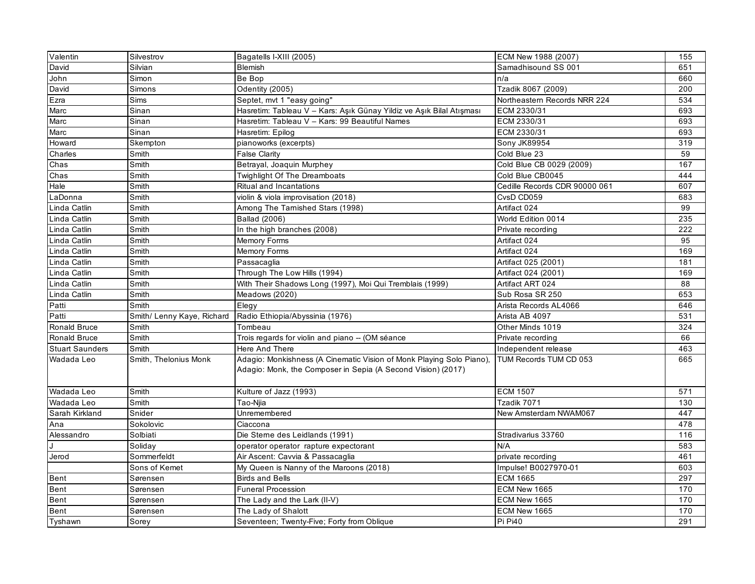| Valentin                    | Silvestrov                 | Bagatells I-XIII (2005)                                                                                                              | ECM New 1988 (2007)           | 155              |
|-----------------------------|----------------------------|--------------------------------------------------------------------------------------------------------------------------------------|-------------------------------|------------------|
| David                       | Silvian                    | Blemish                                                                                                                              | Samadhisound SS 001           | 651              |
| John                        | Simon                      | Be Bop                                                                                                                               | n/a                           | 660              |
| David                       | <b>Simons</b>              | Odentity (2005)                                                                                                                      | Tzadik 8067 (2009)            | 200              |
| Ezra                        | <b>Sims</b>                | Septet, mvt 1 "easy going"                                                                                                           | Northeastern Records NRR 224  | 534              |
| Marc                        | Sinan                      | Hasretim: Tableau V - Kars: Aşık Günay Yildiz ve Aşık Bilal Atışması                                                                 | ECM 2330/31                   | 693              |
| $\overline{\mathsf{M}}$ arc | Sinan                      | Hasretim: Tableau V - Kars: 99 Beautiful Names                                                                                       | ECM 2330/31                   | 693              |
| Marc                        | Sinan                      | Hasretim: Epilog                                                                                                                     | ECM 2330/31                   | 693              |
| Howard                      | Skempton                   | pianoworks (excerpts)                                                                                                                | <b>Sony JK89954</b>           | 319              |
| Charles                     | Smith                      | False Clarity                                                                                                                        | Cold Blue 23                  | 59               |
| Chas                        | Smith                      | Betrayal, Joaquin Murphey                                                                                                            | Cold Blue CB 0029 (2009)      | 167              |
| Chas                        | Smith                      | Twighlight Of The Dreamboats                                                                                                         | Cold Blue CB0045              | 444              |
| Hale                        | Smith                      | Ritual and Incantations                                                                                                              | Cedille Records CDR 90000 061 | 607              |
| LaDonna                     | Smith                      | violin & viola improvisation (2018)                                                                                                  | CvsD CD059                    | 683              |
| Linda Catlin                | Smith                      | Among The Tamished Stars (1998)                                                                                                      | Artifact 024                  | 99               |
| Linda Catlin                | Smith                      | Ballad (2006)                                                                                                                        | World Edition 0014            | 235              |
| Linda Catlin                | Smith                      | In the high branches (2008)                                                                                                          | Private recording             | 222              |
| Linda Catlin                | Smith                      | Memory Forms                                                                                                                         | Artifact 024                  | 95               |
| Linda Catlin                | Smith                      | Memory Forms                                                                                                                         | Artifact 024                  | 169              |
| Linda Catlin                | Smith                      | Passacaglia                                                                                                                          | Artifact 025 (2001)           | 181              |
| Linda Catlin                | Smith                      | Through The Low Hills (1994)                                                                                                         | Artifact 024 (2001)           | 169              |
| Linda Catlin                | Smith                      | With Their Shadows Long (1997), Moi Qui Tremblais (1999)                                                                             | Artifact ART 024              | 88               |
| Linda Catlin                | Smith                      | Meadows (2020)                                                                                                                       | Sub Rosa SR 250               | 653              |
| Patti                       | Smith                      | Elegy                                                                                                                                | Arista Records AL4066         | 646              |
| Patti                       | Smith/ Lenny Kaye, Richard | Radio Ethiopia/Abyssinia (1976)                                                                                                      | Arista AB 4097                | 531              |
| Ronald Bruce                | Smith                      | Tombeau                                                                                                                              | Other Minds 1019              | 324              |
| Ronald Bruce                | Smith                      | Trois regards for violin and piano - (OM séance                                                                                      | Private recording             | 66               |
| <b>Stuart Saunders</b>      | Smith                      | Here And There                                                                                                                       | Independent release           | 463              |
| Wadada Leo                  | Smith, Thelonius Monk      | Adagio: Monkishness (A Cinematic Vision of Monk Playing Solo Piano),<br>Adagio: Monk, the Composer in Sepia (A Second Vision) (2017) | TUM Records TUM CD 053        | 665              |
| Wadada Leo                  | Smith                      | Kulture of Jazz (1993)                                                                                                               | <b>ECM 1507</b>               | $\overline{571}$ |
| Wadada Leo                  | Smith                      | Tao-Niia                                                                                                                             | Tzadik 7071                   | 130              |
| Sarah Kirkland              | Snider                     | Unremembered                                                                                                                         | New Amsterdam NWAM067         | 447              |
| Ana                         | Sokolovic                  | Ciaccona                                                                                                                             |                               | 478              |
| Alessandro                  | Solbiati                   | Die Sterne des Leidlands (1991)                                                                                                      | Stradivarius 33760            | 116              |
|                             | Soliday                    | operator operator rapture expectorant                                                                                                | N/A                           | 583              |
| Jerod                       | Sommerfeldt                | Air Ascent: Cavvia & Passacaglia                                                                                                     | private recording             | 461              |
|                             | Sons of Kemet              | My Queen is Nanny of the Maroons (2018)                                                                                              | Impulse! B0027970-01          | 603              |
| <b>Bent</b>                 | Sørensen                   | <b>Birds and Bells</b>                                                                                                               | <b>ECM 1665</b>               | 297              |
| Bent                        | Sørensen                   | <b>Funeral Procession</b>                                                                                                            | ECM New 1665                  | 170              |
| Bent                        | Sørensen                   | The Lady and the Lark (II-V)                                                                                                         | ECM New 1665                  | 170              |
| Bent                        | Sørensen                   | The Lady of Shalott                                                                                                                  | ECM New 1665                  | 170              |
| Tyshawn                     | Sorey                      | Seventeen; Twenty-Five; Forty from Oblique                                                                                           | Pi Pi40                       | 291              |
|                             |                            |                                                                                                                                      |                               |                  |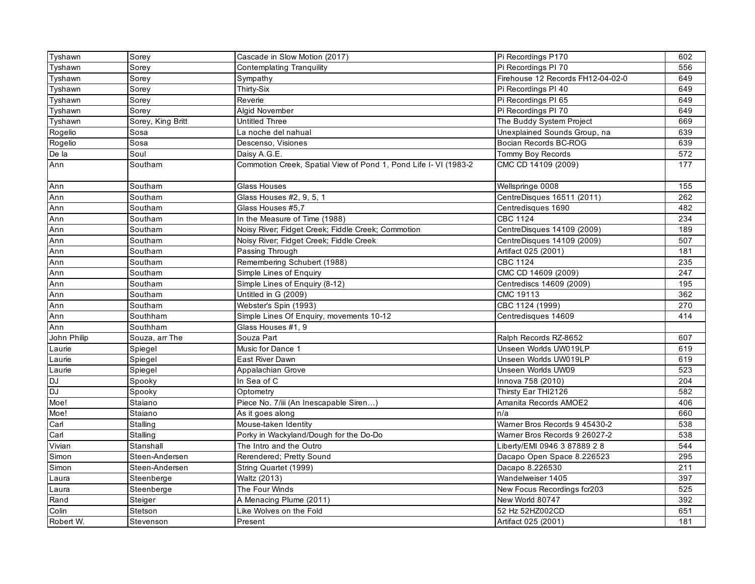| Tyshawn     | Sorey             | Cascade in Slow Motion (2017)                                    | Pi Recordings P170                | 602 |
|-------------|-------------------|------------------------------------------------------------------|-----------------------------------|-----|
| Tyshawn     | Sorey             | <b>Contemplating Tranquility</b>                                 | Pi Recordings PI 70               | 556 |
| Tyshawn     | Sorey             | Sympathy                                                         | Firehouse 12 Records FH12-04-02-0 | 649 |
| Tyshawn     | Sorey             | Thirty-Six                                                       | Pi Recordings PI 40               | 649 |
| Tyshawn     | Sorey             | Reverie                                                          | Pi Recordings PI 65               | 649 |
| Tyshawn     | Sorey             | <b>Algid November</b>                                            | Pi Recordings PI 70               | 649 |
| Tyshawn     | Sorey, King Britt | Untitled Three                                                   | The Buddy System Project          | 669 |
| Rogelio     | Sosa              | La noche del nahual                                              | Unexplained Sounds Group, na      | 639 |
| Rogelio     | Sosa              | Descenso, Visiones                                               | Bocian Records BC-ROG             | 639 |
| De la       | Soul              | Daisy A.G.E.                                                     | Tommy Boy Records                 | 572 |
| Ann         | Southam           | Commotion Creek, Spatial View of Pond 1, Pond Life I- VI (1983-2 | CMC CD 14109 (2009)               | 177 |
| Ann         | Southam           | Glass Houses                                                     | Wellspringe 0008                  | 155 |
| Ann         | Southam           | Glass Houses #2, 9, 5, 1                                         | CentreDisques 16511 (2011)        | 262 |
| Ann         | Southam           | Glass Houses #5.7                                                | Centredisques 1690                | 482 |
| Ann         | Southam           | In the Measure of Time (1988)                                    | <b>CBC 1124</b>                   | 234 |
| Ann         | Southam           | Noisy River; Fidget Creek; Fiddle Creek; Commotion               | CentreDisques 14109 (2009)        | 189 |
| Ann         | Southam           | Noisy River; Fidget Creek; Fiddle Creek                          | CentreDisques 14109 (2009)        | 507 |
| Ann         | Southam           | Passing Through                                                  | Artifact 025 (2001)               | 181 |
| Ann         | Southam           | Remembering Schubert (1988)                                      | CBC 1124                          | 235 |
| Ann         | Southam           | Simple Lines of Enquiry                                          | CMC CD 14609 (2009)               | 247 |
| Ann         | Southam           | Simple Lines of Enquiry (8-12)                                   | Centrediscs 14609 (2009)          | 195 |
| Ann         | Southam           | Untitled in G (2009)                                             | CMC 19113                         | 362 |
| Ann         | Southam           | Webster's Spin (1993)                                            | CBC 1124 (1999)                   | 270 |
| Ann         | Southham          | Simple Lines Of Enquiry, movements 10-12                         | Centredisques 14609               | 414 |
| Ann         | Southham          | Glass Houses #1, 9                                               |                                   |     |
| John Philip | Souza, arr The    | Souza Part                                                       | Ralph Records RZ-8652             | 607 |
| Laurie      | Spiegel           | Music for Dance 1                                                | Unseen Worlds UW019LP             | 619 |
| Laurie      | Spiegel           | East River Dawn                                                  | Unseen Worlds UW019LP             | 619 |
| Laurie      | Spiegel           | Appalachian Grove                                                | Unseen Worlds UW09                | 523 |
| <b>DJ</b>   | Spooky            | In Sea of C                                                      | Innova 758 (2010)                 | 204 |
| <b>DJ</b>   | Spooky            | Optometry                                                        | Thirsty Ear THI2126               | 582 |
| Moe!        | Staiano           | Piece No. 7/iii (An Inescapable Siren)                           | Amanita Records AMOE2             | 406 |
| Moe!        | Staiano           | As it goes along                                                 | n/a                               | 660 |
| Carl        | Stalling          | Mouse-taken Identity                                             | Warner Bros Records 9 45430-2     | 538 |
| Carl        | Stalling          | Porky in Wackyland/Dough for the Do-Do                           | Warner Bros Records 9 26027-2     | 538 |
| Vivian      | Stanshall         | The Intro and the Outro                                          | Liberty/EMI 0946 3 87889 2 8      | 544 |
| Simon       | Steen-Andersen    | Rerendered; Pretty Sound                                         | Dacapo Open Space 8.226523        | 295 |
| Simon       | Steen-Andersen    | String Quartet (1999)                                            | Dacapo 8.226530                   | 211 |
| Laura       | Steenberge        | Waltz (2013)                                                     | Wandelweiser 1405                 | 397 |
| Laura       | Steenberge        | The Four Winds                                                   | New Focus Recordings fcr203       | 525 |
| Rand        | Steiger           | A Menacing Plume (2011)                                          | New World 80747                   | 392 |
| Colin       | Stetson           | Like Wolves on the Fold                                          | 52 Hz 52HZ002CD                   | 651 |
| Robert W.   | Stevenson         | Present                                                          | Artifact 025 (2001)               | 181 |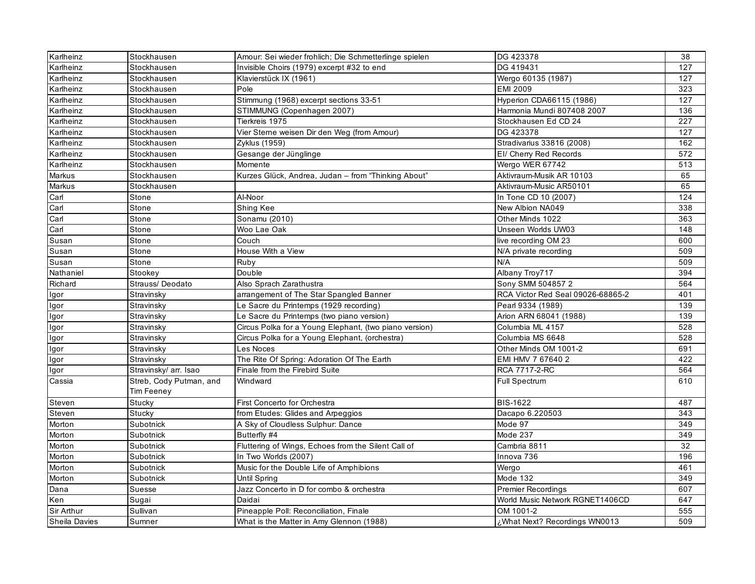| Karlheinz            | Stockhausen             | Amour: Sei wieder frohlich; Die Schmetterlinge spielen | DG 423378                         | 38         |
|----------------------|-------------------------|--------------------------------------------------------|-----------------------------------|------------|
| Karlheinz            | Stockhausen             | Invisible Choirs (1979) excerpt #32 to end             | DG 419431                         | 127        |
| Karlheinz            | Stockhausen             | Klavierstück IX (1961)                                 | Wergo 60135 (1987)                | 127        |
| Karlheinz            | Stockhausen             | Pole                                                   | <b>EMI 2009</b>                   | 323        |
| Karlheinz            | Stockhausen             | Stimmung (1968) excerpt sections 33-51                 | Hyperion CDA66115 (1986)          | 127        |
| Karlheinz            | Stockhausen             | STIMMUNG (Copenhagen 2007)                             | Harmonia Mundi 807408 2007        | 136        |
| Karlheinz            | Stockhausen             | Tierkreis 1975                                         | Stockhausen Ed CD 24              | 227        |
| Karlheinz            | Stockhausen             | Vier Sterne weisen Dir den Weg (from Amour)            | DG 423378                         | 127        |
| Karlheinz            | Stockhausen             | Zyklus (1959)                                          | Stradivarius 33816 (2008)         | 162        |
| Karlheinz            | Stockhausen             | Gesange der Jünglinge                                  | El/ Cherry Red Records            | 572        |
| Karlheinz            | Stockhausen             | Momente                                                | Wergo WER 67742                   | 513        |
| Markus               | Stockhausen             | Kurzes Glück, Andrea, Judan - from "Thinking About"    | Aktivraum-Musik AR 10103          | 65         |
| Markus               | Stockhausen             |                                                        | Aktivraum-Music AR50101           | 65         |
| Carl                 | Stone                   | Al-Noor                                                | In Tone CD 10 (2007)              | 124        |
| Carl                 | Stone                   | Shing Kee                                              | New Albion NA049                  | 338        |
| Carl                 | Stone                   | Sonamu (2010)                                          | Other Minds 1022                  | 363        |
| Carl                 | Stone                   | Woo Lae Oak                                            | Unseen Worlds UW03                | 148        |
| Susan                | Stone                   | Couch                                                  | live recording OM 23              | 600        |
| Susan                | Stone                   | House With a View                                      | N/A private recording             | 509        |
| Susan                | Stone                   | Ruby                                                   | N/A                               | 509        |
| Nathaniel            | Stookey                 | Double                                                 | Albany Troy717                    | 394        |
| Richard              | Strauss/Deodato         | Also Sprach Zarathustra                                | Sony SMM 504857 2                 | 564        |
| Igor                 | Stravinsky              | arrangement of The Star Spangled Banner                | RCA Victor Red Seal 09026-68865-2 | 401        |
| Igor                 | Stravinsky              | Le Sacre du Printemps (1929 recording)                 | Pearl 9334 (1989)                 | 139        |
| Igor                 | Stravinsky              | Le Sacre du Printemps (two piano version)              | Arion ARN 68041 (1988)            | 139        |
| Igor                 | Stravinsky              | Circus Polka for a Young Elephant, (two piano version) | Columbia ML 4157                  | 528        |
| Igor                 | Stravinsky              | Circus Polka for a Young Elephant, (orchestra)         | Columbia MS 6648                  | 528        |
| Igor                 | Stravinsky              | Les Noces                                              | Other Minds OM 1001-2             | 691        |
| lgor                 | Stravinsky              | The Rite Of Spring: Adoration Of The Earth             | EMI HMV 7 67640 2                 | 422        |
| Igor                 | Stravinsky/ arr. Isao   | Finale from the Firebird Suite                         | RCA 7717-2-RC                     | 564        |
| Cassia               | Streb, Cody Putman, and | Windward                                               | <b>Full Spectrum</b>              | 610        |
|                      | Tim Feeney              |                                                        |                                   |            |
| Steven               | Stucky                  | First Concerto for Orchestra                           | BIS-1622                          | 487        |
| Steven               | Stucky                  | from Etudes: Glides and Arpeggios                      | Dacapo 6.220503                   | 343<br>349 |
| Morton               | Subotnick               | A Sky of Cloudless Sulphur: Dance                      | Mode 97                           |            |
| Morton               | Subotnick               | Butterfly #4                                           | Mode 237                          | 349        |
| Morton               | Subotnick               | Fluttering of Wings, Echoes from the Silent Call of    | Cambria 8811                      | 32         |
| Morton               | Subotnick               | In Two Worlds (2007)                                   | Innova 736                        | 196        |
| Morton               | Subotnick               | Music for the Double Life of Amphibions                | Wergo                             | 461        |
| Morton               | Subotnick               | Until Spring                                           | Mode 132                          | 349        |
| Dana                 | Suesse                  | Jazz Concerto in D for combo & orchestra               | <b>Premier Recordings</b>         | 607        |
| Ken                  | Sugai                   | Daidai                                                 | World Music Network RGNET1406CD   | 647        |
| Sir Arthur           | Sullivan                | Pineapple Poll: Reconciliation, Finale                 | OM 1001-2                         | 555        |
| <b>Sheila Davies</b> | Sumner                  | What is the Matter in Amy Glennon (1988)               | What Next? Recordings WN0013,     | 509        |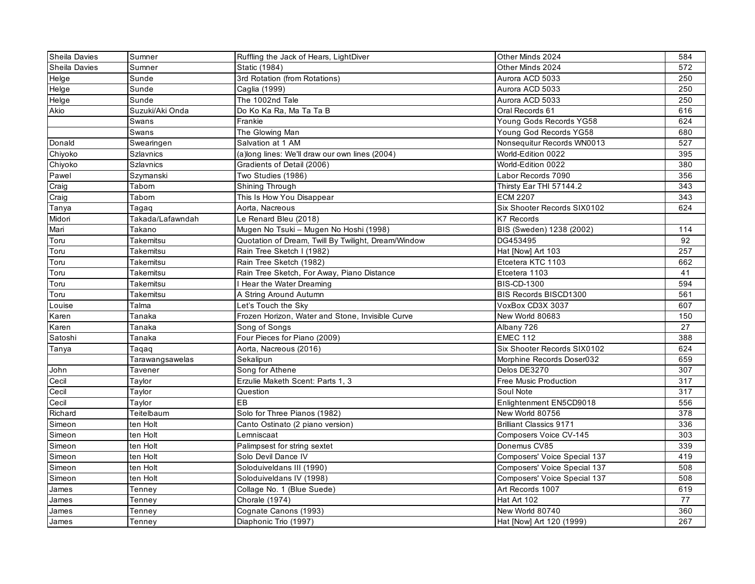| <b>Sheila Davies</b> | Sumner           | Ruffling the Jack of Hears, LightDiver              | Other Minds 2024               | 584             |
|----------------------|------------------|-----------------------------------------------------|--------------------------------|-----------------|
| <b>Sheila Davies</b> | Sumner           | Static (1984)                                       | Other Minds 2024               | 572             |
| Helge                | Sunde            | 3rd Rotation (from Rotations)                       | Aurora ACD 5033                | 250             |
| Helge                | Sunde            | Caglia (1999)                                       | Aurora ACD 5033                | 250             |
| Helge                | Sunde            | The 1002nd Tale                                     | Aurora ACD 5033                | 250             |
| Akio                 | Suzuki/Aki Onda  | Do Ko Ka Ra, Ma Ta Ta B                             | Oral Records 61                | 616             |
|                      | Swans            | Frankie                                             | Young Gods Records YG58        | 624             |
|                      | Swans            | The Glowing Man                                     | Young God Records YG58         | 680             |
| Donald               | Swearingen       | Salvation at 1 AM                                   | Nonsequitur Records WN0013     | 527             |
| Chiyoko              | <b>Szlavnics</b> | (a)long lines: We'll draw our own lines (2004)      | World-Edition 0022             | 395             |
| Chiyoko              | <b>Szlavnics</b> | Gradients of Detail (2006)                          | World-Edition 0022             | 380             |
| Pawel                | Szymanski        | Two Studies (1986)                                  | Labor Records 7090             | 356             |
| Craig                | Tabom            | Shining Through                                     | Thirsty Ear THI 57144.2        | 343             |
| Craig                | Tabom            | This Is How You Disappear                           | <b>ECM 2207</b>                | 343             |
| Tanya                | Tagaq            | Aorta, Nacreous                                     | Six Shooter Records SIX0102    | 624             |
| Midori               | Takada/Lafawndah | Le Renard Bleu (2018)                               | <b>K7 Records</b>              |                 |
| Mari                 | Takano           | Mugen No Tsuki - Mugen No Hoshi (1998)              | BIS (Sweden) 1238 (2002)       | 114             |
| Toru                 | Takemitsu        | Quotation of Dream, Twill By Twilight, Dream/Window | DG453495                       | 92              |
| Toru                 | Takemitsu        | Rain Tree Sketch I (1982)                           | Hat [Now] Art 103              | 257             |
| Toru                 | Takemitsu        | Rain Tree Sketch (1982)                             | Etcetera KTC 1103              | 662             |
| Toru                 | Takemitsu        | Rain Tree Sketch, For Away, Piano Distance          | Etcetera 1103                  | 41              |
| Toru                 | Takemitsu        | Hear the Water Dreaming                             | <b>BIS-CD-1300</b>             | 594             |
| Toru                 | Takemitsu        | A String Around Autumn                              | BIS Records BISCD1300          | 561             |
| Louise               | Talma            | Let's Touch the Sky                                 | VoxBox CD3X 3037               | 607             |
| Karen                | Tanaka           | Frozen Horizon, Water and Stone, Invisible Curve    | New World 80683                | 150             |
| Karen                | Tanaka           | Song of Songs                                       | Albany 726                     | 27              |
| Satoshi              | Tanaka           | Four Pieces for Piano (2009)                        | <b>EMEC 112</b>                | 388             |
| Tanya                | Taqaq            | Aorta, Nacreous (2016)                              | Six Shooter Records SIX0102    | 624             |
|                      | Tarawangsawelas  | Sekalipun                                           | Morphine Records Doser032      | 659             |
| John                 | Tavener          | Song for Athene                                     | Delos DE3270                   | 307             |
| Cecil                | Taylor           | Erzulie Maketh Scent: Parts 1, 3                    | Free Music Production          | 317             |
| Cecil                | Taylor           | Question                                            | Soul Note                      | 317             |
| Cecil                | Taylor           | EB                                                  | Enlightenment EN5CD9018        | 556             |
| Richard              | Teitelbaum       | Solo for Three Pianos (1982)                        | New World 80756                | 378             |
| Simeon               | ten Holt         | Canto Ostinato (2 piano version)                    | <b>Brilliant Classics 9171</b> | 336             |
| Simeon               | ten Holt         | Lemniscaat                                          | Composers Voice CV-145         | 303             |
| Simeon               | ten Holt         | Palimpsest for string sextet                        | Donemus CV85                   | 339             |
| Simeon               | ten Holt         | Solo Devil Dance IV                                 | Composers' Voice Special 137   | 419             |
| Simeon               | ten Holt         | Soloduiveldans III (1990)                           | Composers' Voice Special 137   | 508             |
| Simeon               | ten Holt         | Soloduiveldans IV (1998)                            | Composers' Voice Special 137   | 508             |
| James                | Tenney           | Collage No. 1 (Blue Suede)                          | Art Records 1007               | 619             |
| James                | Tenney           | Chorale (1974)                                      | Hat Art 102                    | $\overline{77}$ |
| James                | Tenney           | Cognate Canons (1993)                               | New World 80740                | 360             |
| James                | Tenney           | Diaphonic Trio (1997)                               | Hat [Now] Art 120 (1999)       | 267             |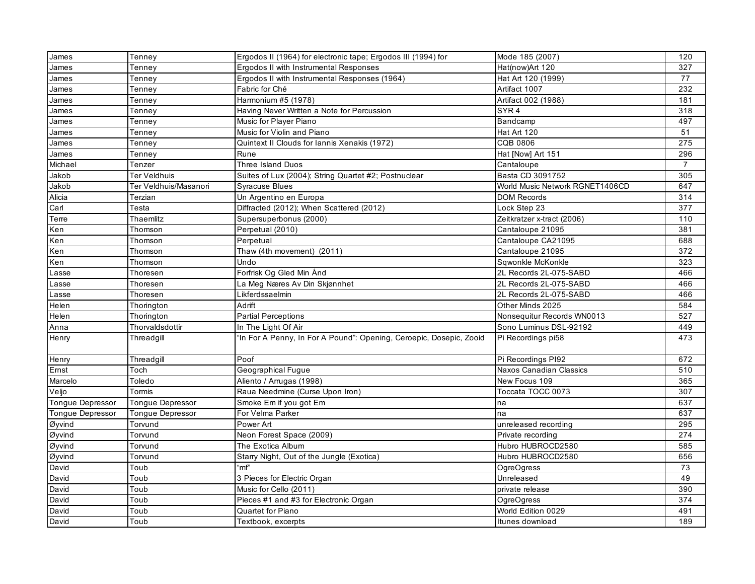| James                   | Tenney                  | Ergodos II (1964) for electronic tape; Ergodos III (1994) for       | Mode 185 (2007)                 | 120            |
|-------------------------|-------------------------|---------------------------------------------------------------------|---------------------------------|----------------|
| James                   | Tenney                  | Ergodos II with Instrumental Responses                              | Hat(now)Art 120                 | 327            |
| James                   | Tenney                  | Ergodos II with Instrumental Responses (1964)                       | Hat Art 120 (1999)              | 77             |
| James                   | Tenney                  | Fabric for Ché                                                      | Artifact 1007                   | 232            |
| James                   | Tenney                  | Harmonium #5 (1978)                                                 | Artifact 002 (1988)             | 181            |
| James                   | Tennev                  | Having Never Written a Note for Percussion                          | SYR <sub>4</sub>                | 318            |
| James                   | Tenney                  | Music for Player Piano                                              | Bandcamp                        | 497            |
| James                   | Tenney                  | Music for Violin and Piano                                          | Hat Art 120                     | 51             |
| James                   | Tenney                  | Quintext II Clouds for Iannis Xenakis (1972)                        | <b>CQB 0806</b>                 | 275            |
| James                   | Tenney                  | Rune                                                                | Hat [Now] Art 151               | 296            |
| Michael                 | Tenzer                  | <b>Three Island Duos</b>                                            | Cantaloupe                      | $\overline{7}$ |
| Jakob                   | Ter Veldhuis            | Suites of Lux (2004); String Quartet #2; Postnuclear                | Basta CD 3091752                | 305            |
| Jakob                   | Ter Veldhuis/Masanori   | <b>Syracuse Blues</b>                                               | World Music Network RGNET1406CD | 647            |
| Alicia                  | Terzian                 | Un Argentino en Europa                                              | <b>DOM Records</b>              | 314            |
| Carl                    | Testa                   | Diffracted (2012); When Scattered (2012)                            | Lock Step 23                    | 377            |
| Terre                   | Thaemlitz               | Supersuperbonus (2000)                                              | Zeitkratzer x-tract (2006)      | 110            |
| Ken                     | Thomson                 | Perpetual (2010)                                                    | Cantaloupe 21095                | 381            |
| Ken                     | Thomson                 | Perpetual                                                           | Cantaloupe CA21095              | 688            |
| Ken                     | Thomson                 | Thaw (4th movement) (2011)                                          | Cantaloupe 21095                | 372            |
| Ken                     | Thomson                 | Undo                                                                | Sqwonkle McKonkle               | 323            |
| Lasse                   | Thoresen                | Forfrisk Og Gled Min Ånd                                            | 2L Records 2L-075-SABD          | 466            |
| Lasse                   | Thoresen                | La Meg Næres Av Din Skjønnhet                                       | 2L Records 2L-075-SABD          | 466            |
| Lasse                   | Thoresen                | Likferdssaelmin                                                     | 2L Records 2L-075-SABD          | 466            |
| Helen                   | Thorington              | Adrift                                                              | Other Minds 2025                | 584            |
| Helen                   | Thorington              | <b>Partial Perceptions</b>                                          | Nonsequitur Records WN0013      | 527            |
| Anna                    | Thorvaldsdottir         | In The Light Of Air                                                 | Sono Luminus DSL-92192          | 449            |
| Henry                   | Threadgill              | "In For A Penny, In For A Pound": Opening, Ceroepic, Dosepic, Zooid | Pi Recordings pi58              | 473            |
| Henry                   | Threadgill              | Poof                                                                | Pi Recordings PI92              | 672            |
| Ernst                   | Toch                    | Geographical Fugue                                                  | Naxos Canadian Classics         | 510            |
| Marcelo                 | Toledo                  | Aliento / Arrugas (1998)                                            | New Focus 109                   | 365            |
| Veljo                   | Tormis                  | Raua Needmine (Curse Upon Iron)                                     | Toccata TOCC 0073               | 307            |
| Tongue Depressor        | <b>Tongue Depressor</b> | Smoke Em if you got Em                                              | na                              | 637            |
| <b>Tongue Depressor</b> | Tongue Depressor        | For Velma Parker                                                    | na                              | 637            |
| Øyvind                  | Torvund                 | Power Art                                                           | unreleased recording            | 295            |
| Øyvind                  | Torvund                 | Neon Forest Space (2009)                                            | Private recording               | 274            |
| Øyvind                  | Torvund                 | The Exotica Album                                                   | Hubro HUBROCD2580               | 585            |
| Øyvind                  | Torvund                 | Starry Night, Out of the Jungle (Exotica)                           | Hubro HUBROCD2580               | 656            |
| David                   | Toub                    | "mf"                                                                | OgreOgress                      | 73             |
| David                   | Toub                    | 3 Pieces for Electric Organ                                         | Unreleased                      | 49             |
| David                   | Toub                    | Music for Cello (2011)                                              | private release                 | 390            |
| David                   | Toub                    | Pieces #1 and #3 for Electronic Organ                               | <b>OgreOgress</b>               | 374            |
| David                   | Toub                    | Quartet for Piano                                                   | World Edition 0029              | 491            |
| David                   | Toub                    | Textbook, excerpts                                                  | Itunes download                 | 189            |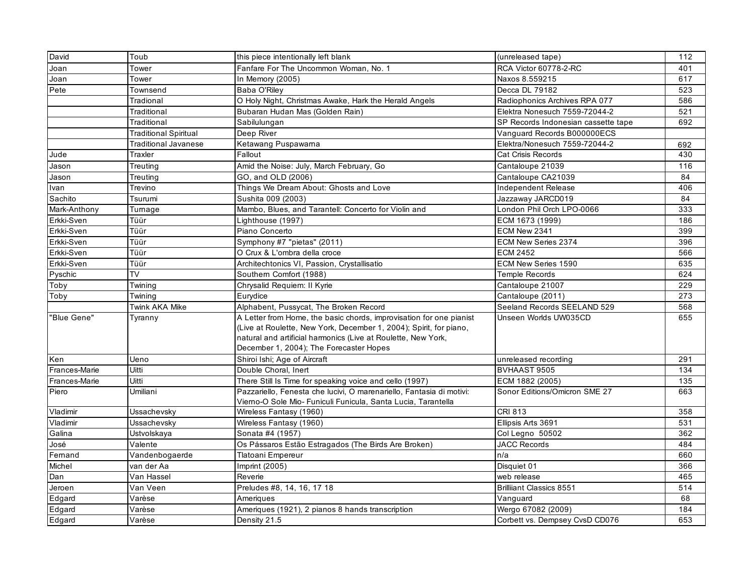| David         | Toub                         | this piece intentionally left blank                                                                                                       | (unreleased tape)                   | 112 |
|---------------|------------------------------|-------------------------------------------------------------------------------------------------------------------------------------------|-------------------------------------|-----|
| Joan          | Tower                        | Fanfare For The Uncommon Woman, No. 1                                                                                                     | RCA Victor 60778-2-RC               | 401 |
| Joan          | Tower                        | In Memory (2005)                                                                                                                          | Naxos 8.559215                      | 617 |
| Pete          | Townsend                     | Baba O'Riley                                                                                                                              | Decca DL 79182                      | 523 |
|               | Tradional                    | O Holy Night, Christmas Awake, Hark the Herald Angels                                                                                     | Radiophonics Archives RPA 077       | 586 |
|               | Traditional                  | Bubaran Hudan Mas (Golden Rain)                                                                                                           | Elektra Nonesuch 7559-72044-2       | 521 |
|               | Traditional                  | Sabilulungan                                                                                                                              | SP Records Indonesian cassette tape | 692 |
|               | <b>Traditional Spiritual</b> | Deep River                                                                                                                                | Vanguard Records B000000ECS         |     |
|               | Traditional Javanese         | Ketawang Puspawarna                                                                                                                       | Elektra/Nonesuch 7559-72044-2       | 692 |
| Jude          | Traxler                      | Fallout                                                                                                                                   | Cat Crisis Records                  | 430 |
| Jason         | Treuting                     | Amid the Noise: July, March February, Go                                                                                                  | Cantaloupe 21039                    | 116 |
| Jason         | Treuting                     | GO, and OLD (2006)                                                                                                                        | Cantaloupe CA21039                  | 84  |
| Ivan          | Trevino                      | Things We Dream About: Ghosts and Love                                                                                                    | Independent Release                 | 406 |
| Sachito       | Tsurumi                      | Sushita 009 (2003)                                                                                                                        | Jazzaway JARCD019                   | 84  |
| Mark-Anthony  | Tumage                       | Mambo, Blues, and Tarantell: Concerto for Violin and                                                                                      | London Phil Orch LPO-0066           | 333 |
| Erkki-Sven    | Tüür                         | Lighthouse (1997)                                                                                                                         | ECM 1673 (1999)                     | 186 |
| Erkki-Sven    | Tüür                         | Piano Concerto                                                                                                                            | ECM New 2341                        | 399 |
| Erkki-Sven    | Tüür                         | Symphony #7 "pietas" (2011)                                                                                                               | ECM New Series 2374                 | 396 |
| Erkki-Sven    | Tüür                         | O Crux & L'ombra della croce                                                                                                              | <b>ECM 2452</b>                     | 566 |
| Erkki-Sven    | Tüür                         | Architechtonics VI, Passion, Crystallisatio                                                                                               | ECM New Series 1590                 | 635 |
| Pyschic       | <b>TV</b>                    | Southern Comfort (1988)                                                                                                                   | <b>Temple Records</b>               | 624 |
| Toby          | Twining                      | Chrysalid Requiem: II Kyrie                                                                                                               | Cantaloupe 21007                    | 229 |
| Toby          | Twining                      | Eurydice                                                                                                                                  | Cantaloupe (2011)                   | 273 |
|               | Twink AKA Mike               | Alphabent, Pussycat, The Broken Record                                                                                                    | Seeland Records SEELAND 529         | 568 |
| "Blue Gene"   | Tyranny                      | A Letter from Home, the basic chords, improvisation for one pianist<br>(Live at Roulette, New York, December 1, 2004); Spirit, for piano, | Unseen Worlds UW035CD               | 655 |
|               |                              | natural and artificial harmonics (Live at Roulette, New York,<br>December 1, 2004); The Forecaster Hopes                                  |                                     |     |
| Ken           | Ueno                         | Shiroi Ishi; Age of Aircraft                                                                                                              | unreleased recording                | 291 |
| Frances-Marie | Uitti                        | Double Choral, Inert                                                                                                                      | BVHAAST 9505                        | 134 |
| Frances-Marie | Uitti                        | There Still Is Time for speaking voice and cello (1997)                                                                                   | ECM 1882 (2005)                     | 135 |
| Piero         | Umiliani                     | Pazzariello, Fenesta che lucivi, O marenariello, Fantasia di motivi:<br>Vierno-O Sole Mio- Funiculi Funicula, Santa Lucia, Tarantella     | Sonor Editions/Omicron SME 27       | 663 |
| Vladimir      | Ussachevsky                  | Wireless Fantasy (1960)                                                                                                                   | <b>CRI 813</b>                      | 358 |
| Vladimir      | Ussachevsky                  | Wireless Fantasy (1960)                                                                                                                   | Ellipsis Arts 3691                  | 531 |
| Galina        | Ustvolskaya                  | Sonata #4 (1957)                                                                                                                          | Col Legno 50502                     | 362 |
| José          | Valente                      | Os Pássaros Estão Estragados (The Birds Are Broken)                                                                                       | <b>JACC Records</b>                 | 484 |
| Fernand       | Vandenbogaerde               | Tlatoani Empereur                                                                                                                         | n/a                                 | 660 |
| Michel        | van der Aa                   | Imprint (2005)                                                                                                                            | Disquiet 01                         | 366 |
| Dan           | Van Hassel                   | Reverie                                                                                                                                   | web release                         | 465 |
| Jeroen        | Van Veen                     | Preludes #8, 14, 16, 17 18                                                                                                                | <b>Brilliant Classics 8551</b>      | 514 |
| Edgard        | Varèse                       | Ameriques                                                                                                                                 | Vanguard                            | 68  |
| Edgard        | Varèse                       | Ameriques (1921), 2 pianos 8 hands transcription                                                                                          | Wergo 67082 (2009)                  | 184 |
| Edgard        | Varèse                       | Density 21.5                                                                                                                              | Corbett vs. Dempsey CvsD CD076      | 653 |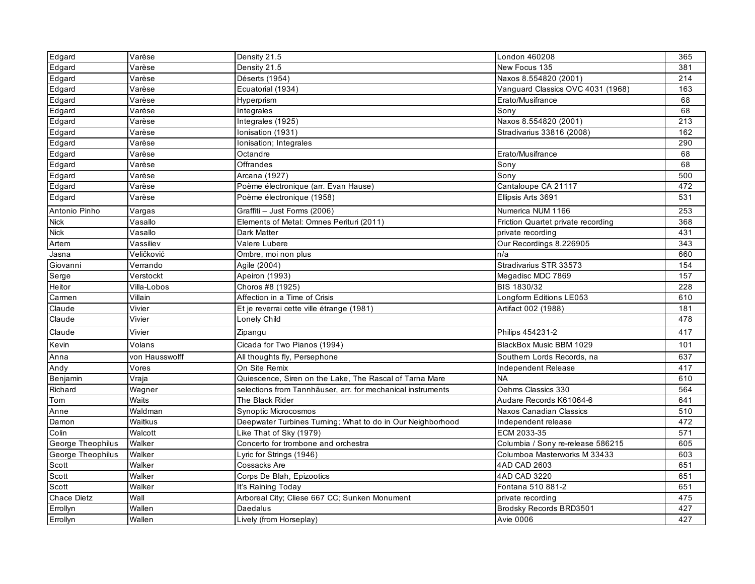| Edgard            | Varèse         | Density 21.5                                                | London 460208                      | 365              |
|-------------------|----------------|-------------------------------------------------------------|------------------------------------|------------------|
| Edgard            | Varèse         | Density 21.5                                                | New Focus 135                      | 381              |
| Edgard            | Varèse         | Déserts (1954)                                              | Naxos 8.554820 (2001)              | 214              |
| Edgard            | Varèse         | Ecuatorial (1934)                                           | Vanguard Classics OVC 4031 (1968)  | 163              |
| Edgard            | Varèse         | Hyperprism                                                  | Erato/Musifrance                   | 68               |
| Edgard            | Varèse         | Integrales                                                  | Sony                               | 68               |
| Edgard            | Varèse         | Integrales $(1925)$                                         | Naxos 8.554820 (2001)              | $\overline{213}$ |
| Edgard            | Varèse         | Ionisation (1931)                                           | Stradivarius 33816 (2008)          | 162              |
| Edgard            | Varèse         | Ionisation; Integrales                                      |                                    | 290              |
| Edgard            | Varèse         | Octandre                                                    | Erato/Musifrance                   | 68               |
| Edgard            | Varèse         | Offrandes                                                   | Sony                               | 68               |
| Edgard            | Varèse         | Arcana (1927)                                               | Sonv                               | 500              |
| Edgard            | Varèse         | Poème électronique (arr. Evan Hause)                        | Cantaloupe CA 21117                | 472              |
| Edgard            | Varèse         | Poème électronique (1958)                                   | Ellipsis Arts 3691                 | 531              |
| Antonio Pinho     | Vargas         | Graffiti - Just Forms (2006)                                | Numerica NUM 1166                  | 253              |
| <b>Nick</b>       | Vasallo        | Elements of Metal: Omnes Perituri (2011)                    | Friction Quartet private recording | 368              |
| <b>Nick</b>       | Vasallo        | <b>Dark Matter</b>                                          | private recording                  | 431              |
| Artem             | Vassiliev      | Valere Lubere                                               | Our Recordings 8.226905            | 343              |
| Jasna             | Veličković     | Ombre, moi non plus                                         | n/a                                | 660              |
| Giovanni          | Verrando       | Agile (2004)                                                | Stradivarius STR 33573             | 154              |
| Serge             | Verstockt      | Apeiron (1993)                                              | Megadisc MDC 7869                  | 157              |
| Heitor            | Villa-Lobos    | Choros #8 (1925)                                            | <b>BIS 1830/32</b>                 | 228              |
| Carmen            | Villain        | Affection in a Time of Crisis                               | Longform Editions LE053            | 610              |
| Claude            | Vivier         | Et je reverrai cette ville étrange (1981)                   | Artifact 002 (1988)                | 181              |
| Claude            | Vivier         | Lonely Child                                                |                                    | 478              |
| Claude            | Vivier         | Zipangu                                                     | Philips 454231-2                   | 417              |
| Kevin             | Volans         | Cicada for Two Pianos (1994)                                | BlackBox Music BBM 1029            | 101              |
| Anna              | von Hausswolff | All thoughts fly, Persephone                                | Southern Lords Records, na         | 637              |
| Andy              | Vores          | On Site Remix                                               | Independent Release                | 417              |
| Benjamin          | Vraja          | Quiescence, Siren on the Lake, The Rascal of Tama Mare      | <b>NA</b>                          | 610              |
| Richard           | Wagner         | selections from Tannhäuser, arr. for mechanical instruments | Oehms Classics 330                 | 564              |
| Tom               | Waits          | The Black Rider                                             | Audare Records K61064-6            | 641              |
| Anne              | Waldman        | <b>Synoptic Microcosmos</b>                                 | Naxos Canadian Classics            | 510              |
| Damon             | Waitkus        | Deepwater Turbines Turning; What to do in Our Neighborhood  | Independent release                | 472              |
| Colin             | Walcott        | Like That of Sky (1979)                                     | ECM 2033-35                        | $\overline{571}$ |
| George Theophilus | Walker         | Concerto for trombone and orchestra                         | Columbia / Sony re-release 586215  | 605              |
| George Theophilus | Walker         | Lyric for Strings (1946)                                    | Columboa Masterworks M 33433       | 603              |
| Scott             | Walker         | Cossacks Are                                                | 4AD CAD 2603                       | 651              |
| Scott             | Walker         | Corps De Blah, Epizootics                                   | 4AD CAD 3220                       | 651              |
| Scott             | Walker         | It's Raining Today                                          | Fontana 510 881-2                  | 651              |
| Chace Dietz       | Wall           | Arboreal City; Cliese 667 CC; Sunken Monument               | private recording                  | 475              |
| Errollyn          | Wallen         | Daedalus                                                    | Brodsky Records BRD3501            | 427              |
| Errollyn          | Wallen         | Lively (from Horseplay)                                     | <b>Avie 0006</b>                   | 427              |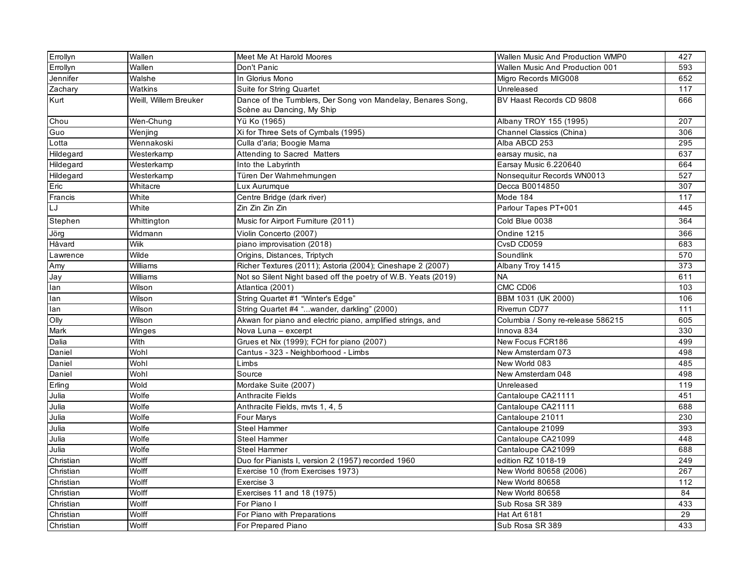| Errollyn  | Wallen                | Meet Me At Harold Moores                                      | Wallen Music And Production WMP0  | 427 |
|-----------|-----------------------|---------------------------------------------------------------|-----------------------------------|-----|
| Errollyn  | Wallen                | Don't Panic                                                   | Wallen Music And Production 001   | 593 |
| Jennifer  | Walshe                | In Glorius Mono                                               | Migro Records MIG008              | 652 |
| Zachary   | <b>Watkins</b>        | Suite for String Quartet                                      | Unreleased                        | 117 |
| Kurt      | Weill, Willem Breuker | Dance of the Tumblers, Der Song von Mandelay, Benares Song,   | BV Haast Records CD 9808          | 666 |
|           |                       | Scène au Dancing, My Ship                                     |                                   |     |
| Chou      | Wen-Chung             | Yü Ko (1965)                                                  | Albany TROY 155 (1995)            | 207 |
| Guo       | Wenjing               | Xi for Three Sets of Cymbals (1995)                           | Channel Classics (China)          | 306 |
| Lotta     | Wennakoski            | Culla d'aria; Boogie Mama                                     | Alba ABCD 253                     | 295 |
| Hildegard | Westerkamp            | Attending to Sacred Matters                                   | earsay music, na                  | 637 |
| Hildegard | Westerkamp            | Into the Labyrinth                                            | Earsay Music 6.220640             | 664 |
| Hildegard | Westerkamp            | Türen Der Wahrnehmungen                                       | Nonsequitur Records WN0013        | 527 |
| Eric      | Whitacre              | Lux Aurumque                                                  | Decca B0014850                    | 307 |
| Francis   | White                 | Centre Bridge (dark river)                                    | Mode 184                          | 117 |
| LJ        | White                 | Zin Zin Zin Zin                                               | Parlour Tapes PT+001              | 445 |
| Stephen   | Whittington           | Music for Airport Furniture (2011)                            | Cold Blue 0038                    | 364 |
| Jörg      | Widmann               | Violin Concerto (2007)                                        | Ondine 1215                       | 366 |
| Håvard    | Wiik                  | piano improvisation (2018)                                    | CvsD CD059                        | 683 |
| Lawrence  | Wilde                 | Origins, Distances, Triptych                                  | Soundlink                         | 570 |
| Amy       | Williams              | Richer Textures (2011); Astoria (2004); Cineshape 2 (2007)    | Albany Troy 1415                  | 373 |
| Jay       | Williams              | Not so Silent Night based off the poetry of W.B. Yeats (2019) | <b>NA</b>                         | 611 |
| lan       | Wilson                | Atlantica (2001)                                              | CMC CD06                          | 103 |
| lan       | Wilson                | String Quartet #1 "Winter's Edge"                             | BBM 1031 (UK 2000)                | 106 |
| lan       | Wilson                | String Quartet #4 "wander, darkling" (2000)                   | Riverrun CD77                     | 111 |
| Olly      | Wilson                | Akwan for piano and electric piano, amplified strings, and    | Columbia / Sony re-release 586215 | 605 |
| Mark      | Winges                | Nova Luna - excerpt                                           | Innova 834                        | 330 |
| Dalia     | <b>With</b>           | Grues et Nix (1999); FCH for piano (2007)                     | New Focus FCR186                  | 499 |
| Daniel    | Wohl                  | Cantus - 323 - Neighborhood - Limbs                           | New Amsterdam 073                 | 498 |
| Daniel    | Wohl                  | Limbs                                                         | New World 083                     | 485 |
| Daniel    | Wohl                  | Source                                                        | New Amsterdam 048                 | 498 |
| Erling    | Wold                  | Mordake Suite (2007)                                          | Unreleased                        | 119 |
| Julia     | Wolfe                 | Anthracite Fields                                             | Cantaloupe CA21111                | 451 |
| Julia     | Wolfe                 | Anthracite Fields, mvts 1, 4, 5                               | Cantaloupe CA21111                | 688 |
| Julia     | Wolfe                 | Four Marys                                                    | Cantaloupe 21011                  | 230 |
| Julia     | Wolfe                 | <b>Steel Hammer</b>                                           | Cantaloupe 21099                  | 393 |
| Julia     | Wolfe                 | <b>Steel Hammer</b>                                           | Cantaloupe CA21099                | 448 |
| Julia     | Wolfe                 | <b>Steel Hammer</b>                                           | Cantaloupe CA21099                | 688 |
| Christian | Wolff                 | Duo for Pianists I, version 2 (1957) recorded 1960            | edition RZ 1018-19                | 249 |
| Christian | Wolff                 | Exercise 10 (from Exercises 1973)                             | New World 80658 (2006)            | 267 |
| Christian | Wolff                 | Exercise 3                                                    | New World 80658                   | 112 |
| Christian | Wolff                 | Exercises 11 and 18 (1975)                                    | New World 80658                   | 84  |
| Christian | Wolff                 | For Piano I                                                   | Sub Rosa SR 389                   | 433 |
| Christian | Wolff                 | For Piano with Preparations                                   | Hat Art 6181                      | 29  |
| Christian | Wolff                 | For Prepared Piano                                            | Sub Rosa SR 389                   | 433 |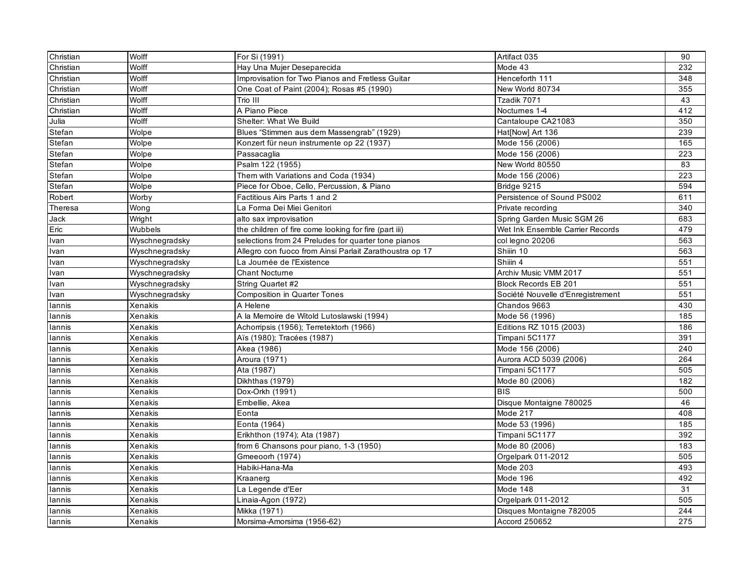| Christian | Wolff          | For Si (1991)                                           | Artifact 035                      | 90               |
|-----------|----------------|---------------------------------------------------------|-----------------------------------|------------------|
| Christian | Wolff          | Hay Una Mujer Deseparecida                              | Mode 43                           | 232              |
| Christian | Wolff          | Improvisation for Two Pianos and Fretless Guitar        | Henceforth 111                    | 348              |
| Christian | Wolff          | One Coat of Paint (2004); Rosas #5 (1990)               | New World 80734                   | 355              |
| Christian | Wolff          | Trio III                                                | Tzadik 7071                       | 43               |
| Christian | Wolff          | A Piano Piece                                           | Noctumes 1-4                      | 412              |
| Julia     | Wolff          | Shelter: What We Build                                  | Cantaloupe CA21083                | 350              |
| Stefan    | Wolpe          | Blues "Stimmen aus dem Massengrab" (1929)               | Hat[Now] Art 136                  | 239              |
| Stefan    | Wolpe          | Konzert für neun instrumente op 22 (1937)               | Mode 156 (2006)                   | 165              |
| Stefan    | Wolpe          | Passacaglia                                             | Mode 156 (2006)                   | 223              |
| Stefan    | Wolpe          | Psalm 122 (1955)                                        | New World 80550                   | 83               |
| Stefan    | Wolpe          | Them with Variations and Coda (1934)                    | Mode 156 (2006)                   | 223              |
| Stefan    | Wolpe          | Piece for Oboe, Cello, Percussion, & Piano              | Bridge 9215                       | 594              |
| Robert    | Worby          | Factitious Airs Parts 1 and 2                           | Persistence of Sound PS002        | 611              |
| Theresa   | Wong           | La Forma Dei Miei Genitori                              | Private recording                 | 340              |
| Jack      | Wright         | alto sax improvisation                                  | Spring Garden Music SGM 26        | 683              |
| Eric      | Wubbels        | the children of fire come looking for fire (part iii)   | Wet Ink Ensemble Carrier Records  | 479              |
| Ivan      | Wyschnegradsky | selections from 24 Preludes for quarter tone pianos     | col legno 20206                   | 563              |
| Ivan      | Wyschnegradsky | Allegro con fuoco from Ainsi Parlait Zarathoustra op 17 | Shiin 10                          | 563              |
| Ivan      | Wyschnegradsky | La Journée de l'Existence                               | Shiin 4                           | $\overline{551}$ |
| Ivan      | Wyschnegradsky | <b>Chant Nocturne</b>                                   | Archiv Music VMM 2017             | 551              |
| Ivan      | Wyschnegradsky | String Quartet #2                                       | <b>Block Records EB 201</b>       | 551              |
| Ivan      | Wyschnegradsky | <b>Composition in Quarter Tones</b>                     | Société Nouvelle d'Enregistrement | 551              |
| lannis    | Xenakis        | A Helene                                                | Chandos 9663                      | 430              |
| lannis    | Xenakis        | A la Memoire de Witold Lutoslawski (1994)               | Mode 56 (1996)                    | 185              |
| lannis    | Xenakis        | Achorripsis (1956); Terretektorh (1966)                 | Editions RZ 1015 (2003)           | 186              |
| lannis    | Xenakis        | Aïs (1980); Tracées (1987)                              | Timpani 5C1177                    | 391              |
| lannis    | Xenakis        | Akea (1986)                                             | Mode 156 (2006)                   | 240              |
| lannis    | Xenakis        | Aroura (1971)                                           | Aurora ACD 5039 (2006)            | 264              |
| lannis    | Xenakis        | Ata (1987)                                              | Timpani 5C1177                    | 505              |
| lannis    | Xenakis        | Dikhthas (1979)                                         | Mode 80 (2006)                    | 182              |
| lannis    | Xenakis        | Dox-Orkh (1991)                                         | <b>BIS</b>                        | 500              |
| lannis    | Xenakis        | Embellie, Akea                                          | Disque Montaigne 780025           | 46               |
| lannis    | Xenakis        | Eonta                                                   | Mode 217                          | 408              |
| lannis    | Xenakis        | Eonta (1964)                                            | Mode 53 (1996)                    | 185              |
| lannis    | Xenakis        | Erikhthon (1974); Ata (1987)                            | Timpani 5C1177                    | 392              |
| lannis    | Xenakis        | from 6 Chansons pour piano, 1-3 (1950)                  | Mode 80 (2006)                    | 183              |
| lannis    | Xenakis        | Gmeeoorh (1974)                                         | Orgelpark 011-2012                | 505              |
| lannis    | Xenakis        | Habiki-Hana-Ma                                          | Mode 203                          | 493              |
| lannis    | Xenakis        | Kraanerg                                                | Mode 196                          | 492              |
| lannis    | Xenakis        | La Legende d'Eer                                        | Mode 148                          | 31               |
| lannis    | Xenakis        | Linaia-Agon (1972)                                      | Orgelpark 011-2012                | 505              |
| lannis    | Xenakis        | Mikka (1971)                                            | Disques Montaigne 782005          | 244              |
| lannis    | Xenakis        | Morsima-Amorsima (1956-62)                              | Accord 250652                     | 275              |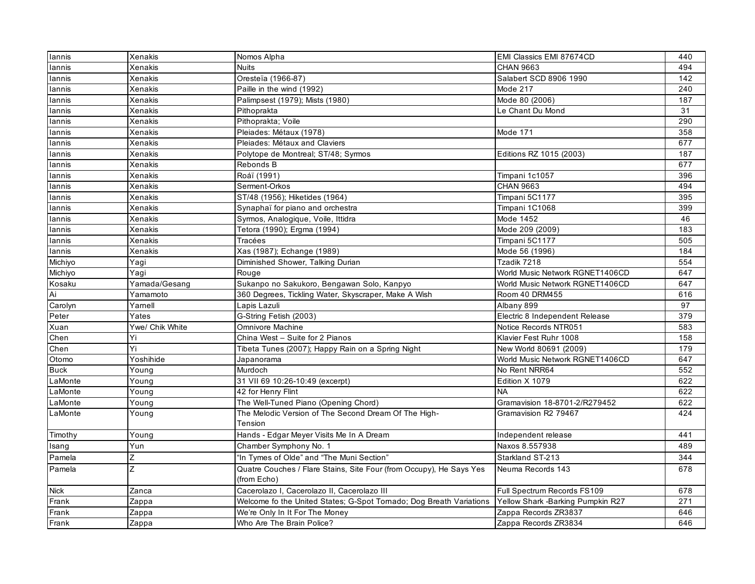| lannis      | Xenakis         | Nomos Alpha                                                         | EMI Classics EMI 87674CD          | 440 |
|-------------|-----------------|---------------------------------------------------------------------|-----------------------------------|-----|
| lannis      | Xenakis         | <b>Nuits</b>                                                        | <b>CHAN 9663</b>                  | 494 |
| lannis      | Xenakis         | Oresteïa (1966-87)                                                  | Salabert SCD 8906 1990            | 142 |
| lannis      | Xenakis         | Paille in the wind (1992)                                           | Mode 217                          | 240 |
| lannis      | Xenakis         | Palimpsest (1979); Mists (1980)                                     | Mode 80 (2006)                    | 187 |
| lannis      | Xenakis         | Pithoprakta                                                         | Le Chant Du Mond                  | 31  |
| lannis      | Xenakis         | Pithoprakta; Voile                                                  |                                   | 290 |
| lannis      | Xenakis         | Pleiades: Métaux (1978)                                             | Mode 171                          | 358 |
| lannis      | Xenakis         | Pleiades: Métaux and Claviers                                       |                                   | 677 |
| lannis      | Xenakis         | Polytope de Montreal; ST/48; Syrmos                                 | Editions RZ 1015 (2003)           | 187 |
| lannis      | Xenakis         | Rebonds B                                                           |                                   | 677 |
| lannis      | Xenakis         | Roáï (1991)                                                         | Timpani 1c1057                    | 396 |
| lannis      | Xenakis         | Serment-Orkos                                                       | <b>CHAN 9663</b>                  | 494 |
| lannis      | Xenakis         | ST/48 (1956); Hiketides (1964)                                      | Timpani 5C1177                    | 395 |
| lannis      | Xenakis         | Synaphaï for piano and orchestra                                    | Timpani 1C1068                    | 399 |
| lannis      | Xenakis         | Syrmos, Analogique, Voile, Ittidra                                  | Mode 1452                         | 46  |
| lannis      | Xenakis         | Tetora (1990); Ergma (1994)                                         | Mode 209 (2009)                   | 183 |
| lannis      | Xenakis         | Tracées                                                             | Timpani 5C1177                    | 505 |
| lannis      | Xenakis         | Xas (1987); Echange (1989)                                          | Mode 56 (1996)                    | 184 |
| Michiyo     | Yagi            | Diminished Shower, Talking Durian                                   | Tzadik 7218                       | 554 |
| Michiyo     | Yagi            | Rouge                                                               | World Music Network RGNET1406CD   | 647 |
| Kosaku      | Yamada/Gesang   | Sukanpo no Sakukoro, Bengawan Solo, Kanpyo                          | World Music Network RGNET1406CD   | 647 |
| Ai          | Yamamoto        | 360 Degrees, Tickling Water, Skyscraper, Make A Wish                | Room 40 DRM455                    | 616 |
| Carolyn     | Yamell          | Lapis Lazuli                                                        | Albany 899                        | 97  |
| Peter       | Yates           | G-String Fetish (2003)                                              | Electric 8 Independent Release    | 379 |
| Xuan        | Ywe/ Chik White | <b>Omnivore Machine</b>                                             | Notice Records NTR051             | 583 |
| Chen        | Yi              | China West - Suite for 2 Pianos                                     | Klavier Fest Ruhr 1008            | 158 |
| Chen        | Yi              | Tibeta Tunes (2007); Happy Rain on a Spring Night                   | New World 80691 (2009)            | 179 |
| Otomo       | Yoshihide       | Japanorama                                                          | World Music Network RGNET1406CD   | 647 |
| <b>Buck</b> | Young           | Murdoch                                                             | No Rent NRR64                     | 552 |
| LaMonte     | Young           | 31 VII 69 10:26-10:49 (excerpt)                                     | Edition X 1079                    | 622 |
| LaMonte     | Young           | 42 for Henry Flint                                                  | <b>NA</b>                         | 622 |
| LaMonte     | Young           | The Well-Tuned Piano (Opening Chord)                                | Gramavision 18-8701-2/R279452     | 622 |
| LaMonte     | Young           | The Melodic Version of The Second Dream Of The High-<br>Tension     | Gramavision R2 79467              | 424 |
| Timothy     | Young           | Hands - Edgar Meyer Visits Me In A Dream                            | Independent release               | 441 |
| Isang       | Yun             | Chamber Symphony No. 1                                              | Naxos 8.557938                    | 489 |
| Pamela      | Z               | "In Tymes of Olde" and "The Muni Section"                           | Starkland ST-213                  | 344 |
| Pamela      | Z               | Quatre Couches / Flare Stains, Site Four (from Occupy), He Says Yes | Neuma Records 143                 | 678 |
|             |                 | (from Echo)                                                         |                                   |     |
| <b>Nick</b> | Zanca           | Cacerolazo I, Cacerolazo II, Cacerolazo III                         | Full Spectrum Records FS109       | 678 |
| Frank       | Zappa           | Welcome fo the United States; G-Spot Tomado; Dog Breath Variations  | Yellow Shark -Barking Pumpkin R27 | 271 |
| Frank       | Zappa           | We're Only In It For The Money                                      | Zappa Records ZR3837              | 646 |
| Frank       | Zappa           | Who Are The Brain Police?                                           | Zappa Records ZR3834              | 646 |